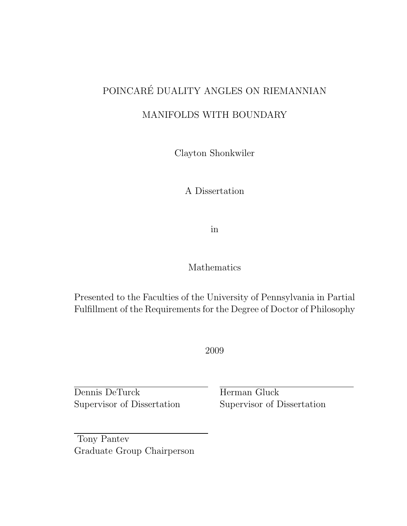# POINCARÉ DUALITY ANGLES ON RIEMANNIAN

### MANIFOLDS WITH BOUNDARY

Clayton Shonkwiler

A Dissertation

in

Mathematics

Presented to the Faculties of the University of Pennsylvania in Partial Fulfillment of the Requirements for the Degree of Doctor of Philosophy

2009

Dennis DeTurck Supervisor of Dissertation Herman Gluck Supervisor of Dissertation

Tony Pantev Graduate Group Chairperson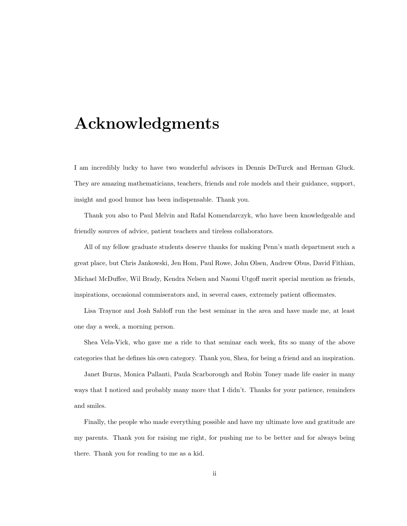## Acknowledgments

I am incredibly lucky to have two wonderful advisors in Dennis DeTurck and Herman Gluck. They are amazing mathematicians, teachers, friends and role models and their guidance, support, insight and good humor has been indispensable. Thank you.

Thank you also to Paul Melvin and Rafal Komendarczyk, who have been knowledgeable and friendly sources of advice, patient teachers and tireless collaborators.

All of my fellow graduate students deserve thanks for making Penn's math department such a great place, but Chris Jankowski, Jen Hom, Paul Rowe, John Olsen, Andrew Obus, David Fithian, Michael McDuffee, Wil Brady, Kendra Nelsen and Naomi Utgoff merit special mention as friends, inspirations, occasional commiserators and, in several cases, extremely patient officemates.

Lisa Traynor and Josh Sabloff run the best seminar in the area and have made me, at least one day a week, a morning person.

Shea Vela-Vick, who gave me a ride to that seminar each week, fits so many of the above categories that he defines his own category. Thank you, Shea, for being a friend and an inspiration.

Janet Burns, Monica Pallanti, Paula Scarborough and Robin Toney made life easier in many ways that I noticed and probably many more that I didn't. Thanks for your patience, reminders and smiles.

Finally, the people who made everything possible and have my ultimate love and gratitude are my parents. Thank you for raising me right, for pushing me to be better and for always being there. Thank you for reading to me as a kid.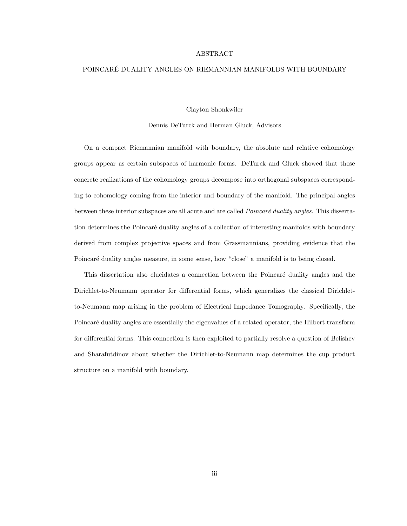#### ABSTRACT

#### POINCARE DUALITY ANGLES ON RIEMANNIAN MANIFOLDS WITH BOUNDARY ´

Clayton Shonkwiler

Dennis DeTurck and Herman Gluck, Advisors

On a compact Riemannian manifold with boundary, the absolute and relative cohomology groups appear as certain subspaces of harmonic forms. DeTurck and Gluck showed that these concrete realizations of the cohomology groups decompose into orthogonal subspaces corresponding to cohomology coming from the interior and boundary of the manifold. The principal angles between these interior subspaces are all acute and are called  $Poincaré duality angles$ . This dissertation determines the Poincaré duality angles of a collection of interesting manifolds with boundary derived from complex projective spaces and from Grassmannians, providing evidence that the Poincaré duality angles measure, in some sense, how "close" a manifold is to being closed.

This dissertation also elucidates a connection between the Poincaré duality angles and the Dirichlet-to-Neumann operator for differential forms, which generalizes the classical Dirichletto-Neumann map arising in the problem of Electrical Impedance Tomography. Specifically, the Poincaré duality angles are essentially the eigenvalues of a related operator, the Hilbert transform for differential forms. This connection is then exploited to partially resolve a question of Belishev and Sharafutdinov about whether the Dirichlet-to-Neumann map determines the cup product structure on a manifold with boundary.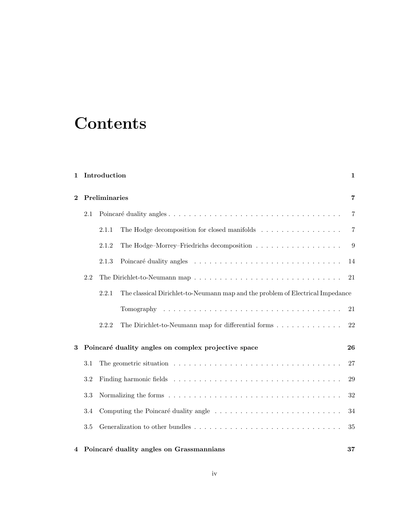# **Contents**

| $\mathbf{1}$ |               | Introduction                                                                                           |                                                                                                  | $\mathbf 1$    |  |
|--------------|---------------|--------------------------------------------------------------------------------------------------------|--------------------------------------------------------------------------------------------------|----------------|--|
| $\mathbf{2}$ | Preliminaries |                                                                                                        |                                                                                                  |                |  |
|              | 2.1           |                                                                                                        |                                                                                                  |                |  |
|              |               | 2.1.1                                                                                                  | The Hodge decomposition for closed manifolds                                                     | $\overline{7}$ |  |
|              |               | 2.1.2                                                                                                  | The Hodge–Morrey–Friedrichs decomposition                                                        | 9              |  |
|              |               | 2.1.3                                                                                                  |                                                                                                  | 14             |  |
|              | 2.2           |                                                                                                        |                                                                                                  | 21             |  |
|              |               | 2.2.1                                                                                                  | The classical Dirichlet-to-Neumann map and the problem of Electrical Impedance                   |                |  |
|              |               |                                                                                                        | Tomography $\ldots \ldots \ldots \ldots \ldots \ldots \ldots \ldots \ldots \ldots \ldots \ldots$ | 21             |  |
|              |               | 2.2.2                                                                                                  | The Dirichlet-to-Neumann map for differential forms                                              | 22             |  |
| 3            |               | Poincaré duality angles on complex projective space                                                    |                                                                                                  |                |  |
|              | 3.1           | The geometric situation $\ldots \ldots \ldots \ldots \ldots \ldots \ldots \ldots \ldots \ldots \ldots$ |                                                                                                  |                |  |
|              | 3.2           |                                                                                                        |                                                                                                  |                |  |
|              | 3.3           |                                                                                                        |                                                                                                  | $32\,$         |  |
|              | 3.4           |                                                                                                        |                                                                                                  | 34             |  |
|              | 3.5           |                                                                                                        |                                                                                                  | 35             |  |
| 4            |               |                                                                                                        | Poincaré duality angles on Grassmannians                                                         | 37             |  |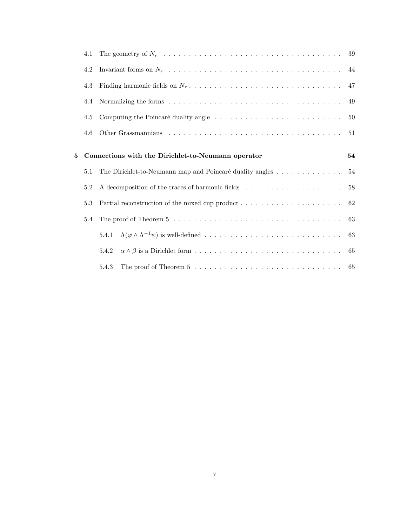|   | 4.1 |                                                                                                                        | 39 |
|---|-----|------------------------------------------------------------------------------------------------------------------------|----|
|   | 4.2 |                                                                                                                        | 44 |
|   | 4.3 |                                                                                                                        | 47 |
|   | 4.4 |                                                                                                                        | 49 |
|   | 4.5 |                                                                                                                        | 50 |
|   | 4.6 |                                                                                                                        | 51 |
|   |     |                                                                                                                        |    |
| 5 |     | Connections with the Dirichlet-to-Neumann operator                                                                     | 54 |
|   | 5.1 | The Dirichlet-to-Neumann map and Poincaré duality angles 54                                                            |    |
|   | 5.2 | A decomposition of the traces of harmonic fields<br>$\hfill\ldots\ldots\ldots\ldots\ldots\ldots\ldots\ldots\ldots$     | 58 |
|   | 5.3 | Partial reconstruction of the mixed cup product $\dots \dots \dots \dots \dots \dots \dots$                            | 62 |
|   | 5.4 | The proof of Theorem 5 $\ldots \ldots \ldots \ldots \ldots \ldots \ldots \ldots \ldots \ldots \ldots \ldots \ldots$ 63 |    |
|   |     | 5.4.1                                                                                                                  | 63 |
|   |     | 5.4.2                                                                                                                  |    |
|   |     | The proof of Theorem 5 $\ldots \ldots \ldots \ldots \ldots \ldots \ldots \ldots \ldots \ldots \ldots \ldots$<br>5.4.3  |    |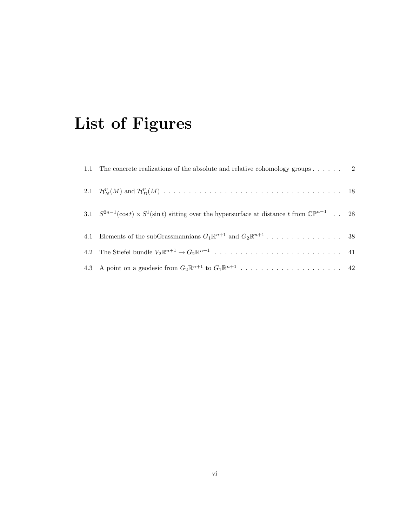# List of Figures

| 3.1 $S^{2n-1}(\cos t) \times S^1(\sin t)$ sitting over the hypersurface at distance t from $\mathbb{CP}^{n-1}$ . 28 |  |
|---------------------------------------------------------------------------------------------------------------------|--|
|                                                                                                                     |  |
|                                                                                                                     |  |
|                                                                                                                     |  |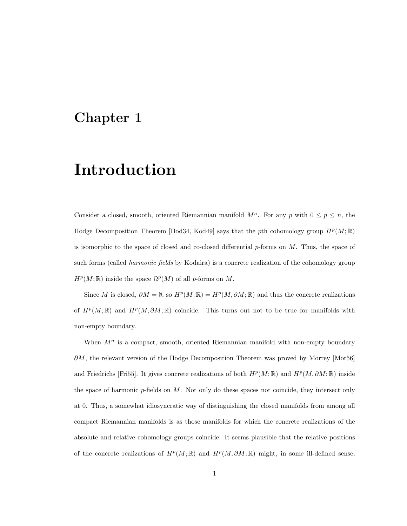### Chapter 1

# Introduction

Consider a closed, smooth, oriented Riemannian manifold  $M^n$ . For any p with  $0 \le p \le n$ , the Hodge Decomposition Theorem [Hod34, Kod49] says that the pth cohomology group  $H^p(M;\mathbb{R})$ is isomorphic to the space of closed and co-closed differential  $p$ -forms on  $M$ . Thus, the space of such forms (called *harmonic fields* by Kodaira) is a concrete realization of the cohomology group  $H^p(M; \mathbb{R})$  inside the space  $\Omega^p(M)$  of all p-forms on M.

Since M is closed,  $\partial M = \emptyset$ , so  $H^p(M; \mathbb{R}) = H^p(M, \partial M; \mathbb{R})$  and thus the concrete realizations of  $H^p(M;\mathbb{R})$  and  $H^p(M,\partial M;\mathbb{R})$  coincide. This turns out not to be true for manifolds with non-empty boundary.

When  $M<sup>n</sup>$  is a compact, smooth, oriented Riemannian manifold with non-empty boundary ∂M, the relevant version of the Hodge Decomposition Theorem was proved by Morrey [Mor56] and Friedrichs [Fri55]. It gives concrete realizations of both  $H^p(M;\mathbb{R})$  and  $H^p(M,\partial M;\mathbb{R})$  inside the space of harmonic  $p$ -fields on  $M$ . Not only do these spaces not coincide, they intersect only at 0. Thus, a somewhat idiosyncratic way of distinguishing the closed manifolds from among all compact Riemannian manifolds is as those manifolds for which the concrete realizations of the absolute and relative cohomology groups coincide. It seems plausible that the relative positions of the concrete realizations of  $H^p(M;\mathbb{R})$  and  $H^p(M,\partial M;\mathbb{R})$  might, in some ill-defined sense,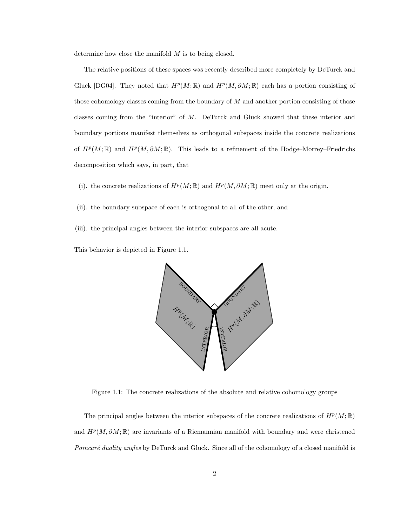determine how close the manifold  $M$  is to being closed.

The relative positions of these spaces was recently described more completely by DeTurck and Gluck [DG04]. They noted that  $H^p(M;\mathbb{R})$  and  $H^p(M,\partial M;\mathbb{R})$  each has a portion consisting of those cohomology classes coming from the boundary of  $M$  and another portion consisting of those classes coming from the "interior" of M. DeTurck and Gluck showed that these interior and boundary portions manifest themselves as orthogonal subspaces inside the concrete realizations of  $H^p(M;\mathbb{R})$  and  $H^p(M,\partial M;\mathbb{R})$ . This leads to a refinement of the Hodge–Morrey–Friedrichs decomposition which says, in part, that

- (i). the concrete realizations of  $H^p(M; \mathbb{R})$  and  $H^p(M, \partial M; \mathbb{R})$  meet only at the origin,
- (ii). the boundary subspace of each is orthogonal to all of the other, and
- (iii). the principal angles between the interior subspaces are all acute.

This behavior is depicted in Figure 1.1.



Figure 1.1: The concrete realizations of the absolute and relative cohomology groups

The principal angles between the interior subspaces of the concrete realizations of  $H^p(M;\mathbb{R})$ and  $H^p(M, \partial M;\mathbb{R})$  are invariants of a Riemannian manifold with boundary and were christened Poincaré duality angles by DeTurck and Gluck. Since all of the cohomology of a closed manifold is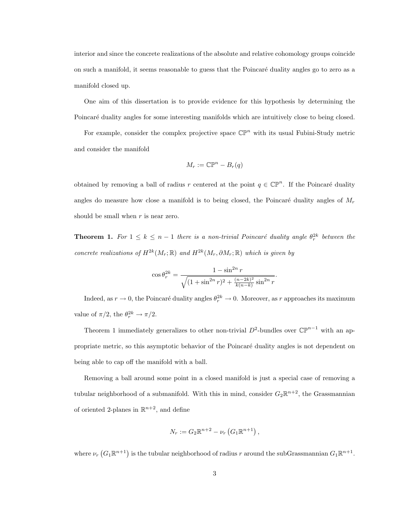interior and since the concrete realizations of the absolute and relative cohomology groups coincide on such a manifold, it seems reasonable to guess that the Poincaré duality angles go to zero as a manifold closed up.

One aim of this dissertation is to provide evidence for this hypothesis by determining the Poincaré duality angles for some interesting manifolds which are intuitively close to being closed.

For example, consider the complex projective space  $\mathbb{CP}^n$  with its usual Fubini-Study metric and consider the manifold

$$
M_r := \mathbb{CP}^n - B_r(q)
$$

obtained by removing a ball of radius r centered at the point  $q \in \mathbb{CP}^n$ . If the Poincaré duality angles do measure how close a manifold is to being closed, the Poincaré duality angles of  $M_r$ should be small when  $r$  is near zero.

**Theorem 1.** For  $1 \leq k \leq n-1$  there is a non-trivial Poincaré duality angle  $\theta_r^{2k}$  between the concrete realizations of  $H^{2k}(M_r;\mathbb{R})$  and  $H^{2k}(M_r,\partial M_r;\mathbb{R})$  which is given by

$$
\cos \theta_r^{2k} = \frac{1 - \sin^{2n} r}{\sqrt{(1 + \sin^{2n} r)^2 + \frac{(n - 2k)^2}{k(n - k)} \sin^{2n} r}}.
$$

Indeed, as  $r \to 0$ , the Poincaré duality angles  $\theta_r^{2k} \to 0$ . Moreover, as r approaches its maximum value of  $\pi/2$ , the  $\theta_r^{2k} \to \pi/2$ .

Theorem 1 immediately generalizes to other non-trivial  $D^2$ -bundles over  $\mathbb{CP}^{n-1}$  with an appropriate metric, so this asymptotic behavior of the Poincaré duality angles is not dependent on being able to cap off the manifold with a ball.

Removing a ball around some point in a closed manifold is just a special case of removing a tubular neighborhood of a submanifold. With this in mind, consider  $G_2\mathbb{R}^{n+2}$ , the Grassmannian of oriented 2-planes in  $\mathbb{R}^{n+2}$ , and define

$$
N_r := G_2 \mathbb{R}^{n+2} - \nu_r (G_1 \mathbb{R}^{n+1}),
$$

where  $\nu_r(G_1\mathbb{R}^{n+1})$  is the tubular neighborhood of radius r around the subGrassmannian  $G_1\mathbb{R}^{n+1}$ .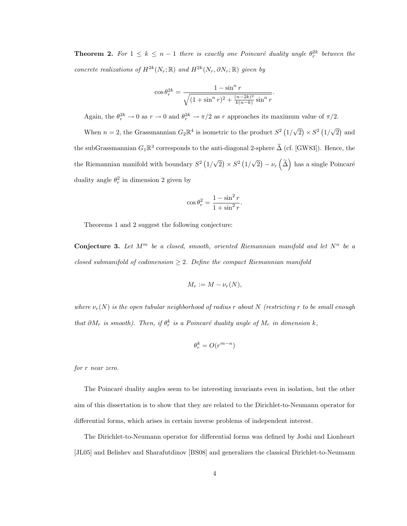**Theorem 2.** For  $1 \leq k \leq n-1$  there is exactly one Poincaré duality angle  $\theta_r^{2k}$  between the concrete realizations of  $H^{2k}(N_r;\mathbb{R})$  and  $H^{2k}(N_r,\partial N_r;\mathbb{R})$  given by

$$
\cos \theta_r^{2k} = \frac{1 - \sin^n r}{\sqrt{(1 + \sin^n r)^2 + \frac{(n - 2k)^2}{k(n - k)} \sin^n r}}.
$$

Again, the  $\theta_r^{2k} \to 0$  as  $r \to 0$  and  $\theta_r^{2k} \to \pi/2$  as r approaches its maximum value of  $\pi/2$ .

When  $n = 2$ , the Grassmannian  $G_2 \mathbb{R}^4$  is isometric to the product  $S^2$  (1/ √  $\overline{2})\times S^2(1)$ √  $\overline{2}$ ) and the subGrassmannian  $G_1\mathbb{R}^3$  corresponds to the anti-diagonal 2-sphere  $\tilde{\Delta}$  (cf. [GW83]). Hence, the the Riemannian manifold with boundary  $S^2(1)$ √  $\overline{2})\times S^2(1)$ √  $\overline{2}$ ) –  $\nu_r\left(\tilde{\Delta}\right)$  has a single Poincaré duality angle  $\theta_r^2$  in dimension 2 given by

$$
\cos \theta_r^2 = \frac{1 - \sin^2 r}{1 + \sin^2 r}.
$$

Theorems 1 and 2 suggest the following conjecture:

Conjecture 3. Let  $M^m$  be a closed, smooth, oriented Riemannian manifold and let  $N^n$  be a closed submanifold of codimension  $\geq 2$ . Define the compact Riemannian manifold

$$
M_r := M - \nu_r(N),
$$

where  $\nu_r(N)$  is the open tubular neighborhood of radius r about N (restricting r to be small enough that  $\partial M_r$  is smooth). Then, if  $\theta_r^k$  is a Poincaré duality angle of  $M_r$  in dimension k,

$$
\theta_r^k = O(r^{m-n})
$$

for r near zero.

The Poincaré duality angles seem to be interesting invariants even in isolation, but the other aim of this dissertation is to show that they are related to the Dirichlet-to-Neumann operator for differential forms, which arises in certain inverse problems of independent interest.

The Dirichlet-to-Neumann operator for differential forms was defined by Joshi and Lionheart [JL05] and Belishev and Sharafutdinov [BS08] and generalizes the classical Dirichlet-to-Neumann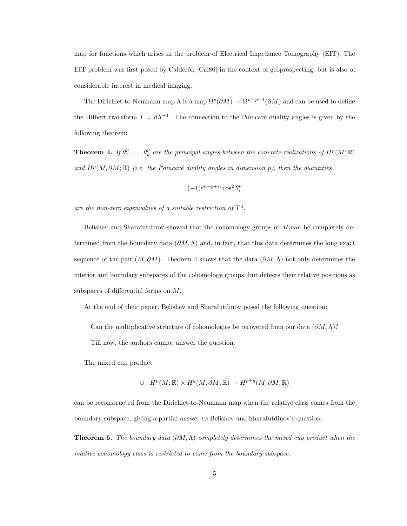map for functions which arises in the problem of Electrical Impedance Tomography (EIT). The EIT problem was first posed by Calderón [Cal80] in the context of geoprospecting, but is also of considerable interest in medical imaging.

The Dirichlet-to-Neumann map  $\Lambda$  is a map  $\Omega^p(\partial M) \to \Omega^{n-p-1}(\partial M)$  and can be used to define the Hilbert transform  $T = d\Lambda^{-1}$ . The connection to the Poincaré duality angles is given by the following theorem:

**Theorem 4.** If  $\theta_1^p, \ldots, \theta_k^p$  are the principal angles between the concrete realizations of  $H^p(M; \mathbb{R})$ and  $H^p(M, \partial M;\mathbb{R})$  (i.e. the Poincaré duality angles in dimension p), then the quantities

$$
(-1)^{pn+p+n}\cos^2\theta_i^p
$$

are the non-zero eigenvalues of a suitable restriction of  $T^2$ .

Belishev and Sharafutdinov showed that the cohomology groups of M can be completely determined from the boundary data  $(\partial M, \Lambda)$  and, in fact, that this data determines the long exact sequence of the pair  $(M, \partial M)$ . Theorem 4 shows that the data  $(\partial M, \Lambda)$  not only determines the interior and boundary subspaces of the cohomology groups, but detects their relative positions as subspaces of differential forms on M.

At the end of their paper, Belishev and Sharafutdinov posed the following question:

Can the multiplicative structure of cohomologies be recovered from our data  $(\partial M, \Lambda)$ ?

Till now, the authors cannot answer the question.

The mixed cup product

 $\cup: H^p(M; \mathbb{R}) \times H^q(M, \partial M; \mathbb{R}) \to H^{p+q}(M, \partial M; \mathbb{R})$ 

can be reconstructed from the Dirichlet-to-Neumann map when the relative class comes from the boundary subspace, giving a partial answer to Belishev and Sharafutdinov's question:

**Theorem 5.** The boundary data  $(\partial M, \Lambda)$  completely determines the mixed cup product when the relative cohomology class is restricted to come from the boundary subspace.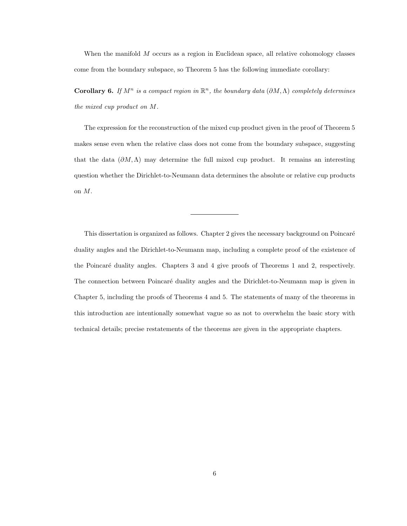When the manifold M occurs as a region in Euclidean space, all relative cohomology classes come from the boundary subspace, so Theorem 5 has the following immediate corollary:

**Corollary 6.** If  $M^n$  is a compact region in  $\mathbb{R}^n$ , the boundary data  $(\partial M, \Lambda)$  completely determines the mixed cup product on M.

The expression for the reconstruction of the mixed cup product given in the proof of Theorem 5 makes sense even when the relative class does not come from the boundary subspace, suggesting that the data  $(\partial M, \Lambda)$  may determine the full mixed cup product. It remains an interesting question whether the Dirichlet-to-Neumann data determines the absolute or relative cup products on M.

This dissertation is organized as follows. Chapter 2 gives the necessary background on Poincaré duality angles and the Dirichlet-to-Neumann map, including a complete proof of the existence of the Poincaré duality angles. Chapters 3 and 4 give proofs of Theorems 1 and 2, respectively. The connection between Poincaré duality angles and the Dirichlet-to-Neumann map is given in Chapter 5, including the proofs of Theorems 4 and 5. The statements of many of the theorems in this introduction are intentionally somewhat vague so as not to overwhelm the basic story with technical details; precise restatements of the theorems are given in the appropriate chapters.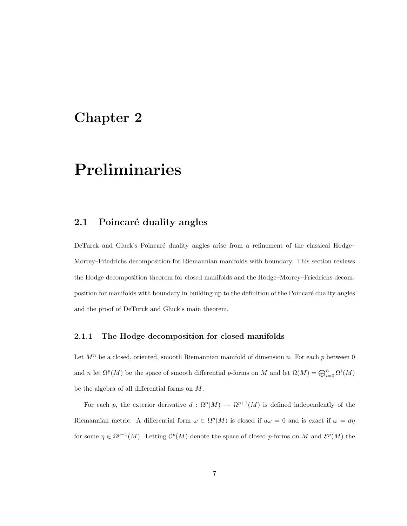### Chapter 2

## Preliminaries

#### 2.1 Poincaré duality angles

DeTurck and Gluck's Poincaré duality angles arise from a refinement of the classical Hodge– Morrey–Friedrichs decomposition for Riemannian manifolds with boundary. This section reviews the Hodge decomposition theorem for closed manifolds and the Hodge–Morrey–Friedrichs decomposition for manifolds with boundary in building up to the definition of the Poincaré duality angles and the proof of DeTurck and Gluck's main theorem.

#### 2.1.1 The Hodge decomposition for closed manifolds

Let  $M^n$  be a closed, oriented, smooth Riemannian manifold of dimension n. For each p between 0 and n let  $\Omega^p(M)$  be the space of smooth differential p-forms on M and let  $\Omega(M) = \bigoplus_{i=0}^n \Omega^i(M)$ be the algebra of all differential forms on M.

For each p, the exterior derivative  $d: \Omega^p(M) \to \Omega^{p+1}(M)$  is defined independently of the Riemannian metric. A differential form  $\omega \in \Omega^p(M)$  is closed if  $d\omega = 0$  and is exact if  $\omega = d\eta$ for some  $\eta \in \Omega^{p-1}(M)$ . Letting  $\mathcal{C}^p(M)$  denote the space of closed p-forms on M and  $\mathcal{E}^p(M)$  the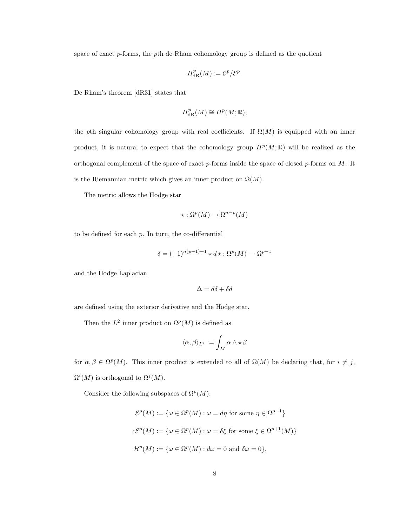space of exact p-forms, the pth de Rham cohomology group is defined as the quotient

$$
H^p_{\mathrm{dR}}(M):=\mathcal{C}^p/\mathcal{E}^p.
$$

De Rham's theorem [dR31] states that

$$
H^p_{\mathrm{dR}}(M) \cong H^p(M; \mathbb{R}),
$$

the pth singular cohomology group with real coefficients. If  $\Omega(M)$  is equipped with an inner product, it is natural to expect that the cohomology group  $H^p(M; \mathbb{R})$  will be realized as the orthogonal complement of the space of exact  $p$ -forms inside the space of closed  $p$ -forms on  $M$ . It is the Riemannian metric which gives an inner product on  $\Omega(M)$ .

The metric allows the Hodge star

$$
\star : \Omega^p(M) \to \Omega^{n-p}(M)
$$

to be defined for each  $p$ . In turn, the co-differential

$$
\delta=(-1)^{n(p+1)+1}\star d\star:\Omega^p(M)\to\Omega^{p-1}
$$

and the Hodge Laplacian

$$
\Delta = d\delta + \delta d
$$

are defined using the exterior derivative and the Hodge star.

Then the  $L^2$  inner product on  $\Omega^p(M)$  is defined as

$$
\langle \alpha, \beta \rangle_{L^2} := \int_M \alpha \wedge \star \beta
$$

for  $\alpha, \beta \in \Omega^p(M)$ . This inner product is extended to all of  $\Omega(M)$  be declaring that, for  $i \neq j$ ,  $\Omega^{i}(M)$  is orthogonal to  $\Omega^{j}(M)$ .

Consider the following subspaces of  $\Omega^p(M)$ :

$$
\mathcal{E}^p(M) := \{ \omega \in \Omega^p(M) : \omega = d\eta \text{ for some } \eta \in \Omega^{p-1} \}
$$
  

$$
c\mathcal{E}^p(M) := \{ \omega \in \Omega^p(M) : \omega = \delta \xi \text{ for some } \xi \in \Omega^{p+1}(M) \}
$$
  

$$
\mathcal{H}^p(M) := \{ \omega \in \Omega^p(M) : d\omega = 0 \text{ and } \delta\omega = 0 \},
$$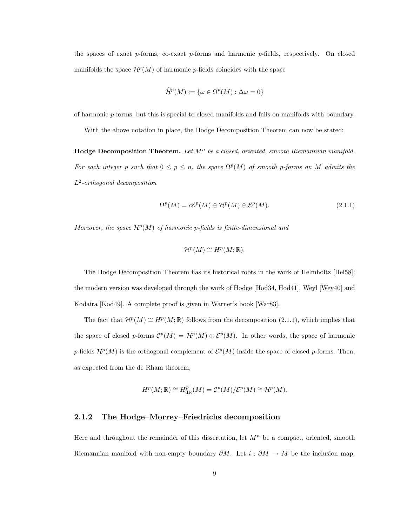the spaces of exact  $p$ -forms, co-exact  $p$ -forms and harmonic  $p$ -fields, respectively. On closed manifolds the space  $\mathcal{H}^p(M)$  of harmonic p-fields coincides with the space

$$
\widehat{\mathcal{H}}^p(M) := \{ \omega \in \Omega^p(M) : \Delta \omega = 0 \}
$$

of harmonic p-forms, but this is special to closed manifolds and fails on manifolds with boundary.

With the above notation in place, the Hodge Decomposition Theorem can now be stated:

**Hodge Decomposition Theorem.** Let  $M^n$  be a closed, oriented, smooth Riemannian manifold. For each integer p such that  $0 \le p \le n$ , the space  $\Omega^p(M)$  of smooth p-forms on M admits the L 2 -orthogonal decomposition

$$
\Omega^p(M) = c\mathcal{E}^p(M) \oplus \mathcal{H}^p(M) \oplus \mathcal{E}^p(M). \tag{2.1.1}
$$

Moreover, the space  $\mathcal{H}^p(M)$  of harmonic p-fields is finite-dimensional and

$$
\mathcal{H}^p(M) \cong H^p(M; \mathbb{R}).
$$

The Hodge Decomposition Theorem has its historical roots in the work of Helmholtz [Hel58]; the modern version was developed through the work of Hodge [Hod34, Hod41], Weyl [Wey40] and Kodaira [Kod49]. A complete proof is given in Warner's book [War83].

The fact that  $\mathcal{H}^p(M) \cong H^p(M;\mathbb{R})$  follows from the decomposition (2.1.1), which implies that the space of closed p-forms  $\mathcal{C}^p(M) = \mathcal{H}^p(M) \oplus \mathcal{E}^p(M)$ . In other words, the space of harmonic p-fields  $\mathcal{H}^p(M)$  is the orthogonal complement of  $\mathcal{E}^p(M)$  inside the space of closed p-forms. Then, as expected from the de Rham theorem,

$$
H^p(M;{\Bbb R})\cong H^p_{\rm dR}(M)={\mathcal C}^p(M)/{\mathcal E}^p(M)\cong {\mathcal H}^p(M).
$$

#### 2.1.2 The Hodge–Morrey–Friedrichs decomposition

Here and throughout the remainder of this dissertation, let  $M<sup>n</sup>$  be a compact, oriented, smooth Riemannian manifold with non-empty boundary  $\partial M$ . Let  $i : \partial M \to M$  be the inclusion map.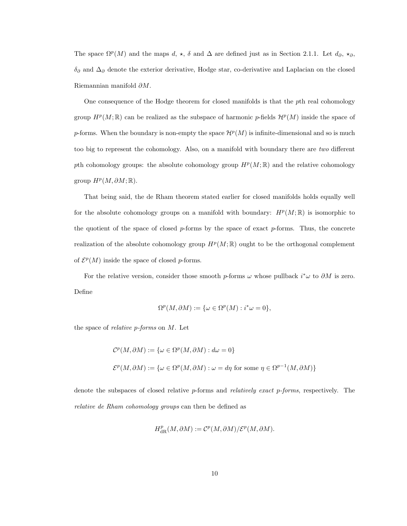The space  $\Omega^p(M)$  and the maps d,  $\star$ ,  $\delta$  and  $\Delta$  are defined just as in Section 2.1.1. Let  $d_{\partial}, \star_{\partial}$ ,  $\delta_{\partial}$  and  $\Delta_{\partial}$  denote the exterior derivative, Hodge star, co-derivative and Laplacian on the closed Riemannian manifold ∂M.

One consequence of the Hodge theorem for closed manifolds is that the pth real cohomology group  $H^p(M;\mathbb{R})$  can be realized as the subspace of harmonic p-fields  $\mathcal{H}^p(M)$  inside the space of p-forms. When the boundary is non-empty the space  $\mathcal{H}^p(M)$  is infinite-dimensional and so is much too big to represent the cohomology. Also, on a manifold with boundary there are two different pth cohomology groups: the absolute cohomology group  $H^p(M;\mathbb{R})$  and the relative cohomology group  $H^p(M, \partial M; \mathbb{R})$ .

That being said, the de Rham theorem stated earlier for closed manifolds holds equally well for the absolute cohomology groups on a manifold with boundary:  $H^p(M; \mathbb{R})$  is isomorphic to the quotient of the space of closed  $p$ -forms by the space of exact  $p$ -forms. Thus, the concrete realization of the absolute cohomology group  $H^p(M;\mathbb{R})$  ought to be the orthogonal complement of  $\mathcal{E}^p(M)$  inside the space of closed p-forms.

For the relative version, consider those smooth p-forms  $\omega$  whose pullback  $i^*\omega$  to  $\partial M$  is zero. Define

$$
\Omega^p(M, \partial M) := \{ \omega \in \Omega^p(M) : i^* \omega = 0 \},
$$

the space of *relative p-forms* on  $M$ . Let

$$
\mathcal{C}^p(M, \partial M) := \{ \omega \in \Omega^p(M, \partial M) : d\omega = 0 \}
$$
  

$$
\mathcal{E}^p(M, \partial M) := \{ \omega \in \Omega^p(M, \partial M) : \omega = d\eta \text{ for some } \eta \in \Omega^{p-1}(M, \partial M) \}
$$

denote the subspaces of closed relative  $p$ -forms and *relatively exact*  $p$ -forms, respectively. The relative de Rham cohomology groups can then be defined as

$$
H^p_{\mathrm{dR}}(M, \partial M) := \mathcal{C}^p(M, \partial M) / \mathcal{E}^p(M, \partial M).
$$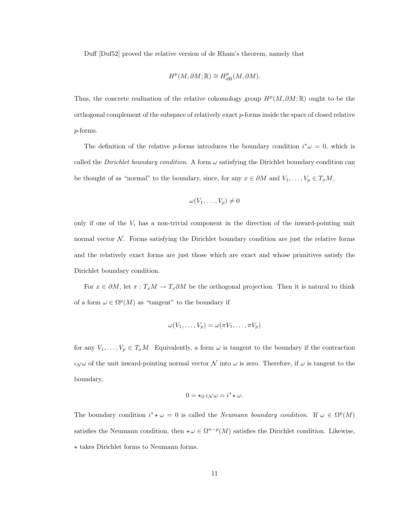Duff [Duf52] proved the relative version of de Rham's theorem, namely that

$$
H^p(M, \partial M; \mathbb{R}) \cong H^p_{\mathrm{dR}}(M, \partial M).
$$

Thus, the concrete realization of the relative cohomology group  $H^p(M, \partial M; \mathbb{R})$  ought to be the orthogonal complement of the subspace of relatively exact p-forms inside the space of closed relative p-forms.

The definition of the relative p-forms introduces the boundary condition  $i^*\omega = 0$ , which is called the Dirichlet boundary condition. A form  $\omega$  satisfying the Dirichlet boundary condition can be thought of as "normal" to the boundary, since, for any  $x \in \partial M$  and  $V_1, \ldots, V_p \in T_xM$ ,

$$
\omega(V_1,\ldots,V_p)\neq 0
$$

only if one of the  $V_i$  has a non-trivial component in the direction of the inward-pointing unit normal vector  $\mathcal N$ . Forms satisfying the Dirichlet boundary condition are just the relative forms and the relatively exact forms are just those which are exact and whose primitives satisfy the Dirichlet boundary condition.

For  $x \in \partial M$ , let  $\pi : T_xM \to T_x\partial M$  be the orthogonal projection. Then it is natural to think of a form  $\omega \in \Omega^p(M)$  as "tangent" to the boundary if

$$
\omega(V_1,\ldots,V_p)=\omega(\pi V_1,\ldots,\pi V_p)
$$

for any  $V_1, \ldots, V_p \in T_xM$ . Equivalently, a form  $\omega$  is tangent to the boundary if the contraction  $\iota_{\mathcal{N}}\omega$  of the unit inward-pointing normal vector  $\mathcal N$  into  $\omega$  is zero. Therefore, if  $\omega$  is tangent to the boundary,

$$
0 = \star_{\partial} \iota_{\mathcal{N}} \omega = i^* \star \omega.
$$

The boundary condition  $i^* \star \omega = 0$  is called the *Neumann boundary condition*. If  $\omega \in \Omega^p(M)$ satisfies the Neumann condition, then  $\star \omega \in \Omega^{n-p}(M)$  satisfies the Dirichlet condition. Likewise,  $\star$  takes Dirichlet forms to Neumann forms.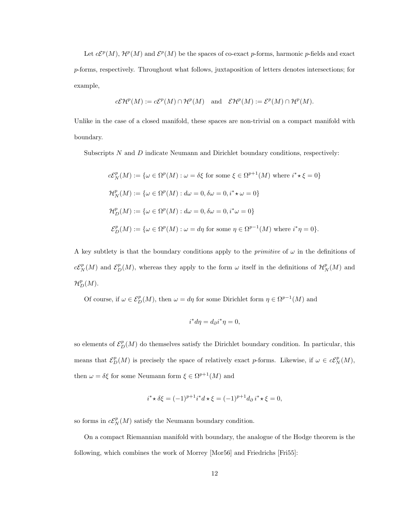Let  $c\mathcal{E}^p(M)$ ,  $\mathcal{H}^p(M)$  and  $\mathcal{E}^p(M)$  be the spaces of co-exact p-forms, harmonic p-fields and exact p-forms, respectively. Throughout what follows, juxtaposition of letters denotes intersections; for example,

$$
c\mathcal{E}\mathcal{H}^p(M) := c\mathcal{E}^p(M) \cap \mathcal{H}^p(M) \quad \text{and} \quad \mathcal{E}\mathcal{H}^p(M) := \mathcal{E}^p(M) \cap \mathcal{H}^p(M).
$$

Unlike in the case of a closed manifold, these spaces are non-trivial on a compact manifold with boundary.

Subscripts  $N$  and  $D$  indicate Neumann and Dirichlet boundary conditions, respectively:

$$
c\mathcal{E}_N^p(M) := \{ \omega \in \Omega^p(M) : \omega = \delta \xi \text{ for some } \xi \in \Omega^{p+1}(M) \text{ where } i^* \star \xi = 0 \}
$$
  

$$
\mathcal{H}_N^p(M) := \{ \omega \in \Omega^p(M) : d\omega = 0, \delta\omega = 0, i^* \star \omega = 0 \}
$$
  

$$
\mathcal{H}_D^p(M) := \{ \omega \in \Omega^p(M) : d\omega = 0, \delta\omega = 0, i^* \omega = 0 \}
$$
  

$$
\mathcal{E}_D^p(M) := \{ \omega \in \Omega^p(M) : \omega = d\eta \text{ for some } \eta \in \Omega^{p-1}(M) \text{ where } i^*\eta = 0 \}.
$$

A key subtlety is that the boundary conditions apply to the *primitive* of  $\omega$  in the definitions of  $c\mathcal{E}_N^p(M)$  and  $\mathcal{E}_D^p(M)$ , whereas they apply to the form  $\omega$  itself in the definitions of  $\mathcal{H}_N^p(M)$  and  $\mathcal{H}_D^p(M).$ 

Of course, if  $\omega \in \mathcal{E}_D^p(M)$ , then  $\omega = d\eta$  for some Dirichlet form  $\eta \in \Omega^{p-1}(M)$  and

$$
i^*d\eta = d_{\partial}i^*\eta = 0,
$$

so elements of  $\mathcal{E}_D^p(M)$  do themselves satisfy the Dirichlet boundary condition. In particular, this means that  $\mathcal{E}_D^p(M)$  is precisely the space of relatively exact p-forms. Likewise, if  $\omega \in c\mathcal{E}_N^p(M)$ , then  $\omega = \delta \xi$  for some Neumann form  $\xi \in \Omega^{p+1}(M)$  and

$$
i^* \star \delta \xi = (-1)^{p+1} i^* d \star \xi = (-1)^{p+1} d_{\partial} i^* \star \xi = 0,
$$

so forms in  $c\mathcal{E}_N^p(M)$  satisfy the Neumann boundary condition.

On a compact Riemannian manifold with boundary, the analogue of the Hodge theorem is the following, which combines the work of Morrey [Mor56] and Friedrichs [Fri55]: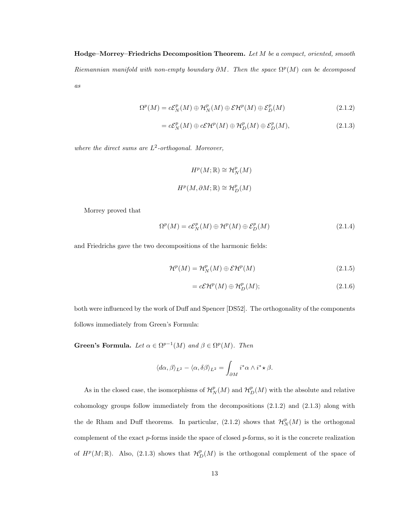$Hodge-Morrey-Friedrichs Decomposition Theorem. Let M be a compact, oriented, smooth$ Riemannian manifold with non-empty boundary  $\partial M$ . Then the space  $\Omega^p(M)$  can be decomposed as

$$
\Omega^{p}(M) = c\mathcal{E}_{N}^{p}(M) \oplus \mathcal{H}_{N}^{p}(M) \oplus \mathcal{E}\mathcal{H}^{p}(M) \oplus \mathcal{E}_{D}^{p}(M)
$$
\n(2.1.2)

$$
=c\mathcal{E}_N^p(M)\oplus c\mathcal{E}\mathcal{H}^p(M)\oplus \mathcal{H}_D^p(M)\oplus \mathcal{E}_D^p(M),\tag{2.1.3}
$$

where the direct sums are  $L^2$ -orthogonal. Moreover,

$$
H^p(M; \mathbb{R}) \cong \mathcal{H}_N^p(M)
$$
  

$$
H^p(M, \partial M; \mathbb{R}) \cong \mathcal{H}_D^p(M)
$$

Morrey proved that

$$
\Omega^{p}(M) = c\mathcal{E}_{N}^{p}(M) \oplus \mathcal{H}^{p}(M) \oplus \mathcal{E}_{D}^{p}(M)
$$
\n(2.1.4)

and Friedrichs gave the two decompositions of the harmonic fields:

$$
\mathcal{H}^p(M) = \mathcal{H}_N^p(M) \oplus \mathcal{E}\mathcal{H}^p(M) \tag{2.1.5}
$$

$$
= c\mathcal{E}\mathcal{H}^p(M) \oplus \mathcal{H}_D^p(M); \tag{2.1.6}
$$

both were influenced by the work of Duff and Spencer [DS52]. The orthogonality of the components follows immediately from Green's Formula:

Green's Formula. Let  $\alpha \in \Omega^{p-1}(M)$  and  $\beta \in \Omega^p(M)$ . Then

$$
\langle d\alpha, \beta \rangle_{L^2} - \langle \alpha, \delta\beta \rangle_{L^2} = \int_{\partial M} i^* \alpha \wedge i^* \star \beta.
$$

As in the closed case, the isomorphisms of  $\mathcal{H}_N^p(M)$  and  $\mathcal{H}_D^p(M)$  with the absolute and relative cohomology groups follow immediately from the decompositions (2.1.2) and (2.1.3) along with the de Rham and Duff theorems. In particular,  $(2.1.2)$  shows that  $\mathcal{H}_N^p(M)$  is the orthogonal complement of the exact  $p$ -forms inside the space of closed  $p$ -forms, so it is the concrete realization of  $H^p(M;\mathbb{R})$ . Also, (2.1.3) shows that  $\mathcal{H}_D^p(M)$  is the orthogonal complement of the space of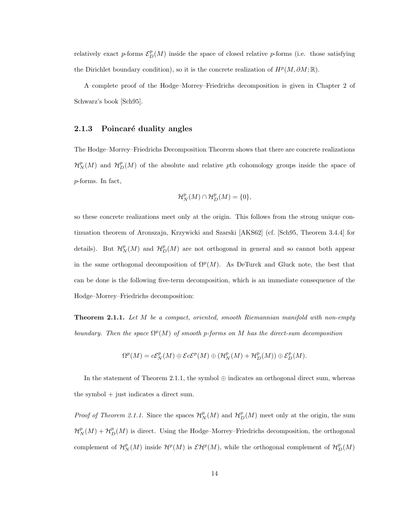relatively exact p-forms  $\mathcal{E}_D^p(M)$  inside the space of closed relative p-forms (i.e. those satisfying the Dirichlet boundary condition), so it is the concrete realization of  $H^p(M, \partial M; \mathbb{R})$ .

A complete proof of the Hodge–Morrey–Friedrichs decomposition is given in Chapter 2 of Schwarz's book [Sch95].

#### 2.1.3 Poincaré duality angles

The Hodge–Morrey–Friedrichs Decomposition Theorem shows that there are concrete realizations  $\mathcal{H}_N^p(M)$  and  $\mathcal{H}_D^p(M)$  of the absolute and relative pth cohomology groups inside the space of p-forms. In fact,

$$
\mathcal{H}^p_N(M)\cap\mathcal{H}^p_D(M)=\{0\},
$$

so these concrete realizations meet only at the origin. This follows from the strong unique continuation theorem of Aronszajn, Krzywicki and Szarski [AKS62] (cf. [Sch95, Theorem 3.4.4] for details). But  $\mathcal{H}_N^p(M)$  and  $\mathcal{H}_D^p(M)$  are not orthogonal in general and so cannot both appear in the same orthogonal decomposition of  $\Omega^p(M)$ . As DeTurck and Gluck note, the best that can be done is the following five-term decomposition, which is an immediate consequence of the Hodge–Morrey–Friedrichs decomposition:

**Theorem 2.1.1.** Let M be a compact, oriented, smooth Riemannian manifold with non-empty boundary. Then the space  $\Omega^p(M)$  of smooth p-forms on M has the direct-sum decomposition

$$
\Omega^p(M) = c\mathcal{E}_N^p(M) \oplus \mathcal{E}c\mathcal{E}^p(M) \oplus (\mathcal{H}_N^p(M) + \mathcal{H}_D^p(M)) \oplus \mathcal{E}_D^p(M).
$$

In the statement of Theorem 2.1.1, the symbol  $\oplus$  indicates an orthogonal direct sum, whereas the symbol + just indicates a direct sum.

*Proof of Theorem 2.1.1.* Since the spaces  $\mathcal{H}_N^p(M)$  and  $\mathcal{H}_D^p(M)$  meet only at the origin, the sum  $\mathcal{H}_N^p(M) + \mathcal{H}_D^p(M)$  is direct. Using the Hodge–Morrey–Friedrichs decomposition, the orthogonal complement of  $\mathcal{H}_N^p(M)$  inside  $\mathcal{H}^p(M)$  is  $\mathcal{E}\mathcal{H}^p(M)$ , while the orthogonal complement of  $\mathcal{H}_D^p(M)$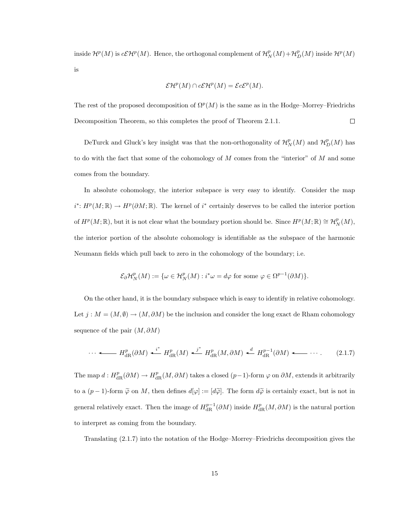inside  $\mathcal{H}^p(M)$  is  $c\mathcal{E}\mathcal{H}^p(M)$ . Hence, the orthogonal complement of  $\mathcal{H}_N^p(M)+\mathcal{H}_D^p(M)$  inside  $\mathcal{H}^p(M)$ is

$$
\mathcal{E}\mathcal{H}^p(M) \cap c\mathcal{E}\mathcal{H}^p(M) = \mathcal{E}c\mathcal{E}^p(M).
$$

The rest of the proposed decomposition of  $\Omega^p(M)$  is the same as in the Hodge–Morrey–Friedrichs Decomposition Theorem, so this completes the proof of Theorem 2.1.1.  $\Box$ 

DeTurck and Gluck's key insight was that the non-orthogonality of  $\mathcal{H}_N^p(M)$  and  $\mathcal{H}_D^p(M)$  has to do with the fact that some of the cohomology of  $M$  comes from the "interior" of  $M$  and some comes from the boundary.

In absolute cohomology, the interior subspace is very easy to identify. Consider the map  $i^*: H^p(M; \mathbb{R}) \to H^p(\partial M; \mathbb{R})$ . The kernel of  $i^*$  certainly deserves to be called the interior portion of  $H^p(M;\mathbb{R})$ , but it is not clear what the boundary portion should be. Since  $H^p(M;\mathbb{R}) \cong \mathcal{H}_N^p(M)$ , the interior portion of the absolute cohomology is identifiable as the subspace of the harmonic Neumann fields which pull back to zero in the cohomology of the boundary; i.e.

$$
\mathcal{E}_{\partial} \mathcal{H}_N^p(M) := \{ \omega \in \mathcal{H}_N^p(M) : i^* \omega = d\varphi \text{ for some } \varphi \in \Omega^{p-1}(\partial M) \}.
$$

On the other hand, it is the boundary subspace which is easy to identify in relative cohomology. Let  $j : M = (M, \emptyset) \to (M, \partial M)$  be the inclusion and consider the long exact de Rham cohomology sequence of the pair  $(M, \partial M)$ 

$$
\cdots \longleftarrow H_{\text{dR}}^p(\partial M) \stackrel{i^*}{\longleftarrow} H_{\text{dR}}^p(M) \stackrel{j^*}{\longleftarrow} H_{\text{dR}}^p(M, \partial M) \stackrel{d}{\longleftarrow} H_{\text{dR}}^{p-1}(\partial M) \longleftarrow \cdots. \tag{2.1.7}
$$

The map  $d: H^p_{\text{dR}}(\partial M) \to H^p_{\text{dR}}(M, \partial M)$  takes a closed  $(p-1)$ -form  $\varphi$  on  $\partial M$ , extends it arbitrarily to a  $(p-1)$ -form  $\tilde{\varphi}$  on M, then defines  $d[\varphi] := [d\tilde{\varphi}]$ . The form  $d\tilde{\varphi}$  is certainly exact, but is not in general relatively exact. Then the image of  $H_{\text{dR}}^{p-1}(\partial M)$  inside  $H_{\text{dR}}^p(M, \partial M)$  is the natural portion to interpret as coming from the boundary.

Translating (2.1.7) into the notation of the Hodge–Morrey–Friedrichs decomposition gives the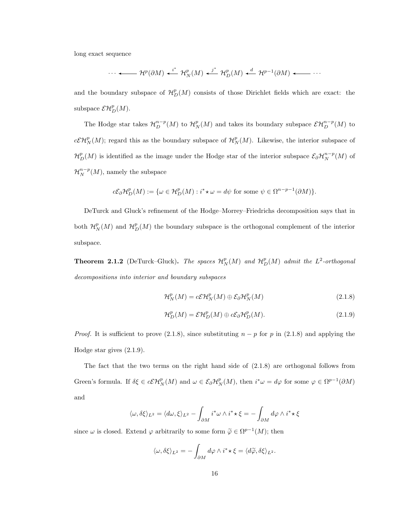long exact sequence

$$
\cdots \leftarrow \mathcal{H}^p(\partial M) \leftarrow^{i^*} \mathcal{H}_N^p(M) \leftarrow^{j^*} \mathcal{H}_D^p(M) \leftarrow^{d} \mathcal{H}^{p-1}(\partial M) \leftarrow \cdots
$$

and the boundary subspace of  $\mathcal{H}_D^p(M)$  consists of those Dirichlet fields which are exact: the subspace  $\mathcal{EH}_D^p(M)$ .

The Hodge star takes  $\mathcal{H}_D^{n-p}(M)$  to  $\mathcal{H}_N^p(M)$  and takes its boundary subspace  $\mathcal{E}\mathcal{H}_D^{n-p}(M)$  to  $c\mathcal{CH}_N^p(M)$ ; regard this as the boundary subspace of  $\mathcal{H}_N^p(M)$ . Likewise, the interior subspace of  $\mathcal{H}_D^p(M)$  is identified as the image under the Hodge star of the interior subspace  $\mathcal{E}_{\partial} \mathcal{H}_N^{n-p}(M)$  of  $\mathcal{H}_N^{n-p}(M)$ , namely the subspace

$$
c\mathcal{E}_{\partial} \mathcal{H}_D^p(M) := \{ \omega \in \mathcal{H}_D^p(M) : i^* \star \omega = d\psi \text{ for some } \psi \in \Omega^{n-p-1}(\partial M) \}.
$$

DeTurck and Gluck's refinement of the Hodge–Morrey–Friedrichs decomposition says that in both  $\mathcal{H}_N^p(M)$  and  $\mathcal{H}_D^p(M)$  the boundary subspace is the orthogonal complement of the interior subspace.

**Theorem 2.1.2** (DeTurck–Gluck). The spaces  $\mathcal{H}_N^p(M)$  and  $\mathcal{H}_D^p(M)$  admit the  $L^2$ -orthogonal decompositions into interior and boundary subspaces

$$
\mathcal{H}_N^p(M) = c\mathcal{E}\mathcal{H}_N^p(M) \oplus \mathcal{E}_{\partial}\mathcal{H}_N^p(M)
$$
\n(2.1.8)

$$
\mathcal{H}_D^p(M) = \mathcal{E}\mathcal{H}_D^p(M) \oplus c\mathcal{E}_{\partial}\mathcal{H}_D^p(M). \tag{2.1.9}
$$

*Proof.* It is sufficient to prove (2.1.8), since substituting  $n - p$  for p in (2.1.8) and applying the Hodge star gives (2.1.9).

The fact that the two terms on the right hand side of (2.1.8) are orthogonal follows from Green's formula. If  $\delta \xi \in c\mathcal{E}H_N^p(M)$  and  $\omega \in \mathcal{E}_{\partial}H_N^p(M)$ , then  $i^*\omega = d\varphi$  for some  $\varphi \in \Omega^{p-1}(\partial M)$ and

$$
\langle \omega, \delta \xi \rangle_{L^2} = \langle d\omega, \xi \rangle_{L^2} - \int_{\partial M} i^* \omega \wedge i^* \star \xi = - \int_{\partial M} d\varphi \wedge i^* \star \xi
$$

since  $\omega$  is closed. Extend  $\varphi$  arbitrarily to some form  $\widetilde{\varphi} \in \Omega^{p-1}(M)$ ; then

$$
\langle \omega, \delta \xi \rangle_{L^2} = - \int_{\partial M} d\varphi \wedge i^* \star \xi = \langle d\widetilde{\varphi}, \delta \xi \rangle_{L^2}.
$$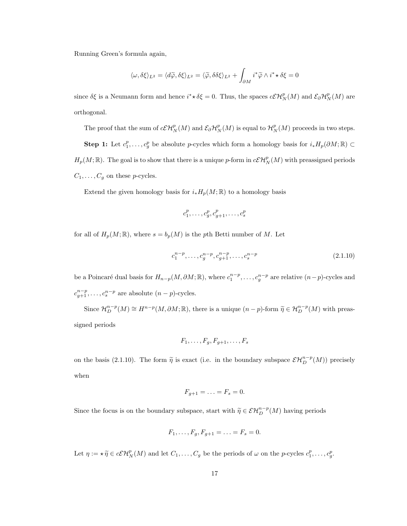Running Green's formula again,

$$
\langle \omega, \delta \xi \rangle_{L^2} = \langle d\widetilde{\varphi}, \delta \xi \rangle_{L^2} = \langle \widetilde{\varphi}, \delta \delta \xi \rangle_{L^2} + \int_{\partial M} i^* \widetilde{\varphi} \wedge i^* \star \delta \xi = 0
$$

since  $\delta \xi$  is a Neumann form and hence  $i^* \star \delta \xi = 0$ . Thus, the spaces  $c\mathcal{E} \mathcal{H}_N^p(M)$  and  $\mathcal{E}_{\partial} \mathcal{H}_N^p(M)$  are orthogonal.

The proof that the sum of  $c\mathcal{EH}_N^p(M)$  and  $\mathcal{E}_{\partial}\mathcal{H}_N^p(M)$  is equal to  $\mathcal{H}_N^p(M)$  proceeds in two steps.

**Step 1:** Let  $c_1^p, \ldots, c_g^p$  be absolute p-cycles which form a homology basis for  $i_* H_p(\partial M; \mathbb{R}) \subset$  $H_p(M;\mathbb{R})$ . The goal is to show that there is a unique p-form in  $c\mathcal{EH}_N^p(M)$  with preassigned periods  $C_1, \ldots, C_g$  on these *p*-cycles.

Extend the given homology basis for  $i_* H_p(M; \mathbb{R})$  to a homology basis

$$
c_1^p, \ldots, c_g^p, c_{g+1}^p, \ldots, c_s^p
$$

for all of  $H_p(M; \mathbb{R})$ , where  $s = b_p(M)$  is the pth Betti number of M. Let

$$
c_1^{n-p}, \dots, c_g^{n-p}, c_{g+1}^{n-p}, \dots, c_s^{n-p}
$$
\n(2.1.10)

be a Poincaré dual basis for  $H_{n-p}(M, \partial M; \mathbb{R})$ , where  $c_1^{n-p}, \ldots, c_g^{n-p}$  are relative  $(n-p)$ -cycles and  $c_{g+1}^{n-p}, \ldots, c_s^{n-p}$  are absolute  $(n-p)$ -cycles.

Since  $\mathcal{H}_D^{n-p}(M) \cong H^{n-p}(M, \partial M; \mathbb{R})$ , there is a unique  $(n-p)$ -form  $\widetilde{\eta} \in \mathcal{H}_D^{n-p}(M)$  with preassigned periods

$$
F_1,\ldots,F_g,F_{g+1},\ldots,F_s
$$

on the basis (2.1.10). The form  $\tilde{\eta}$  is exact (i.e. in the boundary subspace  $\mathcal{EH}_{D}^{n-p}(M)$ ) precisely when

$$
F_{g+1}=\ldots=F_s=0.
$$

Since the focus is on the boundary subspace, start with  $\widetilde{\eta} \in \mathcal{EH}_{D}^{n-p}(M)$  having periods

$$
F_1, \ldots, F_g, F_{g+1} = \ldots = F_s = 0.
$$

Let  $\eta := \star \widetilde{\eta} \in c\mathcal{E}\mathcal{H}_N^p(M)$  and let  $C_1, \ldots, C_g$  be the periods of  $\omega$  on the p-cycles  $c_1^p, \ldots, c_g^p$ .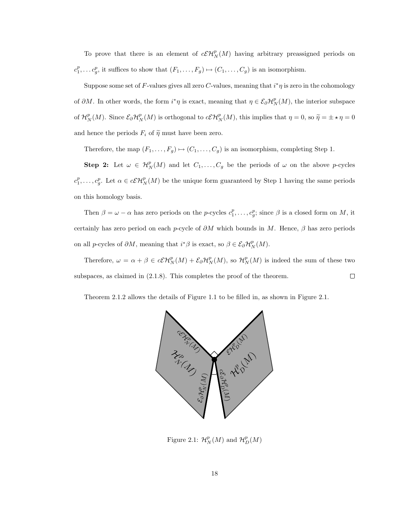To prove that there is an element of  $c\mathcal{E}H_N^p(M)$  having arbitrary preassigned periods on  $c_1^p, \ldots c_g^p$ , it suffices to show that  $(F_1, \ldots, F_g) \mapsto (C_1, \ldots, C_g)$  is an isomorphism.

Suppose some set of F-values gives all zero C-values, meaning that  $i^*\eta$  is zero in the cohomology of  $\partial M$ . In other words, the form  $i^*\eta$  is exact, meaning that  $\eta \in \mathcal{E}_{\partial} \mathcal{H}_N^p(M)$ , the interior subspace of  $\mathcal{H}_N^p(M)$ . Since  $\mathcal{E}_{\partial}\mathcal{H}_N^p(M)$  is orthogonal to  $c\mathcal{E}\mathcal{H}_N^p(M)$ , this implies that  $\eta=0$ , so  $\widetilde{\eta}=\pm \star \eta=0$ and hence the periods  $F_i$  of  $\tilde{\eta}$  must have been zero.

Therefore, the map  $(F_1, \ldots, F_g) \mapsto (C_1, \ldots, C_g)$  is an isomorphism, completing Step 1.

**Step 2:** Let  $\omega \in H_N^p(M)$  and let  $C_1, \ldots, C_g$  be the periods of  $\omega$  on the above p-cycles  $c_1^p,\ldots,c_g^p$ . Let  $\alpha \in c\mathcal{CH}_N^p(M)$  be the unique form guaranteed by Step 1 having the same periods on this homology basis.

Then  $\beta = \omega - \alpha$  has zero periods on the p-cycles  $c_1^p, \ldots, c_g^p$ ; since  $\beta$  is a closed form on M, it certainly has zero period on each p-cycle of  $\partial M$  which bounds in M. Hence,  $\beta$  has zero periods on all p-cycles of  $\partial M$ , meaning that  $i^*\beta$  is exact, so  $\beta \in \mathcal{E}_{\partial} \mathcal{H}_N^p(M)$ .

Therefore,  $\omega = \alpha + \beta \in c\mathcal{E}\mathcal{H}_N^p(M) + \mathcal{E}_{\partial}\mathcal{H}_N^p(M)$ , so  $\mathcal{H}_N^p(M)$  is indeed the sum of these two subspaces, as claimed in (2.1.8). This completes the proof of the theorem.  $\Box$ 

Theorem 2.1.2 allows the details of Figure 1.1 to be filled in, as shown in Figure 2.1.



Figure 2.1:  $\mathcal{H}_N^p(M)$  and  $\mathcal{H}_D^p(M)$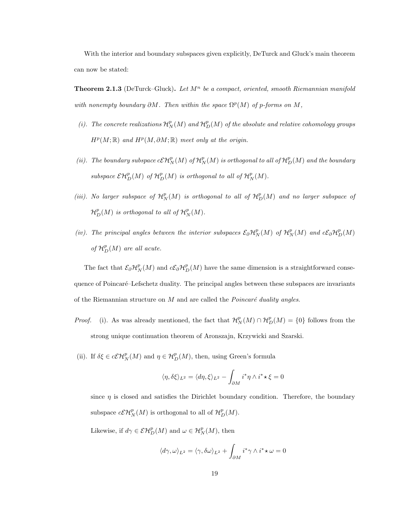With the interior and boundary subspaces given explicitly, DeTurck and Gluck's main theorem can now be stated:

**Theorem 2.1.3** (DeTurck–Gluck). Let  $M<sup>n</sup>$  be a compact, oriented, smooth Riemannian manifold with nonempty boundary  $\partial M$ . Then within the space  $\Omega^p(M)$  of p-forms on M,

- (i). The concrete realizations  $\mathcal{H}_N^p(M)$  and  $\mathcal{H}_D^p(M)$  of the absolute and relative cohomology groups  $H^p(M; \mathbb{R})$  and  $H^p(M, \partial M; \mathbb{R})$  meet only at the origin.
- (ii). The boundary subspace  $c\mathcal{E}H_N^p(M)$  of  $\mathcal{H}_N^p(M)$  is orthogonal to all of  $\mathcal{H}_D^p(M)$  and the boundary subspace  $\mathcal{EH}_D^p(M)$  of  $\mathcal{H}_D^p(M)$  is orthogonal to all of  $\mathcal{H}_N^p(M)$ .
- (iii). No larger subspace of  $\mathcal{H}_N^p(M)$  is orthogonal to all of  $\mathcal{H}_D^p(M)$  and no larger subspace of  ${\mathcal H}^p_D(M)$  is orthogonal to all of  ${\mathcal H}^p_N(M).$
- (iv). The principal angles between the interior subspaces  $\mathcal{E}_{\partial} \mathcal{H}_N^p(M)$  of  $\mathcal{H}_N^p(M)$  and  $c\mathcal{E}_{\partial} \mathcal{H}_D^p(M)$ of  $\mathcal{H}_D^p(M)$  are all acute.

The fact that  $\mathcal{E}_{\partial} \mathcal{H}_N^p(M)$  and  $c\mathcal{E}_{\partial} \mathcal{H}_D^p(M)$  have the same dimension is a straightforward consequence of Poincaré–Lefschetz duality. The principal angles between these subspaces are invariants of the Riemannian structure on  $M$  and are called the  $Poincaré$  duality angles.

*Proof.* (i). As was already mentioned, the fact that  $\mathcal{H}_N^p(M) \cap \mathcal{H}_D^p(M) = \{0\}$  follows from the strong unique continuation theorem of Aronszajn, Krzywicki and Szarski.

(ii). If  $\delta \xi \in c\mathcal{E}H_N^p(M)$  and  $\eta \in \mathcal{H}_D^p(M)$ , then, using Green's formula

$$
\langle \eta, \delta \xi \rangle_{L^2} = \langle d\eta, \xi \rangle_{L^2} - \int_{\partial M} i^* \eta \wedge i^* \star \xi = 0
$$

since  $\eta$  is closed and satisfies the Dirichlet boundary condition. Therefore, the boundary subspace  $c\mathcal{EH}_N^p(M)$  is orthogonal to all of  $\mathcal{H}_D^p(M)$ .

Likewise, if  $d\gamma \in \mathcal{EH}_D^p(M)$  and  $\omega \in \mathcal{H}_N^p(M)$ , then

$$
\langle d\gamma, \omega \rangle_{L^2} = \langle \gamma, \delta \omega \rangle_{L^2} + \int_{\partial M} i^* \gamma \wedge i^* \star \omega = 0
$$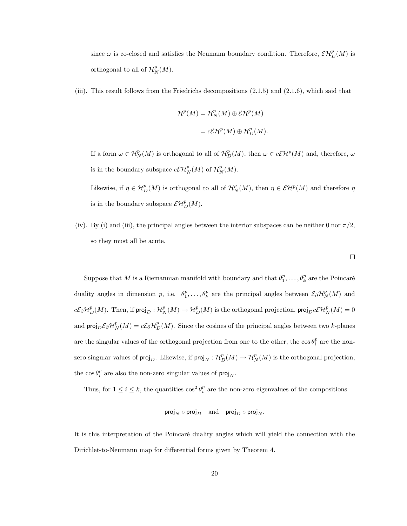since  $\omega$  is co-closed and satisfies the Neumann boundary condition. Therefore,  $\mathcal{EH}_D^p(M)$  is orthogonal to all of  $\mathcal{H}_N^p(M)$ .

(iii). This result follows from the Friedrichs decompositions (2.1.5) and (2.1.6), which said that

$$
\mathcal{H}^p(M) = \mathcal{H}_N^p(M) \oplus \mathcal{E}\mathcal{H}^p(M)
$$

$$
= c\mathcal{E}\mathcal{H}^p(M) \oplus \mathcal{H}_D^p(M).
$$

If a form  $\omega \in H^p_N(M)$  is orthogonal to all of  $H^p_D(M)$ , then  $\omega \in c\mathcal{EH}^p(M)$  and, therefore,  $\omega$ is in the boundary subspace  $c\mathcal{EH}_N^p(M)$  of  $\mathcal{H}_N^p(M)$ .

Likewise, if  $\eta \in H_D^p(M)$  is orthogonal to all of  $H_N^p(M)$ , then  $\eta \in \mathcal{E}H^p(M)$  and therefore  $\eta$ is in the boundary subspace  $\mathcal{EH}_D^p(M)$ .

(iv). By (i) and (iii), the principal angles between the interior subspaces can be neither 0 nor  $\pi/2$ , so they must all be acute.

Suppose that M is a Riemannian manifold with boundary and that  $\theta_1^p, \ldots, \theta_k^p$  are the Poincaré duality angles in dimension p, i.e.  $\theta_1^p, \ldots, \theta_k^p$  are the principal angles between  $\mathcal{E}_{\partial} \mathcal{H}_N^p(M)$  and  $c\mathcal{E}_{\partial}H_D^p(M)$ . Then, if  $\mathsf{proj}_D: \mathcal{H}_N^p(M) \to \mathcal{H}_D^p(M)$  is the orthogonal projection,  $\mathsf{proj}_D c\mathcal{E}H_N^p(M) = 0$ and  $\text{proj}_D \mathcal{E}_\partial \mathcal{H}_N^p(M) = c \mathcal{E}_\partial \mathcal{H}_D^p(M)$ . Since the cosines of the principal angles between two k-planes are the singular values of the orthogonal projection from one to the other, the  $\cos \theta_i^p$  are the nonzero singular values of  $\text{proj}_D$ . Likewise, if  $\text{proj}_N : \mathcal{H}_D^p(M) \to \mathcal{H}_N^p(M)$  is the orthogonal projection, the  $\cos \theta_i^p$  are also the non-zero singular values of  $proj_N$ .

Thus, for  $1 \leq i \leq k$ , the quantities  $\cos^2 \theta_i^p$  are the non-zero eigenvalues of the compositions

$$
\mathsf{proj}_N \circ \mathsf{proj}_D \quad \text{and} \quad \mathsf{proj}_D \circ \mathsf{proj}_N.
$$

It is this interpretation of the Poincaré duality angles which will yield the connection with the Dirichlet-to-Neumann map for differential forms given by Theorem 4.

 $\Box$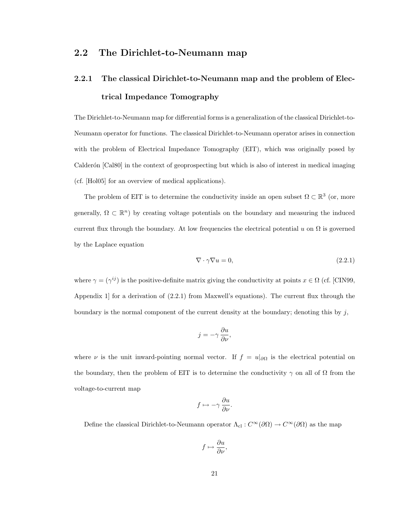#### 2.2 The Dirichlet-to-Neumann map

### 2.2.1 The classical Dirichlet-to-Neumann map and the problem of Electrical Impedance Tomography

The Dirichlet-to-Neumann map for differential forms is a generalization of the classical Dirichlet-to-Neumann operator for functions. The classical Dirichlet-to-Neumann operator arises in connection with the problem of Electrical Impedance Tomography (EIT), which was originally posed by Calderón [Cal80] in the context of geoprospecting but which is also of interest in medical imaging (cf. [Hol05] for an overview of medical applications).

The problem of EIT is to determine the conductivity inside an open subset  $\Omega \subset \mathbb{R}^3$  (or, more generally,  $\Omega \subset \mathbb{R}^n$ ) by creating voltage potentials on the boundary and measuring the induced current flux through the boundary. At low frequencies the electrical potential u on  $\Omega$  is governed by the Laplace equation

$$
\nabla \cdot \gamma \nabla u = 0,\tag{2.2.1}
$$

where  $\gamma = (\gamma^{ij})$  is the positive-definite matrix giving the conductivity at points  $x \in \Omega$  (cf. [CIN99,] Appendix 1 for a derivation of  $(2.2.1)$  from Maxwell's equations). The current flux through the boundary is the normal component of the current density at the boundary; denoting this by  $j$ ,

$$
j = -\gamma \frac{\partial u}{\partial \nu},
$$

where  $\nu$  is the unit inward-pointing normal vector. If  $f = u|_{\partial\Omega}$  is the electrical potential on the boundary, then the problem of EIT is to determine the conductivity  $\gamma$  on all of  $\Omega$  from the voltage-to-current map

$$
f\mapsto -\gamma\,\frac{\partial u}{\partial\nu}.
$$

Define the classical Dirichlet-to-Neumann operator  $\Lambda_{\text{cl}} : C^{\infty}(\partial \Omega) \to C^{\infty}(\partial \Omega)$  as the map

$$
f \mapsto \frac{\partial u}{\partial \nu},
$$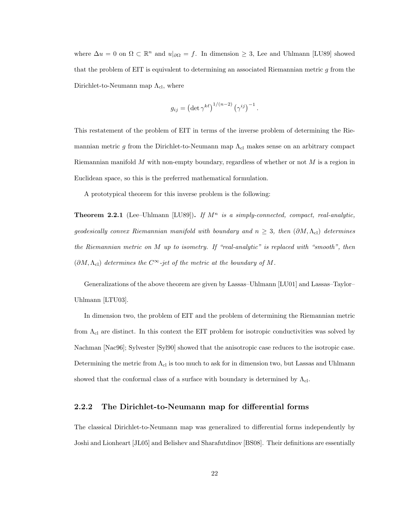where  $\Delta u = 0$  on  $\Omega \subset \mathbb{R}^n$  and  $u|_{\partial \Omega} = f$ . In dimension  $\geq 3$ , Lee and Uhlmann [LU89] showed that the problem of EIT is equivalent to determining an associated Riemannian metric g from the Dirichlet-to-Neumann map  $\Lambda_{\text{cl}}$ , where

$$
g_{ij} = \left(\det \gamma^{k\ell}\right)^{1/(n-2)} \left(\gamma^{ij}\right)^{-1}.
$$

This restatement of the problem of EIT in terms of the inverse problem of determining the Riemannian metric g from the Dirichlet-to-Neumann map  $\Lambda_{\rm cl}$  makes sense on an arbitrary compact Riemannian manifold  $M$  with non-empty boundary, regardless of whether or not  $M$  is a region in Euclidean space, so this is the preferred mathematical formulation.

A prototypical theorem for this inverse problem is the following:

**Theorem 2.2.1** (Lee–Uhlmann [LU89]). If  $M^n$  is a simply-connected, compact, real-analytic, geodesically convex Riemannian manifold with boundary and  $n \geq 3$ , then  $(\partial M, \Lambda_{\text{cl}})$  determines the Riemannian metric on M up to isometry. If "real-analytic" is replaced with "smooth", then  $(\partial M, \Lambda_{\text{cl}})$  determines the  $C^{\infty}$ -jet of the metric at the boundary of M.

Generalizations of the above theorem are given by Lassas–Uhlmann [LU01] and Lassas–Taylor– Uhlmann [LTU03].

In dimension two, the problem of EIT and the problem of determining the Riemannian metric from  $\Lambda_{\rm cl}$  are distinct. In this context the EIT problem for isotropic conductivities was solved by Nachman [Nac96]; Sylvester [Syl90] showed that the anisotropic case reduces to the isotropic case. Determining the metric from  $\Lambda_{\text{cl}}$  is too much to ask for in dimension two, but Lassas and Uhlmann showed that the conformal class of a surface with boundary is determined by  $\Lambda_{\rm cl}$ .

#### 2.2.2 The Dirichlet-to-Neumann map for differential forms

The classical Dirichlet-to-Neumann map was generalized to differential forms independently by Joshi and Lionheart [JL05] and Belishev and Sharafutdinov [BS08]. Their definitions are essentially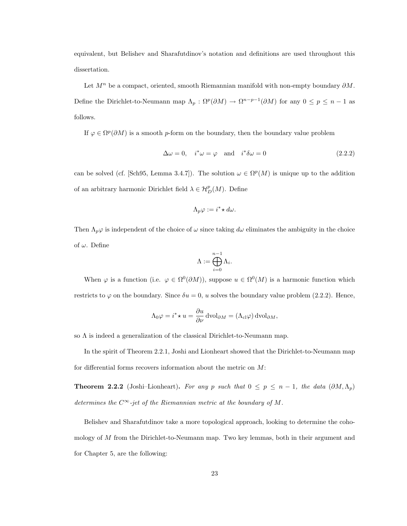equivalent, but Belishev and Sharafutdinov's notation and definitions are used throughout this dissertation.

Let  $M^n$  be a compact, oriented, smooth Riemannian manifold with non-empty boundary  $\partial M$ . Define the Dirichlet-to-Neumann map  $\Lambda_p : \Omega^p(\partial M) \to \Omega^{n-p-1}(\partial M)$  for any  $0 \le p \le n-1$  as follows.

If  $\varphi \in \Omega^p(\partial M)$  is a smooth p-form on the boundary, then the boundary value problem

$$
\Delta \omega = 0, \quad i^* \omega = \varphi \quad \text{and} \quad i^* \delta \omega = 0 \tag{2.2.2}
$$

can be solved (cf. [Sch95, Lemma 3.4.7]). The solution  $\omega \in \Omega^p(M)$  is unique up to the addition of an arbitrary harmonic Dirichlet field  $\lambda \in \mathcal{H}_D^p(M)$ . Define

$$
\Lambda_p \varphi := i^* \star d\omega.
$$

Then  $\Lambda_p\varphi$  is independent of the choice of  $\omega$  since taking  $d\omega$  eliminates the ambiguity in the choice of  $\omega$ . Define

$$
\Lambda:=\bigoplus_{i=0}^{n-1}\Lambda_i.
$$

When  $\varphi$  is a function (i.e.  $\varphi \in \Omega^0(\partial M)$ ), suppose  $u \in \Omega^0(M)$  is a harmonic function which restricts to  $\varphi$  on the boundary. Since  $\delta u = 0$ , u solves the boundary value problem (2.2.2). Hence,

$$
\Lambda_0 \varphi = i^* \star u = \frac{\partial u}{\partial \nu} \, \text{dvol}_{\partial M} = (\Lambda_{\text{cl}} \varphi) \, \text{dvol}_{\partial M},
$$

so  $\Lambda$  is indeed a generalization of the classical Dirichlet-to-Neumann map.

In the spirit of Theorem 2.2.1, Joshi and Lionheart showed that the Dirichlet-to-Neumann map for differential forms recovers information about the metric on M:

**Theorem 2.2.2** (Joshi–Lionheart). For any p such that  $0 \le p \le n - 1$ , the data  $(\partial M, \Lambda_p)$ determines the  $C^{\infty}$ -jet of the Riemannian metric at the boundary of M.

Belishev and Sharafutdinov take a more topological approach, looking to determine the cohomology of M from the Dirichlet-to-Neumann map. Two key lemmas, both in their argument and for Chapter 5, are the following: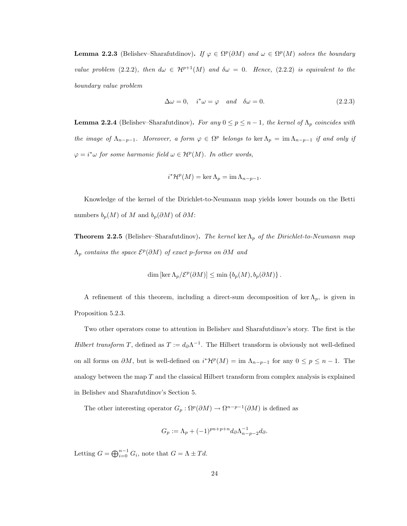**Lemma 2.2.3** (Belishev–Sharafutdinov). If  $\varphi \in \Omega^p(\partial M)$  and  $\omega \in \Omega^p(M)$  solves the boundary value problem (2.2.2), then  $d\omega \in H^{p+1}(M)$  and  $\delta\omega = 0$ . Hence, (2.2.2) is equivalent to the boundary value problem

$$
\Delta \omega = 0, \quad i^* \omega = \varphi \quad and \quad \delta \omega = 0. \tag{2.2.3}
$$

**Lemma 2.2.4** (Belishev–Sharafutdinov). For any  $0 \le p \le n-1$ , the kernel of  $\Lambda_p$  coincides with the image of  $\Lambda_{n-p-1}$ . Moreover, a form  $\varphi \in \Omega^p$  belongs to ker  $\Lambda_p = \text{im } \Lambda_{n-p-1}$  if and only if  $\varphi = i^* \omega$  for some harmonic field  $\omega \in H^p(M)$ . In other words,

$$
i^{\ast}\mathcal{H}^{p}(M) = \ker \Lambda_{p} = \operatorname{im} \Lambda_{n-p-1}.
$$

Knowledge of the kernel of the Dirichlet-to-Neumann map yields lower bounds on the Betti numbers  $b_p(M)$  of M and  $b_p(\partial M)$  of  $\partial M$ :

**Theorem 2.2.5** (Belishev–Sharafutdinov). The kernel ker  $\Lambda_p$  of the Dirichlet-to-Neumann map  $\Lambda_p$  contains the space  $\mathcal{E}^p(\partial M)$  of exact p-forms on  $\partial M$  and

$$
\dim \left[\ker \Lambda_p/\mathcal{E}^p(\partial M)\right] \le \min \left\{b_p(M), b_p(\partial M)\right\}.
$$

A refinement of this theorem, including a direct-sum decomposition of ker  $\Lambda_p$ , is given in Proposition 5.2.3.

Two other operators come to attention in Belishev and Sharafutdinov's story. The first is the Hilbert transform T, defined as  $T := d_{\partial} \Lambda^{-1}$ . The Hilbert transform is obviously not well-defined on all forms on  $\partial M$ , but is well-defined on  $i^*{\cal H}^p(M) = \text{im }\Lambda_{n-p-1}$  for any  $0 \le p \le n-1$ . The analogy between the map  $T$  and the classical Hilbert transform from complex analysis is explained in Belishev and Sharafutdinov's Section 5.

The other interesting operator  $G_p : \Omega^p(\partial M) \to \Omega^{n-p-1}(\partial M)$  is defined as

$$
G_p := \Lambda_p + (-1)^{pn+p+n} d_{\partial} \Lambda_{n-p-2}^{-1} d_{\partial}.
$$

Letting  $G = \bigoplus_{i=0}^{n-1} G_i$ , note that  $G = \Lambda \pm Td$ .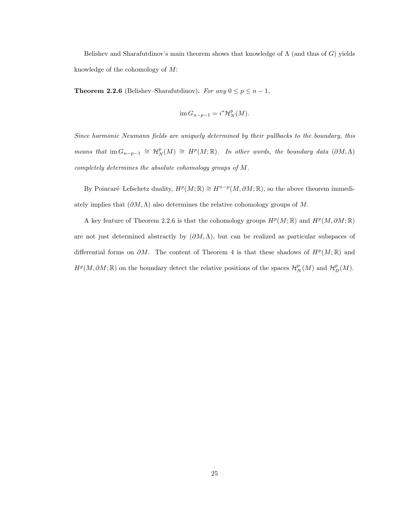Belishev and Sharafutdinov's main theorem shows that knowledge of  $\Lambda$  (and thus of G) yields knowledge of the cohomology of M:

**Theorem 2.2.6** (Belishev–Sharafutdinov). For any  $0 \le p \le n - 1$ ,

$$
\operatorname{im} G_{n-p-1} = i^* \mathcal{H}_N^p(M).
$$

Since harmonic Neumann fields are uniquely determined by their pullbacks to the boundary, this means that  $\text{im } G_{n-p-1} \cong H^p(M) \cong H^p(M; \mathbb{R})$ . In other words, the boundary data  $(\partial M, \Lambda)$ completely determines the absolute cohomology groups of M.

By Poincaré–Lefschetz duality,  $H^p(M; \mathbb{R}) \cong H^{n-p}(M, \partial M; \mathbb{R})$ , so the above theorem immediately implies that  $(\partial M, \Lambda)$  also determines the relative cohomology groups of M.

A key feature of Theorem 2.2.6 is that the cohomology groups  $H^p(M;\mathbb{R})$  and  $H^p(M,\partial M;\mathbb{R})$ are not just determined abstractly by  $(\partial M, \Lambda)$ , but can be realized as particular subspaces of differential forms on  $\partial M$ . The content of Theorem 4 is that these shadows of  $H^p(M;\mathbb{R})$  and  $H^p(M, \partial M; \mathbb{R})$  on the boundary detect the relative positions of the spaces  $\mathcal{H}_N^p(M)$  and  $\mathcal{H}_D^p(M)$ .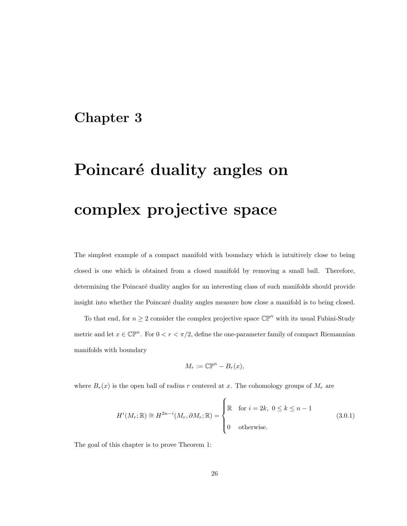### Chapter 3

# Poincaré duality angles on complex projective space

The simplest example of a compact manifold with boundary which is intuitively close to being closed is one which is obtained from a closed manifold by removing a small ball. Therefore, determining the Poincaré duality angles for an interesting class of such manifolds should provide insight into whether the Poincaré duality angles measure how close a manifold is to being closed.

To that end, for  $n \geq 2$  consider the complex projective space  $\mathbb{CP}^n$  with its usual Fubini-Study metric and let  $x \in \mathbb{CP}^n$ . For  $0 < r < \pi/2$ , define the one-parameter family of compact Riemannian manifolds with boundary

$$
M_r := \mathbb{CP}^n - B_r(x),
$$

where  $B_r(x)$  is the open ball of radius r centered at x. The cohomology groups of  $M_r$  are

$$
H^{i}(M_{r};\mathbb{R}) \cong H^{2n-i}(M_{r},\partial M_{r};\mathbb{R}) = \begin{cases} \mathbb{R} & \text{for } i = 2k, \ 0 \leq k \leq n-1 \\ 0 & \text{otherwise.} \end{cases}
$$
 (3.0.1)

The goal of this chapter is to prove Theorem 1: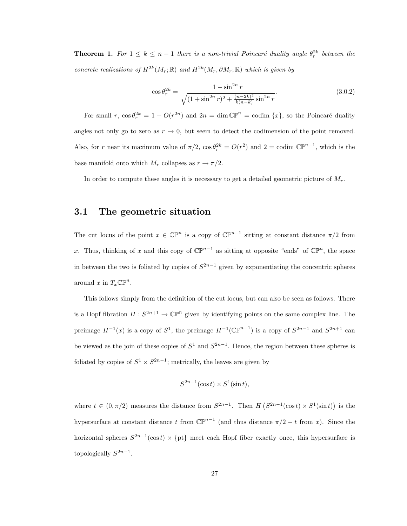**Theorem 1.** For  $1 \leq k \leq n-1$  there is a non-trivial Poincaré duality angle  $\theta_r^{2k}$  between the concrete realizations of  $H^{2k}(M_r;\mathbb{R})$  and  $H^{2k}(M_r,\partial M_r;\mathbb{R})$  which is given by

$$
\cos \theta_r^{2k} = \frac{1 - \sin^{2n} r}{\sqrt{(1 + \sin^{2n} r)^2 + \frac{(n - 2k)^2}{k(n - k)} \sin^{2n} r}}.
$$
\n(3.0.2)

For small r,  $\cos \theta_r^{2k} = 1 + O(r^{2n})$  and  $2n = \dim \mathbb{CP}^n = \text{codim }\{x\}$ , so the Poincaré duality angles not only go to zero as  $r \to 0$ , but seem to detect the codimension of the point removed. Also, for r near its maximum value of  $\pi/2$ ,  $\cos \theta_r^{2k} = O(r^2)$  and  $2 = \text{codim } \mathbb{CP}^{n-1}$ , which is the base manifold onto which  $M_r$  collapses as  $r \to \pi/2$ .

In order to compute these angles it is necessary to get a detailed geometric picture of  $M_r$ .

#### 3.1 The geometric situation

The cut locus of the point  $x \in \mathbb{CP}^n$  is a copy of  $\mathbb{CP}^{n-1}$  sitting at constant distance  $\pi/2$  from x. Thus, thinking of x and this copy of  $\mathbb{CP}^{n-1}$  as sitting at opposite "ends" of  $\mathbb{CP}^n$ , the space in between the two is foliated by copies of  $S^{2n-1}$  given by exponentiating the concentric spheres around x in  $T_x \mathbb{CP}^n$ .

This follows simply from the definition of the cut locus, but can also be seen as follows. There is a Hopf fibration  $H: S^{2n+1} \to \mathbb{CP}^n$  given by identifying points on the same complex line. The preimage  $H^{-1}(x)$  is a copy of  $S^1$ , the preimage  $H^{-1}(\mathbb{CP}^{n-1})$  is a copy of  $S^{2n-1}$  and  $S^{2n+1}$  can be viewed as the join of these copies of  $S^1$  and  $S^{2n-1}$ . Hence, the region between these spheres is foliated by copies of  $S^1 \times S^{2n-1}$ ; metrically, the leaves are given by

$$
S^{2n-1}(\cos t) \times S^1(\sin t),
$$

where  $t \in (0, \pi/2)$  measures the distance from  $S^{2n-1}$ . Then  $H(S^{2n-1}(\cos t) \times S^1(\sin t))$  is the hypersurface at constant distance t from  $\mathbb{CP}^{n-1}$  (and thus distance  $\pi/2 - t$  from x). Since the horizontal spheres  $S^{2n-1}(\cos t) \times \{\text{pt}\}\$  meet each Hopf fiber exactly once, this hypersurface is topologically  $S^{2n-1}$ .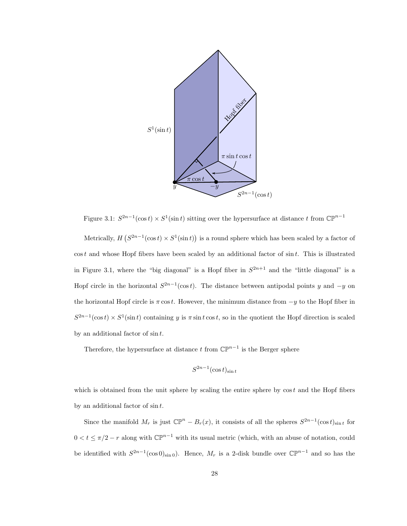

Figure 3.1:  $S^{2n-1}(\cos t) \times S^1(\sin t)$  sitting over the hypersurface at distance t from  $\mathbb{CP}^{n-1}$ 

Metrically,  $H(S^{2n-1}(\cos t) \times S^1(\sin t))$  is a round sphere which has been scaled by a factor of  $\cos t$  and whose Hopf fibers have been scaled by an additional factor of  $\sin t$ . This is illustrated in Figure 3.1, where the "big diagonal" is a Hopf fiber in  $S^{2n+1}$  and the "little diagonal" is a Hopf circle in the horizontal  $S^{2n-1}(\cos t)$ . The distance between antipodal points y and  $-y$  on the horizontal Hopf circle is  $\pi \cos t$ . However, the minimum distance from  $-y$  to the Hopf fiber in  $S^{2n-1}(\cos t) \times S^1(\sin t)$  containing y is  $\pi \sin t \cos t$ , so in the quotient the Hopf direction is scaled by an additional factor of  $\sin t$ .

Therefore, the hypersurface at distance t from  $\mathbb{CP}^{n-1}$  is the Berger sphere

$$
S^{2n-1}(\cos t)_{\sin t}
$$

which is obtained from the unit sphere by scaling the entire sphere by  $\cos t$  and the Hopf fibers by an additional factor of  $\sin t$ .

Since the manifold  $M_r$  is just  $\mathbb{CP}^n - B_r(x)$ , it consists of all the spheres  $S^{2n-1}(\cos t)_{\sin t}$  for  $0 < t \leq \pi/2 - r$  along with  $\mathbb{CP}^{n-1}$  with its usual metric (which, with an abuse of notation, could be identified with  $S^{2n-1}(\cos 0)_{\sin 0}$ . Hence,  $M_r$  is a 2-disk bundle over  $\mathbb{CP}^{n-1}$  and so has the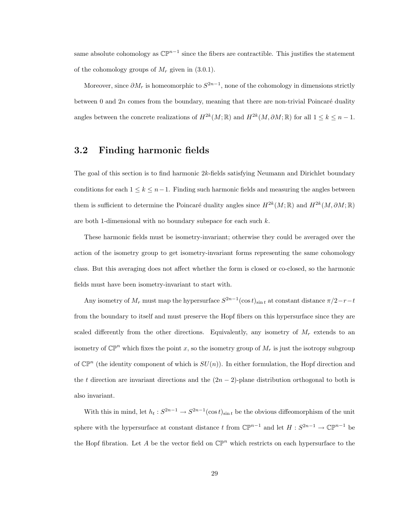same absolute cohomology as  $\mathbb{CP}^{n-1}$  since the fibers are contractible. This justifies the statement of the cohomology groups of  $M_r$  given in (3.0.1).

Moreover, since  $\partial M_r$  is homeomorphic to  $S^{2n-1}$ , none of the cohomology in dimensions strictly between 0 and  $2n$  comes from the boundary, meaning that there are non-trivial Poincaré duality angles between the concrete realizations of  $H^{2k}(M;\mathbb{R})$  and  $H^{2k}(M,\partial M;\mathbb{R})$  for all  $1 \leq k \leq n-1$ .

#### 3.2 Finding harmonic fields

The goal of this section is to find harmonic 2k-fields satisfying Neumann and Dirichlet boundary conditions for each  $1 \leq k \leq n-1$ . Finding such harmonic fields and measuring the angles between them is sufficient to determine the Poincaré duality angles since  $H^{2k}(M;\mathbb{R})$  and  $H^{2k}(M,\partial M;\mathbb{R})$ are both 1-dimensional with no boundary subspace for each such k.

These harmonic fields must be isometry-invariant; otherwise they could be averaged over the action of the isometry group to get isometry-invariant forms representing the same cohomology class. But this averaging does not affect whether the form is closed or co-closed, so the harmonic fields must have been isometry-invariant to start with.

Any isometry of  $M_r$  must map the hypersurface  $S^{2n-1}(\cos t)_{\sin t}$  at constant distance  $\pi/2-r-t$ from the boundary to itself and must preserve the Hopf fibers on this hypersurface since they are scaled differently from the other directions. Equivalently, any isometry of  $M_r$  extends to an isometry of  $\mathbb{CP}^n$  which fixes the point x, so the isometry group of  $M_r$  is just the isotropy subgroup of  $\mathbb{CP}^n$  (the identity component of which is  $SU(n)$ ). In either formulation, the Hopf direction and the t direction are invariant directions and the  $(2n-2)$ -plane distribution orthogonal to both is also invariant.

With this in mind, let  $h_t: S^{2n-1} \to S^{2n-1}(\cos t)_{\sin t}$  be the obvious diffeomorphism of the unit sphere with the hypersurface at constant distance t from  $\mathbb{CP}^{n-1}$  and let  $H: S^{2n-1} \to \mathbb{CP}^{n-1}$  be the Hopf fibration. Let A be the vector field on  $\mathbb{CP}^n$  which restricts on each hypersurface to the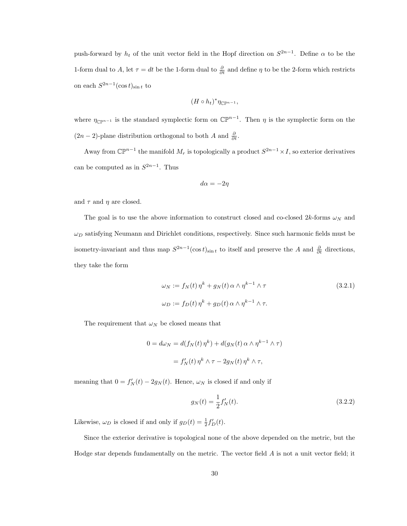push-forward by  $h_t$  of the unit vector field in the Hopf direction on  $S^{2n-1}$ . Define  $\alpha$  to be the 1-form dual to A, let  $\tau = dt$  be the 1-form dual to  $\frac{\partial}{\partial t}$  and define  $\eta$  to be the 2-form which restricts on each  $S^{2n-1}(\cos t)_{\sin t}$  to

$$
(H \circ h_t)^* \eta_{\mathbb{CP}^{n-1}},
$$

where  $\eta_{\mathbb{C}\mathbb{P}^{n-1}}$  is the standard symplectic form on  $\mathbb{C}\mathbb{P}^{n-1}$ . Then  $\eta$  is the symplectic form on the  $(2n-2)$ -plane distribution orthogonal to both A and  $\frac{\partial}{\partial t}$ .

Away from  $\mathbb{CP}^{n-1}$  the manifold  $M_r$  is topologically a product  $S^{2n-1} \times I$ , so exterior derivatives can be computed as in  $S^{2n-1}$ . Thus

$$
d\alpha = -2\eta
$$

and  $\tau$  and  $\eta$  are closed.

The goal is to use the above information to construct closed and co-closed  $2k$ -forms  $\omega_N$  and  $\omega_D$  satisfying Neumann and Dirichlet conditions, respectively. Since such harmonic fields must be isometry-invariant and thus map  $S^{2n-1}(\cos t)_{\sin t}$  to itself and preserve the A and  $\frac{\partial}{\partial t}$  directions, they take the form

$$
\omega_N := f_N(t) \eta^k + g_N(t) \alpha \wedge \eta^{k-1} \wedge \tau
$$
\n
$$
\omega_D := f_D(t) \eta^k + g_D(t) \alpha \wedge \eta^{k-1} \wedge \tau.
$$
\n(3.2.1)

The requirement that  $\omega_N$  be closed means that

$$
0 = d\omega_N = d(f_N(t)\,\eta^k) + d(g_N(t)\,\alpha \wedge \eta^{k-1} \wedge \tau)
$$

$$
= f'_N(t)\,\eta^k \wedge \tau - 2g_N(t)\,\eta^k \wedge \tau,
$$

meaning that  $0 = f'_{N}(t) - 2g_{N}(t)$ . Hence,  $\omega_{N}$  is closed if and only if

$$
g_N(t) = \frac{1}{2} f'_N(t). \tag{3.2.2}
$$

Likewise,  $\omega_D$  is closed if and only if  $g_D(t) = \frac{1}{2} f'_D(t)$ .

Since the exterior derivative is topological none of the above depended on the metric, but the Hodge star depends fundamentally on the metric. The vector field  $A$  is not a unit vector field; it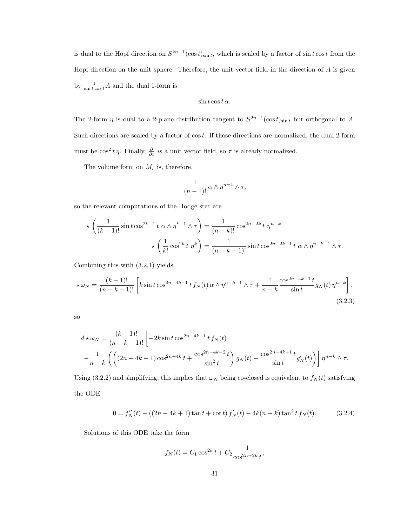is dual to the Hopf direction on  $S^{2n-1}(\cos t)_{\sin t}$ , which is scaled by a factor of  $\sin t \cos t$  from the Hopf direction on the unit sphere. Therefore, the unit vector field in the direction of  $A$  is given by  $\frac{1}{\sin t \cos t} A$  and the dual 1-form is

$$
\sin t \cos t \alpha.
$$

The 2-form  $\eta$  is dual to a 2-plane distribution tangent to  $S^{2n-1}(\cos t)_{\sin t}$  but orthogonal to A. Such directions are scaled by a factor of  $\cos t$ . If those directions are normalized, the dual 2-form must be  $\cos^2 t \eta$ . Finally,  $\frac{\partial}{\partial t}$  is a unit vector field, so  $\tau$  is already normalized.

The volume form on  $M_r$  is, therefore,

$$
\frac{1}{(n-1)!} \alpha \wedge \eta^{n-1} \wedge \tau,
$$

so the relevant computations of the Hodge star are

$$
\star \left( \frac{1}{(k-1)!} \sin t \cos^{2k-1} t \alpha \wedge \eta^{k-1} \wedge \tau \right) = \frac{1}{(n-k)!} \cos^{2n-2k} t \eta^{n-k}
$$

$$
\star \left( \frac{1}{k!} \cos^{2k} t \eta^k \right) = \frac{1}{(n-k-1)!} \sin t \cos^{2n-2k-1} t \alpha \wedge \eta^{n-k-1} \wedge \tau.
$$

Combining this with (3.2.1) yields

$$
\star \omega_N = \frac{(k-1)!}{(n-k-1)!} \left[ k \sin t \cos^{2n-4k-1} t f_N(t) \alpha \wedge \eta^{n-k-1} \wedge \tau + \frac{1}{n-k} \frac{\cos^{2n-4k+1} t}{\sin t} g_N(t) \eta^{n-k} \right],
$$
\n(3.2.3)

so

$$
d \star \omega_N = \frac{(k-1)!}{(n-k-1)!} \left[ -2k \sin t \cos^{2n-4k-1} t f_N(t) - \frac{1}{n-k} \left( \left( (2n-4k+1) \cos^{2n-4k} t + \frac{\cos^{2n-4k+2} t}{\sin^2 t} \right) g_N(t) - \frac{\cos^{2n-4k+1} t}{\sin t} g'_N(t) \right) \right] \eta^{n-k} \wedge \tau.
$$

Using (3.2.2) and simplifying, this implies that  $\omega_N$  being co-closed is equivalent to  $f_N(t)$  satisfying the ODE

$$
0 = f''_N(t) - ((2n - 4k + 1)\tan t + \cot t)f'_N(t) - 4k(n - k)\tan^2 t f_N(t).
$$
 (3.2.4)

Solutions of this ODE take the form

$$
f_N(t) = C_1 \cos^{2k} t + C_2 \frac{1}{\cos^{2n-2k} t},
$$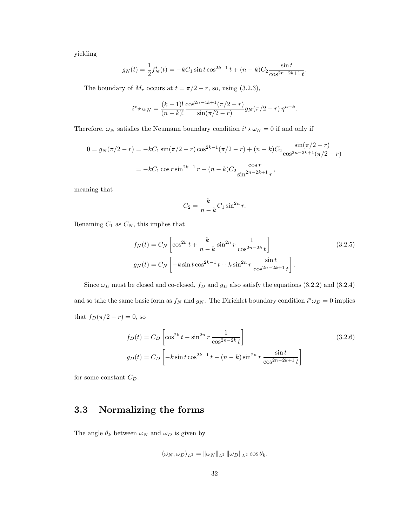yielding

$$
g_N(t) = \frac{1}{2}f'_N(t) = -kC_1\sin t \cos^{2k-1} t + (n-k)C_2 \frac{\sin t}{\cos^{2n-2k+1} t}.
$$

The boundary of  $M_r$  occurs at  $t = \pi/2 - r$ , so, using (3.2.3),

$$
i^* \star \omega_N = \frac{(k-1)!}{(n-k)!} \frac{\cos^{2n-4k+1}(\pi/2 - r)}{\sin(\pi/2 - r)} g_N(\pi/2 - r) \eta^{n-k}.
$$

Therefore,  $\omega_N$  satisfies the Neumann boundary condition  $i^* \star \omega_N = 0$  if and only if

$$
0 = g_N(\pi/2 - r) = -kC_1 \sin(\pi/2 - r) \cos^{2k-1}(\pi/2 - r) + (n - k)C_2 \frac{\sin(\pi/2 - r)}{\cos^{2n-2k+1}(\pi/2 - r)}
$$
  
=  $-kC_1 \cos r \sin^{2k-1} r + (n - k)C_2 \frac{\cos r}{\sin^{2n-2k+1} r},$ 

meaning that

$$
C_2 = \frac{k}{n-k} C_1 \sin^{2n} r.
$$

Renaming  $C_1$  as  $C_N$ , this implies that

$$
f_N(t) = C_N \left[ \cos^{2k} t + \frac{k}{n-k} \sin^{2n} r \frac{1}{\cos^{2n-2k} t} \right]
$$
(3.2.5)  

$$
g_N(t) = C_N \left[ -k \sin t \cos^{2k-1} t + k \sin^{2n} r \frac{\sin t}{\cos^{2n-2k+1} t} \right].
$$

Since  $\omega_D$  must be closed and co-closed,  $f_D$  and  $g_D$  also satisfy the equations (3.2.2) and (3.2.4) and so take the same basic form as  $f_N$  and  $g_N$ . The Dirichlet boundary condition  $i^*\omega_D = 0$  implies that  $f_D(\pi/2 - r) = 0$  so

$$
f_D(t) = C_D \left[ \cos^{2k} t - \sin^{2n} r \frac{1}{\cos^{2n-2k} t} \right]
$$
\n
$$
g_D(t) = C_D \left[ -k \sin t \cos^{2k-1} t - (n-k) \sin^{2n} r \frac{\sin t}{\cos^{2n-2k+1} t} \right]
$$
\n(3.2.6)

for some constant  $C_D$ .

### 3.3 Normalizing the forms

The angle  $\theta_k$  between  $\omega_N$  and  $\omega_D$  is given by

$$
\langle \omega_N, \omega_D \rangle_{L^2} = \|\omega_N\|_{L^2} \, \|\omega_D\|_{L^2} \cos \theta_k.
$$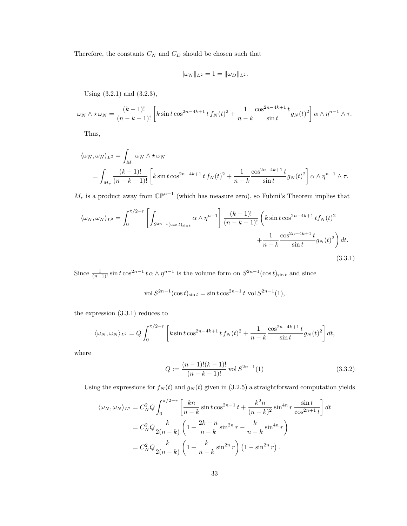Therefore, the constants  ${\cal C}_N$  and  ${\cal C}_D$  should be chosen such that

$$
\|\omega_N\|_{L^2} = 1 = \|\omega_D\|_{L^2}.
$$

Using (3.2.1) and (3.2.3),

$$
\omega_N \wedge * \omega_N = \frac{(k-1)!}{(n-k-1)!} \left[ k \sin t \cos^{2n-4k+1} t f_N(t)^2 + \frac{1}{n-k} \frac{\cos^{2n-4k+1} t}{\sin t} g_N(t)^2 \right] \alpha \wedge \eta^{n-1} \wedge \tau.
$$

Thus,

$$
\langle \omega_N, \omega_N \rangle_{L^2} = \int_{M_r} \omega_N \wedge \star \omega_N
$$
  
= 
$$
\int_{M_r} \frac{(k-1)!}{(n-k-1)!} \left[ k \sin t \cos^{2n-4k+1} t f_N(t)^2 + \frac{1}{n-k} \frac{\cos^{2n-4k+1} t}{\sin t} g_N(t)^2 \right] \alpha \wedge \eta^{n-1} \wedge \tau.
$$

 $M_r$  is a product away from  $\mathbb{CP}^{n-1}$  (which has measure zero), so Fubini's Theorem implies that

$$
\langle \omega_N, \omega_N \rangle_{L^2} = \int_0^{\pi/2 - r} \left[ \int_{S^{2n-1}(\cos t)_{\sin t}} \alpha \wedge \eta^{n-1} \right] \frac{(k-1)!}{(n-k-1)!} \left( k \sin t \cos^{2n-4k+1} t f_N(t)^2 + \frac{1}{n-k} \frac{\cos^{2n-4k+1} t}{\sin t} g_N(t)^2 \right) dt.
$$
\n(3.3.1)

Since  $\frac{1}{(n-1)!}$  sin t cos<sup>2n-1</sup> t  $\alpha \wedge \eta^{n-1}$  is the volume form on  $S^{2n-1}(\cos t)_{\sin t}$  and since

$$
\text{vol}\,S^{2n-1}(\cos t)_{\sin t} = \sin t \cos^{2n-1} t \text{ vol}\,S^{2n-1}(1),
$$

the expression (3.3.1) reduces to

$$
\langle \omega_N, \omega_N \rangle_{L^2} = Q \int_0^{\pi/2 - r} \left[ k \sin t \cos^{2n - 4k + 1} t f_N(t)^2 + \frac{1}{n - k} \frac{\cos^{2n - 4k + 1} t}{\sin t} g_N(t)^2 \right] dt,
$$

where

$$
Q := \frac{(n-1)!(k-1)!}{(n-k-1)!} \text{ vol } S^{2n-1}(1)
$$
\n(3.3.2)

Using the expressions for  $f_N(t)$  and  $g_N(t)$  given in (3.2.5) a straightforward computation yields

$$
\langle \omega_N, \omega_N \rangle_{L^2} = C_N^2 Q \int_0^{\pi/2 - r} \left[ \frac{kn}{n - k} \sin t \cos^{2n - 1} t + \frac{k^2 n}{(n - k)^2} \sin^{4n} r \frac{\sin t}{\cos^{2n + 1} t} \right] dt
$$
  
=  $C_N^2 Q \frac{k}{2(n - k)} \left( 1 + \frac{2k - n}{n - k} \sin^{2n} r - \frac{k}{n - k} \sin^{4n} r \right)$   
=  $C_N^2 Q \frac{k}{2(n - k)} \left( 1 + \frac{k}{n - k} \sin^{2n} r \right) (1 - \sin^{2n} r).$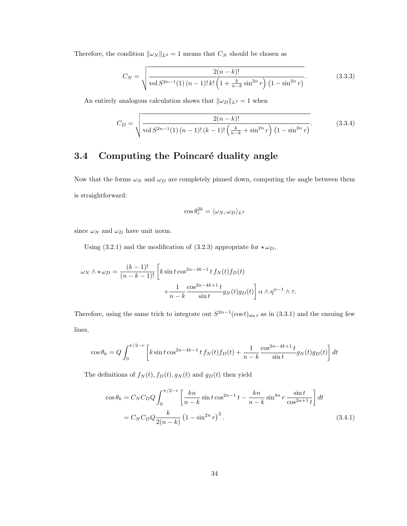Therefore, the condition  $\|\omega_N\|_{L^2} = 1$  means that  $C_N$  should be chosen as

$$
C_N = \sqrt{\frac{2(n-k)!}{\text{vol } S^{2n-1}(1) (n-1)! k! \left(1 + \frac{k}{n-k} \sin^{2n} r\right) \left(1 - \sin^{2n} r\right)}}.
$$
(3.3.3)

An entirely analogous calculation shows that  $\|\omega_D\|_{L^2} = 1$  when

$$
C_D = \sqrt{\frac{2(n-k)!}{\text{vol } S^{2n-1}(1) (n-1)!(k-1)!\left(\frac{k}{n-k} + \sin^{2n} r\right) (1 - \sin^{2n} r)}}.
$$
(3.3.4)

### 3.4 Computing the Poincaré duality angle

Now that the forms  $\omega_N$  and  $\omega_D$  are completely pinned down, computing the angle between them is straightforward:

$$
\cos\theta_r^{2k}=\langle\omega_N,\omega_D\rangle_{L^2}
$$

since  $\omega_N$  and  $\omega_D$  have unit norm.

Using (3.2.1) and the modification of (3.2.3) appropriate for  $\star \omega_D$ ,

$$
\omega_N \wedge \star \omega_D = \frac{(k-1)!}{(n-k-1)!} \left[ k \sin t \cos^{2n-4k-1} t f_N(t) f_D(t) + \frac{1}{n-k} \frac{\cos^{2n-4k+1} t}{\sin t} g_N(t) g_D(t) \right] \alpha \wedge \eta^{n-1} \wedge \tau.
$$

Therefore, using the same trick to integrate out  $S^{2n-1}(\cos t)_{\sin t}$  as in (3.3.1) and the ensuing few lines,

$$
\cos \theta_k = Q \int_0^{\pi/2 - r} \left[ k \sin t \cos^{2n - 4k - 1} t f_N(t) f_D(t) + \frac{1}{n - k} \frac{\cos^{2n - 4k + 1} t}{\sin t} g_N(t) g_D(t) \right] dt
$$

The definitions of  $f_N(t)$ ,  $f_D(t)$ ,  $g_N(t)$  and  $g_D(t)$  then yield

$$
\cos \theta_k = C_N C_D Q \int_0^{\pi/2 - r} \left[ \frac{kn}{n - k} \sin t \cos^{2n - 1} t - \frac{kn}{n - k} \sin^{4n} r \frac{\sin t}{\cos^{2n + 1} t} \right] dt
$$
  
=  $C_N C_D Q \frac{k}{2(n - k)} \left( 1 - \sin^{2n} r \right)^2$ . (3.4.1)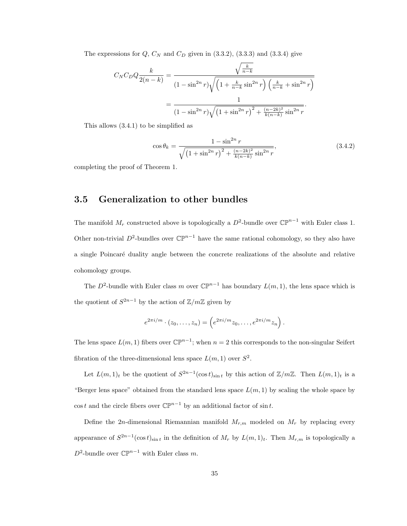The expressions for  $Q$ ,  $C_N$  and  $C_D$  given in (3.3.2), (3.3.3) and (3.3.4) give

$$
C_N C_D Q \frac{k}{2(n-k)} = \frac{\sqrt{\frac{k}{n-k}}}{(1 - \sin^{2n} r)\sqrt{\left(1 + \frac{k}{n-k}\sin^{2n} r\right)\left(\frac{k}{n-k} + \sin^{2n} r\right)}} = \frac{1}{(1 - \sin^{2n} r)\sqrt{\left(1 + \sin^{2n} r\right)^2 + \frac{(n-2k)^2}{k(n-k)}\sin^{2n} r}}.
$$

This allows (3.4.1) to be simplified as

$$
\cos \theta_k = \frac{1 - \sin^{2n} r}{\sqrt{\left(1 + \sin^{2n} r\right)^2 + \frac{(n - 2k)^2}{k(n - k)} \sin^{2n} r}},\tag{3.4.2}
$$

completing the proof of Theorem 1.

### 3.5 Generalization to other bundles

The manifold  $M_r$  constructed above is topologically a  $D^2$ -bundle over  $\mathbb{CP}^{n-1}$  with Euler class 1. Other non-trivial D<sup>2</sup>-bundles over  $\mathbb{CP}^{n-1}$  have the same rational cohomology, so they also have a single Poincaré duality angle between the concrete realizations of the absolute and relative cohomology groups.

The D<sup>2</sup>-bundle with Euler class m over  $\mathbb{CP}^{n-1}$  has boundary  $L(m, 1)$ , the lens space which is the quotient of  $S^{2n-1}$  by the action of  $\mathbb{Z}/m\mathbb{Z}$  given by

$$
e^{2\pi i/m} \cdot (z_0, \ldots, z_n) = \left( e^{2\pi i/m} z_0, \ldots, e^{2\pi i/m} z_n \right).
$$

The lens space  $L(m, 1)$  fibers over  $\mathbb{CP}^{n-1}$ ; when  $n = 2$  this corresponds to the non-singular Seifert fibration of the three-dimensional lens space  $L(m, 1)$  over  $S^2$ .

Let  $L(m, 1)_t$  be the quotient of  $S^{2n-1}(\cos t)_{\sin t}$  by this action of  $\mathbb{Z}/m\mathbb{Z}$ . Then  $L(m, 1)_t$  is a "Berger lens space" obtained from the standard lens space  $L(m, 1)$  by scaling the whole space by cost and the circle fibers over  $\mathbb{CP}^{n-1}$  by an additional factor of sint.

Define the 2n-dimensional Riemannian manifold  $M_{r,m}$  modeled on  $M_r$  by replacing every appearance of  $S^{2n-1}(\cos t)_{\sin t}$  in the definition of  $M_r$  by  $L(m, 1)_t$ . Then  $M_{r,m}$  is topologically a  $D^2$ -bundle over  $\mathbb{CP}^{n-1}$  with Euler class m.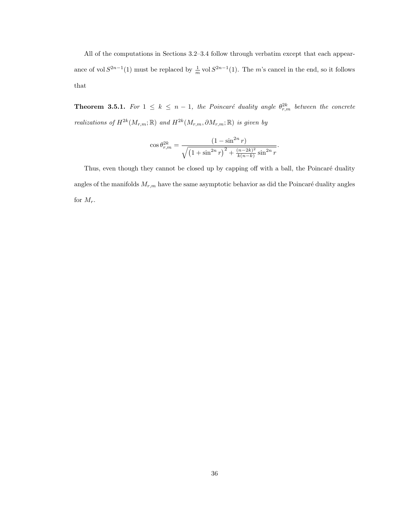All of the computations in Sections 3.2–3.4 follow through verbatim except that each appearance of vol  $S^{2n-1}(1)$  must be replaced by  $\frac{1}{m}$  vol  $S^{2n-1}(1)$ . The m's cancel in the end, so it follows that

**Theorem 3.5.1.** For  $1 \leq k \leq n-1$ , the Poincaré duality angle  $\theta_{r,m}^{2k}$  between the concrete realizations of  $H^{2k}(M_{r,m};\mathbb{R})$  and  $H^{2k}(M_{r,m},\partial M_{r,m};\mathbb{R})$  is given by

$$
\cos \theta_{r,m}^{2k} = \frac{\left(1 - \sin^{2n} r\right)}{\sqrt{\left(1 + \sin^{2n} r\right)^2 + \frac{(n - 2k)^2}{k(n - k)} \sin^{2n} r}}.
$$

Thus, even though they cannot be closed up by capping off with a ball, the Poincaré duality angles of the manifolds  $M_{r,m}$  have the same asymptotic behavior as did the Poincaré duality angles for  $M_r$ .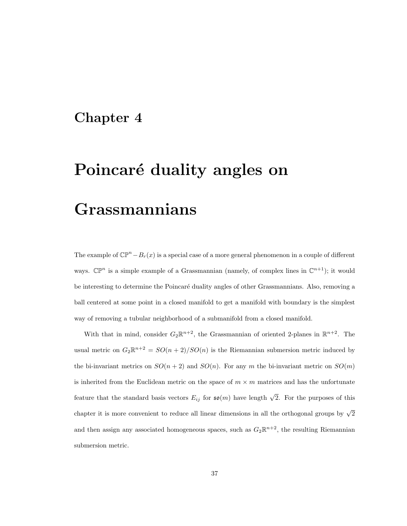## Chapter 4

# Poincaré duality angles on

# Grassmannians

The example of  $\mathbb{CP}^n-B_r(x)$  is a special case of a more general phenomenon in a couple of different ways.  $\mathbb{CP}^n$  is a simple example of a Grassmannian (namely, of complex lines in  $\mathbb{C}^{n+1}$ ); it would be interesting to determine the Poincaré duality angles of other Grassmannians. Also, removing a ball centered at some point in a closed manifold to get a manifold with boundary is the simplest way of removing a tubular neighborhood of a submanifold from a closed manifold.

With that in mind, consider  $G_2\mathbb{R}^{n+2}$ , the Grassmannian of oriented 2-planes in  $\mathbb{R}^{n+2}$ . The usual metric on  $G_2\mathbb{R}^{n+2} = SO(n+2)/SO(n)$  is the Riemannian submersion metric induced by the bi-invariant metrics on  $SO(n+2)$  and  $SO(n)$ . For any m the bi-invariant metric on  $SO(m)$ is inherited from the Euclidean metric on the space of  $m \times m$  matrices and has the unfortunate feature that the standard basis vectors  $E_{ij}$  for  $\mathfrak{so}(m)$  have length  $\sqrt{2}$ . For the purposes of this chapter it is more convenient to reduce all linear dimensions in all the orthogonal groups by  $\sqrt{2}$ and then assign any associated homogeneous spaces, such as  $G_2\mathbb{R}^{n+2}$ , the resulting Riemannian submersion metric.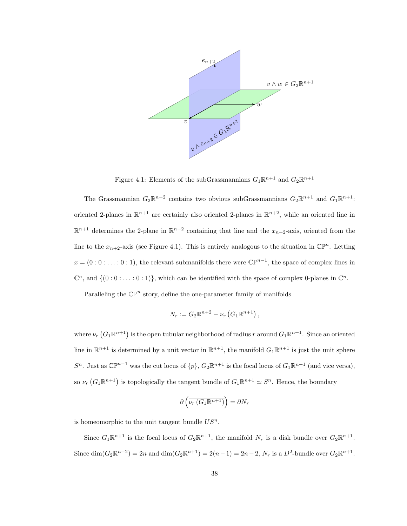

Figure 4.1: Elements of the subGrassmannians  $G_1 \mathbb{R}^{n+1}$  and  $G_2 \mathbb{R}^{n+1}$ 

The Grassmannian  $G_2\mathbb{R}^{n+2}$  contains two obvious subGrassmannians  $G_2\mathbb{R}^{n+1}$  and  $G_1\mathbb{R}^{n+1}$ : oriented 2-planes in  $\mathbb{R}^{n+1}$  are certainly also oriented 2-planes in  $\mathbb{R}^{n+2}$ , while an oriented line in  $\mathbb{R}^{n+1}$  determines the 2-plane in  $\mathbb{R}^{n+2}$  containing that line and the  $x_{n+2}$ -axis, oriented from the line to the  $x_{n+2}$ -axis (see Figure 4.1). This is entirely analogous to the situation in  $\mathbb{CP}^n$ . Letting  $x = (0:0:...:0:1)$ , the relevant submanifolds there were  $\mathbb{CP}^{n-1}$ , the space of complex lines in  $\mathbb{C}^n$ , and  $\{(0:0:\ldots:0:1)\}$ , which can be identified with the space of complex 0-planes in  $\mathbb{C}^n$ .

Paralleling the  $\mathbb{CP}^n$  story, define the one-parameter family of manifolds

$$
N_r := G_2 \mathbb{R}^{n+2} - \nu_r \left( G_1 \mathbb{R}^{n+1} \right),
$$

where  $\nu_r(G_1\mathbb{R}^{n+1})$  is the open tubular neighborhood of radius r around  $G_1\mathbb{R}^{n+1}$ . Since an oriented line in  $\mathbb{R}^{n+1}$  is determined by a unit vector in  $\mathbb{R}^{n+1}$ , the manifold  $G_1\mathbb{R}^{n+1}$  is just the unit sphere  $S^n$ . Just as  $\mathbb{CP}^{n-1}$  was the cut locus of  $\{p\}$ ,  $G_2\mathbb{R}^{n+1}$  is the focal locus of  $G_1\mathbb{R}^{n+1}$  (and vice versa), so  $\nu_r(G_1\mathbb{R}^{n+1})$  is topologically the tangent bundle of  $G_1\mathbb{R}^{n+1} \simeq S^n$ . Hence, the boundary

$$
\partial \left( \overline{\nu_r \left( G_1 \mathbb{R}^{n+1} \right)} \right) = \partial N_r
$$

is homeomorphic to the unit tangent bundle  $US<sup>n</sup>$ .

Since  $G_1 \mathbb{R}^{n+1}$  is the focal locus of  $G_2 \mathbb{R}^{n+1}$ , the manifold  $N_r$  is a disk bundle over  $G_2 \mathbb{R}^{n+1}$ . Since  $\dim(G_2 \mathbb{R}^{n+2}) = 2n$  and  $\dim(G_2 \mathbb{R}^{n+1}) = 2(n-1) = 2n-2$ ,  $N_r$  is a  $D^2$ -bundle over  $G_2 \mathbb{R}^{n+1}$ .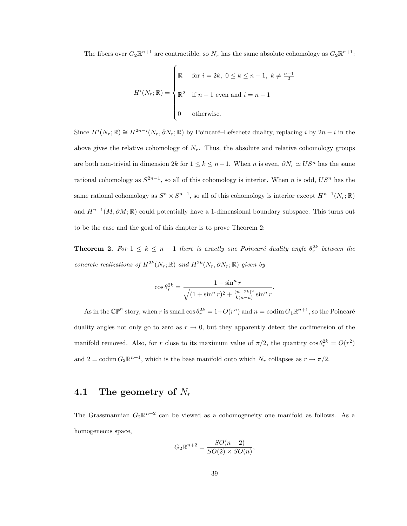The fibers over  $G_2\mathbb{R}^{n+1}$  are contractible, so  $N_r$  has the same absolute cohomology as  $G_2\mathbb{R}^{n+1}$ :

$$
H^{i}(N_{r}; \mathbb{R}) = \begin{cases} \mathbb{R} & \text{for } i = 2k, \ 0 \leq k \leq n-1, \ k \neq \frac{n-1}{2} \\ \mathbb{R}^{2} & \text{if } n-1 \text{ even and } i = n-1 \\ 0 & \text{otherwise.} \end{cases}
$$

Since  $H^i(N_r; \mathbb{R}) \cong H^{2n-i}(N_r, \partial N_r; \mathbb{R})$  by Poincaré–Lefschetz duality, replacing i by  $2n-i$  in the above gives the relative cohomology of  $N_r$ . Thus, the absolute and relative cohomology groups are both non-trivial in dimension  $2k$  for  $1 \leq k \leq n-1$ . When n is even,  $\partial N_r \simeq US^n$  has the same rational cohomology as  $S^{2n-1}$ , so all of this cohomology is interior. When n is odd,  $US^n$  has the same rational cohomology as  $S^n \times S^{n-1}$ , so all of this cohomology is interior except  $H^{n-1}(N_r; \mathbb{R})$ and  $H^{n-1}(M, \partial M;\mathbb{R})$  could potentially have a 1-dimensional boundary subspace. This turns out to be the case and the goal of this chapter is to prove Theorem 2:

**Theorem 2.** For  $1 \leq k \leq n-1$  there is exactly one Poincaré duality angle  $\theta_r^{2k}$  between the concrete realizations of  $H^{2k}(N_r;\mathbb{R})$  and  $H^{2k}(N_r,\partial N_r;\mathbb{R})$  given by

$$
\cos \theta_r^{2k} = \frac{1 - \sin^n r}{\sqrt{(1 + \sin^n r)^2 + \frac{(n - 2k)^2}{k(n - k)} \sin^n r}}.
$$

As in the  $\mathbb{CP}^n$  story, when r is small  $\cos \theta_r^{2k} = 1 + O(r^n)$  and  $n = \text{codim } G_1 \mathbb{R}^{n+1}$ , so the Poincaré duality angles not only go to zero as  $r \to 0$ , but they apparently detect the codimension of the manifold removed. Also, for r close to its maximum value of  $\pi/2$ , the quantity  $\cos \theta_r^{2k} = O(r^2)$ and  $2 = \text{codim } G_2 \mathbb{R}^{n+1}$ , which is the base manifold onto which  $N_r$  collapses as  $r \to \pi/2$ .

### 4.1 The geometry of  $N_r$

The Grassmannian  $G_2\mathbb{R}^{n+2}$  can be viewed as a cohomogeneity one manifold as follows. As a homogeneous space,

$$
G_2\mathbb{R}^{n+2} = \frac{SO(n+2)}{SO(2)\times SO(n)},
$$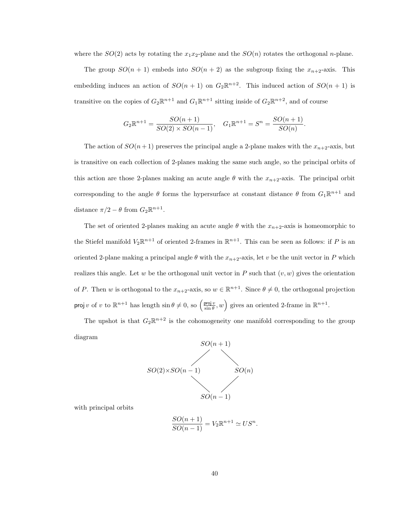where the  $SO(2)$  acts by rotating the  $x_1x_2$ -plane and the  $SO(n)$  rotates the orthogonal *n*-plane.

The group  $SO(n + 1)$  embeds into  $SO(n + 2)$  as the subgroup fixing the  $x_{n+2}$ -axis. This embedding induces an action of  $SO(n + 1)$  on  $G_2\mathbb{R}^{n+2}$ . This induced action of  $SO(n + 1)$  is transitive on the copies of  $G_2\mathbb{R}^{n+1}$  and  $G_1\mathbb{R}^{n+1}$  sitting inside of  $G_2\mathbb{R}^{n+2}$ , and of course

$$
G_2\mathbb{R}^{n+1} = \frac{SO(n+1)}{SO(2)\times SO(n-1)}, \quad G_1\mathbb{R}^{n+1} = S^n = \frac{SO(n+1)}{SO(n)}.
$$

The action of  $SO(n+1)$  preserves the principal angle a 2-plane makes with the  $x_{n+2}$ -axis, but is transitive on each collection of 2-planes making the same such angle, so the principal orbits of this action are those 2-planes making an acute angle  $\theta$  with the  $x_{n+2}$ -axis. The principal orbit corresponding to the angle  $\theta$  forms the hypersurface at constant distance  $\theta$  from  $G_1\mathbb{R}^{n+1}$  and distance  $\pi/2 - \theta$  from  $G_2 \mathbb{R}^{n+1}$ .

The set of oriented 2-planes making an acute angle  $\theta$  with the  $x_{n+2}$ -axis is homeomorphic to the Stiefel manifold  $V_2\mathbb{R}^{n+1}$  of oriented 2-frames in  $\mathbb{R}^{n+1}$ . This can be seen as follows: if P is an oriented 2-plane making a principal angle  $\theta$  with the  $x_{n+2}$ -axis, let v be the unit vector in P which realizes this angle. Let w be the orthogonal unit vector in P such that  $(v, w)$  gives the orientation of P. Then w is orthogonal to the  $x_{n+2}$ -axis, so  $w \in \mathbb{R}^{n+1}$ . Since  $\theta \neq 0$ , the orthogonal projection proj v of v to  $\mathbb{R}^{n+1}$  has length  $\sin \theta \neq 0$ , so  $\left(\frac{\text{proj } v}{\sin \theta}, w\right)$  gives an oriented 2-frame in  $\mathbb{R}^{n+1}$ .

The upshot is that  $G_2\mathbb{R}^{n+2}$  is the cohomogeneity one manifold corresponding to the group diagram



with principal orbits

$$
\frac{SO(n+1)}{SO(n-1)} = V_2 \mathbb{R}^{n+1} \simeq US^n.
$$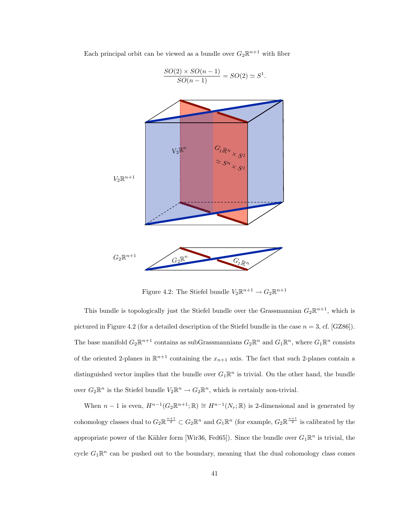

Each principal orbit can be viewed as a bundle over  $G_2\mathbb{R}^{n+1}$  with fiber

Figure 4.2: The Stiefel bundle  $V_2 \mathbb{R}^{n+1} \to G_2 \mathbb{R}^{n+1}$ 

This bundle is topologically just the Stiefel bundle over the Grassmannian  $G_2\mathbb{R}^{n+1}$ , which is pictured in Figure 4.2 (for a detailed description of the Stiefel bundle in the case  $n = 3$ , cf. [GZ86]). The base manifold  $G_2\mathbb{R}^{n+1}$  contains as subGrassmannians  $G_2\mathbb{R}^n$  and  $G_1\mathbb{R}^n$ , where  $G_1\mathbb{R}^n$  consists of the oriented 2-planes in  $\mathbb{R}^{n+1}$  containing the  $x_{n+1}$  axis. The fact that such 2-planes contain a distinguished vector implies that the bundle over  $G_1\mathbb{R}^n$  is trivial. On the other hand, the bundle over  $G_2\mathbb{R}^n$  is the Stiefel bundle  $V_2\mathbb{R}^n \to G_2\mathbb{R}^n$ , which is certainly non-trivial.

When  $n-1$  is even,  $H^{n-1}(G_2\mathbb{R}^{n+1};\mathbb{R}) \cong H^{n-1}(N_r;\mathbb{R})$  is 2-dimensional and is generated by cohomology classes dual to  $G_2 \mathbb{R}^{\frac{n+1}{2}} \subset G_2 \mathbb{R}^n$  and  $G_1 \mathbb{R}^n$  (for example,  $G_2 \mathbb{R}^{\frac{n+1}{2}}$  is calibrated by the appropriate power of the Kähler form [Wir36, Fed65]). Since the bundle over  $G_1\mathbb{R}^n$  is trivial, the cycle  $G_1\mathbb{R}^n$  can be pushed out to the boundary, meaning that the dual cohomology class comes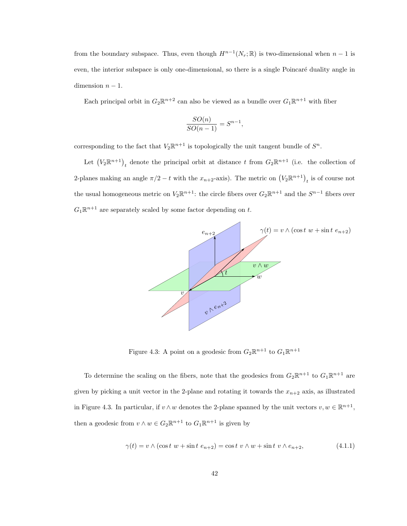from the boundary subspace. Thus, even though  $H^{n-1}(N_r; \mathbb{R})$  is two-dimensional when  $n-1$  is even, the interior subspace is only one-dimensional, so there is a single Poincaré duality angle in dimension  $n - 1$ .

Each principal orbit in  $G_2\mathbb{R}^{n+2}$  can also be viewed as a bundle over  $G_1\mathbb{R}^{n+1}$  with fiber

$$
\frac{SO(n)}{SO(n-1)} = S^{n-1}
$$

,

corresponding to the fact that  $V_2\mathbb{R}^{n+1}$  is topologically the unit tangent bundle of  $S^n$ .

Let  $(V_2\mathbb{R}^{n+1})_t$  denote the principal orbit at distance t from  $G_2\mathbb{R}^{n+1}$  (i.e. the collection of 2-planes making an angle  $\pi/2 - t$  with the  $x_{n+2}$ -axis). The metric on  $(V_2 \mathbb{R}^{n+1})_t$  is of course not the usual homogeneous metric on  $V_2\mathbb{R}^{n+1}$ : the circle fibers over  $G_2\mathbb{R}^{n+1}$  and the  $S^{n-1}$  fibers over  $G_1\mathbb{R}^{n+1}$  are separately scaled by some factor depending on t.



Figure 4.3: A point on a geodesic from  $G_2\mathbb{R}^{n+1}$  to  $G_1\mathbb{R}^{n+1}$ 

To determine the scaling on the fibers, note that the geodesics from  $G_2\mathbb{R}^{n+1}$  to  $G_1\mathbb{R}^{n+1}$  are given by picking a unit vector in the 2-plane and rotating it towards the  $x_{n+2}$  axis, as illustrated in Figure 4.3. In particular, if  $v \wedge w$  denotes the 2-plane spanned by the unit vectors  $v, w \in \mathbb{R}^{n+1}$ , then a geodesic from  $v \wedge w \in G_2 \mathbb{R}^{n+1}$  to  $G_1 \mathbb{R}^{n+1}$  is given by

$$
\gamma(t) = v \wedge (\cos t \ w + \sin t \ e_{n+2}) = \cos t \ v \wedge w + \sin t \ v \wedge e_{n+2}, \tag{4.1.1}
$$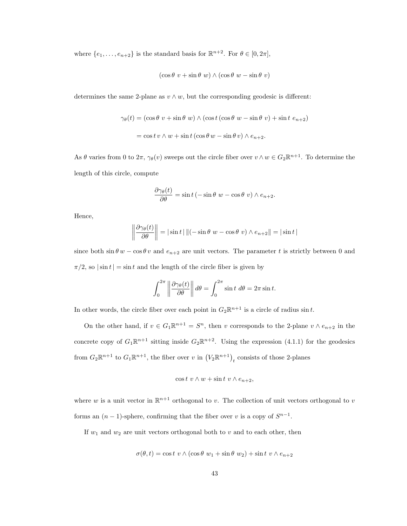where  $\{e_1, \ldots, e_{n+2}\}\$ is the standard basis for  $\mathbb{R}^{n+2}$ . For  $\theta \in [0, 2\pi]$ ,

$$
(\cos\theta \ v + \sin\theta \ w) \wedge (\cos\theta \ w - \sin\theta \ v)
$$

determines the same 2-plane as  $v \wedge w$ , but the corresponding geodesic is different:

$$
\gamma_{\theta}(t) = (\cos \theta \ v + \sin \theta \ w) \wedge (\cos t (\cos \theta \ w - \sin \theta \ v) + \sin t \ e_{n+2})
$$

$$
= \cos t \ v \wedge w + \sin t (\cos \theta \ w - \sin \theta \ v) \wedge e_{n+2}.
$$

As  $\theta$  varies from 0 to  $2\pi$ ,  $\gamma_{\theta}(v)$  sweeps out the circle fiber over  $v \wedge w \in G_2\mathbb{R}^{n+1}$ . To determine the length of this circle, compute

$$
\frac{\partial \gamma_{\theta}(t)}{\partial \theta} = \sin t \left( -\sin \theta \ w - \cos \theta \ v \right) \wedge e_{n+2}.
$$

Hence,

$$
\left\|\frac{\partial \gamma_{\theta}(t)}{\partial \theta}\right\| = |\sin t| \left\|(-\sin \theta \ w - \cos \theta \ v) \wedge e_{n+2}\right\| = |\sin t|
$$

since both  $\sin \theta w - \cos \theta v$  and  $e_{n+2}$  are unit vectors. The parameter t is strictly between 0 and  $\pi/2$ , so  $|\sin t| = \sin t$  and the length of the circle fiber is given by

$$
\int_0^{2\pi} \left\| \frac{\partial \gamma_\theta(t)}{\partial \theta} \right\| d\theta = \int_0^{2\pi} \sin t \ d\theta = 2\pi \sin t.
$$

In other words, the circle fiber over each point in  $G_2\mathbb{R}^{n+1}$  is a circle of radius  $\sin t$ .

On the other hand, if  $v \in G_1 \mathbb{R}^{n+1} = S^n$ , then v corresponds to the 2-plane  $v \wedge e_{n+2}$  in the concrete copy of  $G_1\mathbb{R}^{n+1}$  sitting inside  $G_2\mathbb{R}^{n+2}$ . Using the expression (4.1.1) for the geodesics from  $G_2\mathbb{R}^{n+1}$  to  $G_1\mathbb{R}^{n+1}$ , the fiber over v in  $(V_2\mathbb{R}^{n+1})_t$  consists of those 2-planes

$$
\cos t \ v \wedge w + \sin t \ v \wedge e_{n+2},
$$

where w is a unit vector in  $\mathbb{R}^{n+1}$  orthogonal to v. The collection of unit vectors orthogonal to v forms an  $(n-1)$ -sphere, confirming that the fiber over v is a copy of  $S^{n-1}$ .

If  $w_1$  and  $w_2$  are unit vectors orthogonal both to v and to each other, then

$$
\sigma(\theta, t) = \cos t \ v \wedge (\cos \theta \ w_1 + \sin \theta \ w_2) + \sin t \ v \wedge e_{n+2}
$$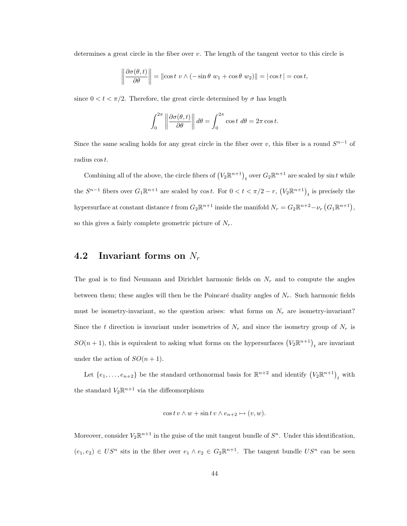determines a great circle in the fiber over v. The length of the tangent vector to this circle is

$$
\left\|\frac{\partial \sigma(\theta, t)}{\partial \theta}\right\| = \left\|\cos t \ v \wedge (-\sin \theta \ w_1 + \cos \theta \ w_2)\right\| = \left|\cos t\right| = \cos t,
$$

since  $0 < t < \pi/2$ . Therefore, the great circle determined by  $\sigma$  has length

$$
\int_0^{2\pi} \left\| \frac{\partial \sigma(\theta, t)}{\partial \theta} \right\| d\theta = \int_0^{2\pi} \cos t \, d\theta = 2\pi \cos t.
$$

Since the same scaling holds for any great circle in the fiber over v, this fiber is a round  $S^{n-1}$  of radius cost.

Combining all of the above, the circle fibers of  $(V_2 \mathbb{R}^{n+1})_t$  over  $G_2 \mathbb{R}^{n+1}$  are scaled by sin t while the  $S^{n-1}$  fibers over  $G_1\mathbb{R}^{n+1}$  are scaled by  $\cos t$ . For  $0 < t < \pi/2 - r$ ,  $(V_2\mathbb{R}^{n+1})_t$  is precisely the hypersurface at constant distance t from  $G_2\mathbb{R}^{n+1}$  inside the manifold  $N_r = G_2\mathbb{R}^{n+2} - \nu_r(G_1\mathbb{R}^{n+1}),$ so this gives a fairly complete geometric picture of  $N_r$ .

### 4.2 Invariant forms on  $N_r$

The goal is to find Neumann and Dirichlet harmonic fields on  $N_r$  and to compute the angles between them; these angles will then be the Poincaré duality angles of  $N_r$ . Such harmonic fields must be isometry-invariant, so the question arises: what forms on  $N_r$  are isometry-invariant? Since the t direction is invariant under isometries of  $N_r$  and since the isometry group of  $N_r$  is  $SO(n + 1)$ , this is equivalent to asking what forms on the hypersurfaces  $(V_2 \mathbb{R}^{n+1})$ <sub>t</sub> are invariant under the action of  $SO(n+1)$ .

Let  $\{e_1,\ldots,e_{n+2}\}$  be the standard orthonormal basis for  $\mathbb{R}^{n+2}$  and identify  $(V_2\mathbb{R}^{n+1})_t$  with the standard  $V_2\mathbb{R}^{n+1}$  via the diffeomorphism

$$
\cos t \, v \wedge w + \sin t \, v \wedge e_{n+2} \mapsto (v, w).
$$

Moreover, consider  $V_2\mathbb{R}^{n+1}$  in the guise of the unit tangent bundle of  $S^n$ . Under this identification,  $(e_1, e_2) \in US^n$  sits in the fiber over  $e_1 \wedge e_2 \in G_2 \mathbb{R}^{n+1}$ . The tangent bundle  $US^n$  can be seen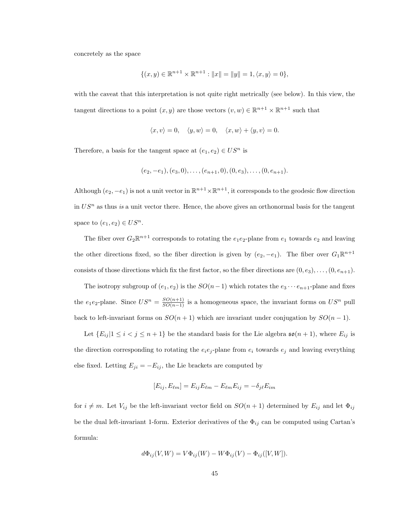concretely as the space

$$
\{(x,y) \in \mathbb{R}^{n+1} \times \mathbb{R}^{n+1} : ||x|| = ||y|| = 1, \langle x, y \rangle = 0\},\
$$

with the caveat that this interpretation is not quite right metrically (see below). In this view, the tangent directions to a point  $(x, y)$  are those vectors  $(v, w) \in \mathbb{R}^{n+1} \times \mathbb{R}^{n+1}$  such that

$$
\langle x, v \rangle = 0, \quad \langle y, w \rangle = 0, \quad \langle x, w \rangle + \langle y, v \rangle = 0.
$$

Therefore, a basis for the tangent space at  $(e_1, e_2) \in US^n$  is

$$
(e_2, -e_1), (e_3, 0), \ldots, (e_{n+1}, 0), (0, e_3), \ldots, (0, e_{n+1}).
$$

Although  $(e_2, -e_1)$  is not a unit vector in  $\mathbb{R}^{n+1} \times \mathbb{R}^{n+1}$ , it corresponds to the geodesic flow direction in  $US<sup>n</sup>$  as thus is a unit vector there. Hence, the above gives an orthonormal basis for the tangent space to  $(e_1, e_2) \in US^n$ .

The fiber over  $G_2\mathbb{R}^{n+1}$  corresponds to rotating the  $e_1e_2$ -plane from  $e_1$  towards  $e_2$  and leaving the other directions fixed, so the fiber direction is given by  $(e_2, -e_1)$ . The fiber over  $G_1\mathbb{R}^{n+1}$ consists of those directions which fix the first factor, so the fiber directions are  $(0, e_3), \ldots, (0, e_{n+1}).$ 

The isotropy subgroup of  $(e_1, e_2)$  is the  $SO(n-1)$  which rotates the  $e_3 \cdots e_{n+1}$ -plane and fixes the e<sub>1</sub>e<sub>2</sub>-plane. Since  $US^n = \frac{SO(n+1)}{SO(n-1)}$  is a homogeneous space, the invariant forms on  $US^n$  pull back to left-invariant forms on  $SO(n + 1)$  which are invariant under conjugation by  $SO(n - 1)$ .

Let  $\{E_{ij} | 1 \le i < j \le n+1\}$  be the standard basis for the Lie algebra  $\mathfrak{so}(n+1)$ , where  $E_{ij}$  is the direction corresponding to rotating the  $e_i e_j$ -plane from  $e_i$  towards  $e_j$  and leaving everything else fixed. Letting  $E_{ji} = -E_{ij}$ , the Lie brackets are computed by

$$
[E_{ij}, E_{\ell m}] = E_{ij} E_{\ell m} - E_{\ell m} E_{ij} = -\delta_{j\ell} E_{im}
$$

for  $i \neq m$ . Let  $V_{ij}$  be the left-invariant vector field on  $SO(n + 1)$  determined by  $E_{ij}$  and let  $\Phi_{ij}$ be the dual left-invariant 1-form. Exterior derivatives of the  $\Phi_{ij}$  can be computed using Cartan's formula:

$$
d\Phi_{ij}(V,W) = V\Phi_{ij}(W) - W\Phi_{ij}(V) - \Phi_{ij}([V,W]).
$$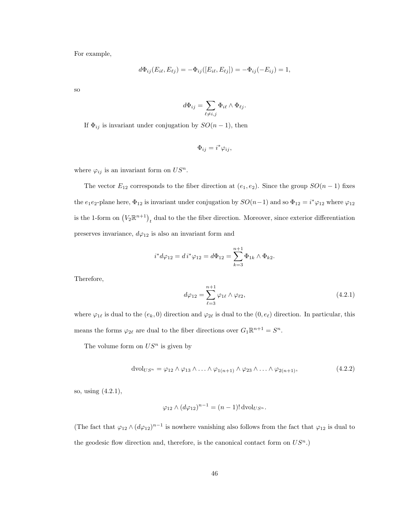For example,

$$
d\Phi_{ij}(E_{i\ell}, E_{\ell j}) = -\Phi_{ij}([E_{i\ell}, E_{\ell j}]) = -\Phi_{ij}(-E_{ij}) = 1,
$$

so

$$
d\Phi_{ij} = \sum_{\ell \neq i,j} \Phi_{i\ell} \wedge \Phi_{\ell j}.
$$

If  $\Phi_{ij}$  is invariant under conjugation by  $SO(n-1)$ , then

$$
\Phi_{ij} = i^* \varphi_{ij},
$$

where  $\varphi_{ij}$  is an invariant form on  $US^n$ .

The vector  $E_{12}$  corresponds to the fiber direction at  $(e_1, e_2)$ . Since the group  $SO(n-1)$  fixes the e<sub>1</sub>e<sub>2</sub>-plane here,  $\Phi_{12}$  is invariant under conjugation by  $SO(n-1)$  and so  $\Phi_{12} = i^* \varphi_{12}$  where  $\varphi_{12}$ is the 1-form on  $(V_2\mathbb{R}^{n+1})_t$  dual to the the fiber direction. Moreover, since exterior differentiation preserves invariance,  $d\varphi_{12}$  is also an invariant form and

$$
i^*d\varphi_{12} = d i^*\varphi_{12} = d\Phi_{12} = \sum_{k=3}^{n+1} \Phi_{1k} \wedge \Phi_{k2}.
$$

Therefore,

$$
d\varphi_{12} = \sum_{\ell=3}^{n+1} \varphi_{1\ell} \wedge \varphi_{\ell2},\tag{4.2.1}
$$

where  $\varphi_{1\ell}$  is dual to the  $(e_k, 0)$  direction and  $\varphi_{2\ell}$  is dual to the  $(0, e_\ell)$  direction. In particular, this means the forms  $\varphi_{2\ell}$  are dual to the fiber directions over  $G_1\mathbb{R}^{n+1} = S^n$ .

The volume form on  $US<sup>n</sup>$  is given by

$$
dvol_{US^n} = \varphi_{12} \wedge \varphi_{13} \wedge \ldots \wedge \varphi_{1(n+1)} \wedge \varphi_{23} \wedge \ldots \wedge \varphi_{2(n+1)},
$$
\n(4.2.2)

so, using (4.2.1),

$$
\varphi_{12} \wedge (d\varphi_{12})^{n-1} = (n-1)! \operatorname{dvol}_{US^n}.
$$

(The fact that  $\varphi_{12} \wedge (d\varphi_{12})^{n-1}$  is nowhere vanishing also follows from the fact that  $\varphi_{12}$  is dual to the geodesic flow direction and, therefore, is the canonical contact form on  $US<sup>n</sup>$ .)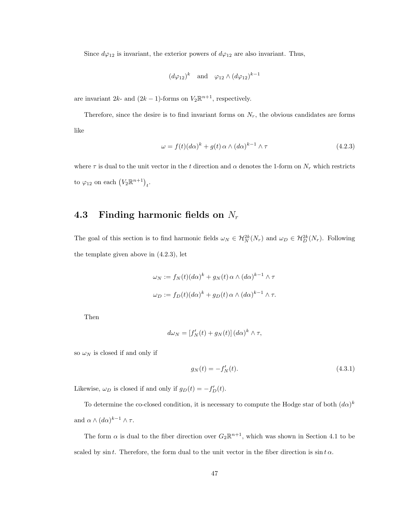Since  $d\varphi_{12}$  is invariant, the exterior powers of  $d\varphi_{12}$  are also invariant. Thus,

$$
(d\varphi_{12})^k
$$
 and  $\varphi_{12} \wedge (d\varphi_{12})^{k-1}$ 

are invariant  $2k$ - and  $(2k - 1)$ -forms on  $V_2 \mathbb{R}^{n+1}$ , respectively.

Therefore, since the desire is to find invariant forms on  $N_r$ , the obvious candidates are forms like

$$
\omega = f(t)(d\alpha)^k + g(t)\,\alpha \wedge (d\alpha)^{k-1} \wedge \tau \tag{4.2.3}
$$

where  $\tau$  is dual to the unit vector in the t direction and  $\alpha$  denotes the 1-form on  $N_r$  which restricts to  $\varphi_{12}$  on each  $(V_2 \mathbb{R}^{n+1})_t$ .

### 4.3 Finding harmonic fields on  $N_r$

The goal of this section is to find harmonic fields  $\omega_N \in \mathcal{H}_N^{2k}(N_r)$  and  $\omega_D \in \mathcal{H}_D^{2k}(N_r)$ . Following the template given above in (4.2.3), let

$$
\omega_N := f_N(t)(d\alpha)^k + g_N(t) \alpha \wedge (d\alpha)^{k-1} \wedge \tau
$$
  

$$
\omega_D := f_D(t)(d\alpha)^k + g_D(t) \alpha \wedge (d\alpha)^{k-1} \wedge \tau.
$$

Then

$$
d\omega_N = [f'_N(t) + g_N(t)] (d\alpha)^k \wedge \tau,
$$

so  $\omega_N$  is closed if and only if

$$
g_N(t) = -f'_N(t). \t\t(4.3.1)
$$

Likewise,  $\omega_D$  is closed if and only if  $g_D(t) = -f'_D(t)$ .

To determine the co-closed condition, it is necessary to compute the Hodge star of both  $(d\alpha)^k$ and  $\alpha \wedge (d\alpha)^{k-1} \wedge \tau$ .

The form  $\alpha$  is dual to the fiber direction over  $G_2\mathbb{R}^{n+1}$ , which was shown in Section 4.1 to be scaled by sin t. Therefore, the form dual to the unit vector in the fiber direction is  $\sin t \alpha$ .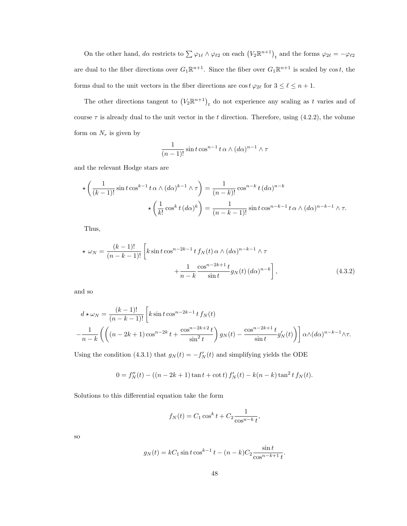On the other hand,  $d\alpha$  restricts to  $\sum \varphi_{1\ell} \wedge \varphi_{\ell 2}$  on each  $(V_2 \mathbb{R}^{n+1})_t$  and the forms  $\varphi_{2\ell} = -\varphi_{\ell 2}$ are dual to the fiber directions over  $G_1\mathbb{R}^{n+1}$ . Since the fiber over  $G_1\mathbb{R}^{n+1}$  is scaled by cost, the forms dual to the unit vectors in the fiber directions are  $\cos t \varphi_{2\ell}$  for  $3 \leq \ell \leq n + 1$ .

The other directions tangent to  $(V_2 \mathbb{R}^{n+1})$ <sub>t</sub> do not experience any scaling as t varies and of course  $\tau$  is already dual to the unit vector in the t direction. Therefore, using (4.2.2), the volume form on  $N_r$  is given by

$$
\frac{1}{(n-1)!} \sin t \cos^{n-1} t \alpha \wedge (d\alpha)^{n-1} \wedge \tau
$$

and the relevant Hodge stars are

$$
\star \left( \frac{1}{(k-1)!} \sin t \cos^{k-1} t \alpha \wedge (d\alpha)^{k-1} \wedge \tau \right) = \frac{1}{(n-k)!} \cos^{n-k} t (d\alpha)^{n-k}
$$

$$
\star \left( \frac{1}{k!} \cos^k t (d\alpha)^k \right) = \frac{1}{(n-k-1)!} \sin t \cos^{n-k-1} t \alpha \wedge (d\alpha)^{n-k-1} \wedge \tau.
$$

Thus,

$$
\star \omega_N = \frac{(k-1)!}{(n-k-1)!} \left[ k \sin t \cos^{n-2k-1} t f_N(t) \alpha \wedge (d\alpha)^{n-k-1} \wedge \tau + \frac{1}{n-k} \frac{\cos^{n-2k+1} t}{\sin t} g_N(t) (d\alpha)^{n-k} \right],
$$
\n(4.3.2)

and so

$$
d \star \omega_N = \frac{(k-1)!}{(n-k-1)!} \left[ k \sin t \cos^{n-2k-1} t f_N(t) - \frac{1}{n-k} \left( \left( (n-2k+1) \cos^{n-2k} t + \frac{\cos^{n-2k+2} t}{\sin^2 t} \right) g_N(t) - \frac{\cos^{n-2k+1} t}{\sin t} g'_N(t) \right) \right] \alpha \wedge (d\alpha)^{n-k-1} \wedge \tau.
$$

Using the condition (4.3.1) that  $g_N(t) = -f'_N(t)$  and simplifying yields the ODE

$$
0 = f''_N(t) - ((n - 2k + 1)\tan t + \cot t) f'_N(t) - k(n - k)\tan^2 t f_N(t).
$$

Solutions to this differential equation take the form

$$
f_N(t) = C_1 \cos^k t + C_2 \frac{1}{\cos^{n-k} t},
$$

so

$$
g_N(t) = kC_1 \sin t \cos^{k-1} t - (n-k)C_2 \frac{\sin t}{\cos^{n-k+1} t}.
$$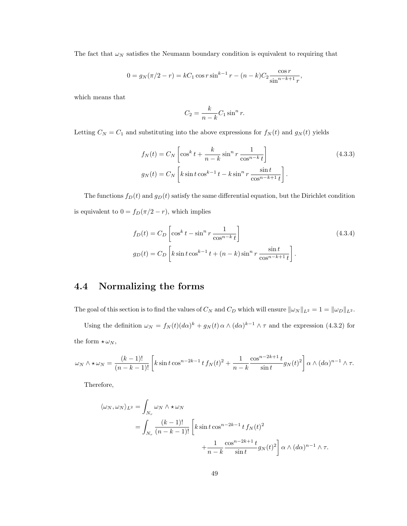The fact that  $\omega_N$  satisfies the Neumann boundary condition is equivalent to requiring that

$$
0 = g_N(\pi/2 - r) = kC_1 \cos r \sin^{k-1} r - (n - k)C_2 \frac{\cos r}{\sin^{n-k+1} r},
$$

which means that

$$
C_2 = \frac{k}{n-k} C_1 \sin^n r.
$$

Letting  $C_N = C_1$  and substituting into the above expressions for  $f_N(t)$  and  $g_N(t)$  yields

$$
f_N(t) = C_N \left[ \cos^k t + \frac{k}{n-k} \sin^n r \frac{1}{\cos^{n-k} t} \right]
$$
\n
$$
g_N(t) = C_N \left[ k \sin t \cos^{k-1} t - k \sin^n r \frac{\sin t}{\cos^{n-k+1} t} \right].
$$
\n(4.3.3)

The functions  $f_D(t)$  and  $g_D(t)$  satisfy the same differential equation, but the Dirichlet condition is equivalent to  $0 = f_D(\pi/2 - r),$  which implies

$$
f_D(t) = C_D \left[ \cos^k t - \sin^n r \frac{1}{\cos^{n-k} t} \right]
$$
\n
$$
g_D(t) = C_D \left[ k \sin t \cos^{k-1} t + (n-k) \sin^n r \frac{\sin t}{\cos^{n-k+1} t} \right].
$$
\n(4.3.4)

## 4.4 Normalizing the forms

The goal of this section is to find the values of  $C_N$  and  $C_D$  which will ensure  $\|\omega_N\|_{L^2} = 1 = \|\omega_D\|_{L^2}$ .

Using the definition  $\omega_N = f_N(t)(d\alpha)^k + g_N(t)\alpha \wedge (d\alpha)^{k-1} \wedge \tau$  and the expression (4.3.2) for the form  $\star \omega_N$ ,

$$
\omega_N \wedge \star \omega_N = \frac{(k-1)!}{(n-k-1)!} \left[ k \sin t \cos^{n-2k-1} t f_N(t)^2 + \frac{1}{n-k} \frac{\cos^{n-2k+1} t}{\sin t} g_N(t)^2 \right] \alpha \wedge (d\alpha)^{n-1} \wedge \tau.
$$

Therefore,

$$
\langle \omega_N, \omega_N \rangle_{L^2} = \int_{N_r} \omega_N \wedge \star \omega_N
$$
  
= 
$$
\int_{N_r} \frac{(k-1)!}{(n-k-1)!} \left[ k \sin t \cos^{n-2k-1} t f_N(t)^2 + \frac{1}{n-k} \frac{\cos^{n-2k+1} t}{\sin t} g_N(t)^2 \right] \alpha \wedge (d\alpha)^{n-1} \wedge \tau.
$$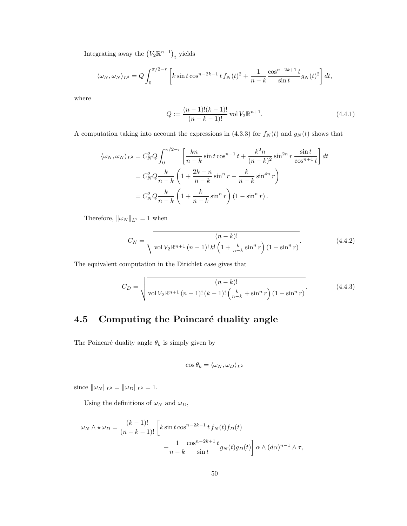Integrating away the  $(V_2\mathbb{R}^{n+1})_t$  yields

$$
\langle \omega_N, \omega_N \rangle_{L^2} = Q \int_0^{\pi/2 - r} \left[ k \sin t \cos^{n-2k-1} t f_N(t)^2 + \frac{1}{n-k} \frac{\cos^{n-2k+1} t}{\sin t} g_N(t)^2 \right] dt,
$$

where

$$
Q := \frac{(n-1)!(k-1)!}{(n-k-1)!} \text{ vol } V_2 \mathbb{R}^{n+1}.
$$
\n(4.4.1)

A computation taking into account the expressions in (4.3.3) for  $f_N(t)$  and  $g_N(t)$  shows that

$$
\langle \omega_N, \omega_N \rangle_{L^2} = C_N^2 Q \int_0^{\pi/2-r} \left[ \frac{kn}{n-k} \sin t \cos^{n-1} t + \frac{k^2 n}{(n-k)^2} \sin^{2n} r \frac{\sin t}{\cos^{n+1} t} \right] dt
$$
  

$$
= C_N^2 Q \frac{k}{n-k} \left( 1 + \frac{2k-n}{n-k} \sin^n r - \frac{k}{n-k} \sin^{4n} r \right)
$$
  

$$
= C_N^2 Q \frac{k}{n-k} \left( 1 + \frac{k}{n-k} \sin^n r \right) (1 - \sin^n r).
$$

Therefore,  $\|\omega_N\|_{L^2} = 1$  when

$$
C_N = \sqrt{\frac{(n-k)!}{\text{vol } V_2 \mathbb{R}^{n+1} (n-1)! \, k! \left(1 + \frac{k}{n-k} \sin^n r\right) (1 - \sin^n r)}}.
$$
\n(4.4.2)

The equivalent computation in the Dirichlet case gives that

$$
C_D = \sqrt{\frac{(n-k)!}{\text{vol } V_2 \mathbb{R}^{n+1} (n-1)!(k-1)!\left(\frac{k}{n-k} + \sin^n r\right)(1-\sin^n r)}}.
$$
(4.4.3)

## 4.5 Computing the Poincaré duality angle

The Poincaré duality angle  $\theta_k$  is simply given by

$$
\cos\theta_k = \langle \omega_N, \omega_D \rangle_{L^2}
$$

since  $\|\omega_N\|_{L^2} = \|\omega_D\|_{L^2} = 1.$ 

Using the definitions of  $\omega_N$  and  $\omega_D,$ 

$$
\omega_N \wedge \star \omega_D = \frac{(k-1)!}{(n-k-1)!} \left[ k \sin t \cos^{n-2k-1} t f_N(t) f_D(t) + \frac{1}{n-k} \frac{\cos^{n-2k+1} t}{\sin t} g_N(t) g_D(t) \right] \alpha \wedge (d\alpha)^{n-1} \wedge \tau,
$$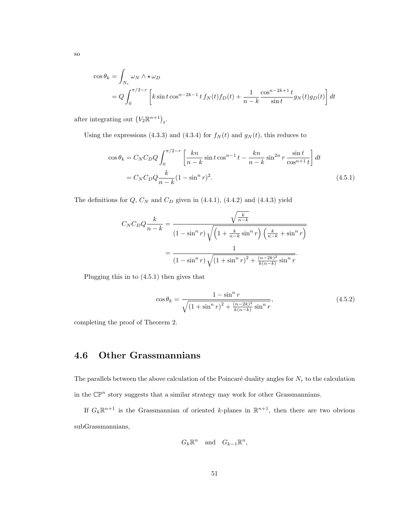$$
\cos \theta_k = \int_{N_r} \omega_N \wedge \star \omega_D
$$
  
=  $Q \int_0^{\pi/2-r} \left[ k \sin t \cos^{n-2k-1} t f_N(t) f_D(t) + \frac{1}{n-k} \frac{\cos^{n-2k+1} t}{\sin t} g_N(t) g_D(t) \right] dt$ 

after integrating out  $(V_2 \mathbb{R}^{n+1})_t$ .

Using the expressions (4.3.3) and (4.3.4) for  $f_N(t)$  and  $g_N(t)$ , this reduces to

$$
\cos \theta_k = C_N C_D Q \int_0^{\pi/2 - r} \left[ \frac{kn}{n - k} \sin t \cos^{n - 1} t - \frac{kn}{n - k} \sin^{2n} r \frac{\sin t}{\cos^{n + 1} t} \right] dt
$$
  
=  $C_N C_D Q \frac{k}{n - k} (1 - \sin^n r)^2$ . (4.5.1)

The definitions for  $Q$ ,  $C_N$  and  $C_D$  given in (4.4.1), (4.4.2) and (4.4.3) yield

$$
C_N C_D Q \frac{k}{n-k} = \frac{\sqrt{\frac{k}{n-k}}}{(1 - \sin^n r) \sqrt{\left(1 + \frac{k}{n-k} \sin^n r\right) \left(\frac{k}{n-k} + \sin^n r\right)}}
$$

$$
= \frac{1}{(1 - \sin^n r) \sqrt{(1 + \sin^n r)^2 + \frac{(n-2k)^2}{k(n-k)} \sin^n r}}.
$$

Plugging this in to (4.5.1) then gives that

$$
\cos \theta_k = \frac{1 - \sin^n r}{\sqrt{\left(1 + \sin^n r\right)^2 + \frac{(n - 2k)^2}{k(n - k)} \sin^n r}},\tag{4.5.2}
$$

completing the proof of Theorem 2.

### 4.6 Other Grassmannians

The parallels between the above calculation of the Poincaré duality angles for  $N_r$  to the calculation in the  $\mathbb{CP}^n$  story suggests that a similar strategy may work for other Grassmannians.

If  $G_k \mathbb{R}^{n+1}$  is the Grassmannian of oriented k-planes in  $\mathbb{R}^{n+1}$ , then there are two obvious subGrassmannians,

$$
G_k \mathbb{R}^n \quad \text{and} \quad G_{k-1} \mathbb{R}^n,
$$

so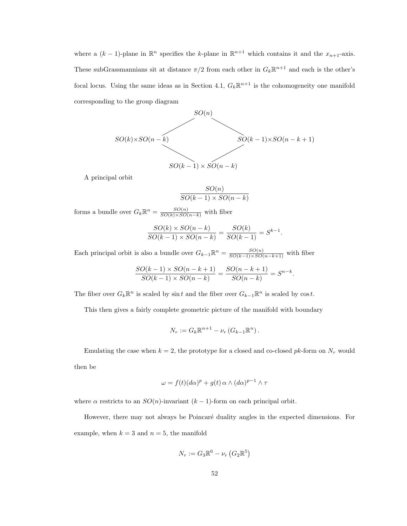where a  $(k-1)$ -plane in  $\mathbb{R}^n$  specifies the k-plane in  $\mathbb{R}^{n+1}$  which contains it and the  $x_{n+1}$ -axis. These subGrassmannians sit at distance  $\pi/2$  from each other in  $G_k \mathbb{R}^{n+1}$  and each is the other's focal locus. Using the same ideas as in Section 4.1,  $G_k \mathbb{R}^{n+1}$  is the cohomogeneity one manifold corresponding to the group diagram

$$
SO(n)
$$
  

$$
SO(n) \times SO(n-k)
$$
  

$$
SO(k-1) \times SO(n-k+1)
$$
  

$$
SO(k-1) \times SO(n-k)
$$

A principal orbit

$$
\frac{SO(n)}{SO(k-1)\times SO(n-k)}
$$

forms a bundle over  $G_k \mathbb{R}^n = \frac{SO(n)}{SO(k) \times SO(n-k)}$  with fiber

$$
\frac{SO(k)\times SO(n-k)}{SO(k-1)\times SO(n-k)}=\frac{SO(k)}{SO(k-1)}=S^{k-1}.
$$

Each principal orbit is also a bundle over  $G_{k-1}\mathbb{R}^n = \frac{SO(n)}{SO(k-1)\times SO(n-k+1)}$  with fiber

$$
\frac{SO(k-1) \times SO(n-k+1)}{SO(k-1) \times SO(n-k)} = \frac{SO(n-k+1)}{SO(n-k)} = S^{n-k}.
$$

The fiber over  $G_k \mathbb{R}^n$  is scaled by sin t and the fiber over  $G_{k-1} \mathbb{R}^n$  is scaled by  $\cos t$ .

This then gives a fairly complete geometric picture of the manifold with boundary

$$
N_r := G_k \mathbb{R}^{n+1} - \nu_r \left( G_{k-1} \mathbb{R}^n \right).
$$

Emulating the case when  $k = 2$ , the prototype for a closed and co-closed pk-form on  $N_r$  would then be

$$
\omega = f(t)(d\alpha)^p + g(t) \alpha \wedge (d\alpha)^{p-1} \wedge \tau
$$

where  $\alpha$  restricts to an  $SO(n)$ -invariant  $(k-1)$ -form on each principal orbit.

However, there may not always be Poincaré duality angles in the expected dimensions. For example, when  $k = 3$  and  $n = 5$ , the manifold

$$
N_r := G_3 \mathbb{R}^6 - \nu_r \left( G_2 \mathbb{R}^5 \right)
$$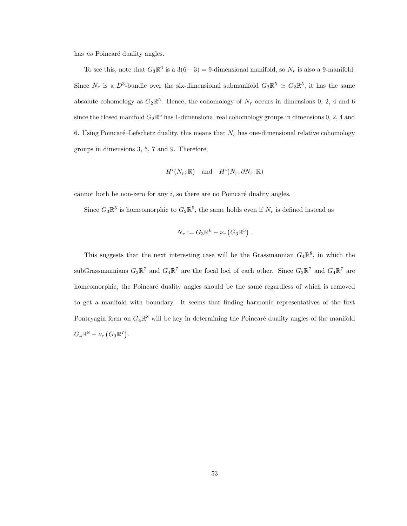has no Poincaré duality angles.

To see this, note that  $G_3\mathbb{R}^6$  is a  $3(6-3) = 9$ -dimensional manifold, so  $N_r$  is also a 9-manifold. Since  $N_r$  is a  $D^3$ -bundle over the six-dimensional submanifold  $G_3 \mathbb{R}^5 \simeq G_2 \mathbb{R}^5$ , it has the same absolute cohomology as  $G_2\mathbb{R}^5$ . Hence, the cohomology of  $N_r$  occurs in dimensions 0, 2, 4 and 6 since the closed manifold  $G_2\mathbb{R}^5$  has 1-dimensional real cohomology groups in dimensions 0, 2, 4 and 6. Using Poincaré–Lefschetz duality, this means that  $N_r$  has one-dimensional relative cohomology groups in dimensions 3, 5, 7 and 9. Therefore,

$$
H^i(N_r; \mathbb{R}) \quad \text{and} \quad H^i(N_r, \partial N_r; \mathbb{R})
$$

cannot both be non-zero for any  $i$ , so there are no Poincaré duality angles.

Since  $G_3\mathbb{R}^5$  is homeomorphic to  $G_2\mathbb{R}^5$ , the same holds even if  $N_r$  is defined instead as

$$
N_r := G_3 \mathbb{R}^6 - \nu_r \left( G_3 \mathbb{R}^5 \right).
$$

This suggests that the next interesting case will be the Grassmannian  $G_4\mathbb{R}^8$ , in which the subGrassmannians  $G_3\mathbb{R}^7$  and  $G_4\mathbb{R}^7$  are the focal loci of each other. Since  $G_3\mathbb{R}^7$  and  $G_4\mathbb{R}^7$  are homeomorphic, the Poincaré duality angles should be the same regardless of which is removed to get a manifold with boundary. It seems that finding harmonic representatives of the first Pontryagin form on  $G_4\mathbb{R}^8$  will be key in determining the Poincaré duality angles of the manifold  $G_4 \mathbb{R}^8 - \nu_r (G_3 \mathbb{R}^7).$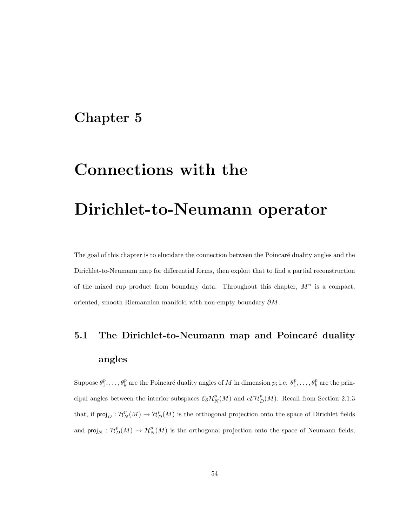## Chapter 5

## Connections with the

# Dirichlet-to-Neumann operator

The goal of this chapter is to elucidate the connection between the Poincaré duality angles and the Dirichlet-to-Neumann map for differential forms, then exploit that to find a partial reconstruction of the mixed cup product from boundary data. Throughout this chapter,  $M^n$  is a compact, oriented, smooth Riemannian manifold with non-empty boundary ∂M.

# 5.1 The Dirichlet-to-Neumann map and Poincaré duality angles

Suppose  $\theta_1^p, \ldots, \theta_k^p$  are the Poincaré duality angles of M in dimension p; i.e.  $\theta_1^p, \ldots, \theta_k^p$  are the principal angles between the interior subspaces  $\mathcal{E}_{\partial} \mathcal{H}_N^p(M)$  and  $c\mathcal{E}\mathcal{H}_D^p(M)$ . Recall from Section 2.1.3 that, if  $\text{proj}_D : \mathcal{H}_N^p(M) \to \mathcal{H}_D^p(M)$  is the orthogonal projection onto the space of Dirichlet fields and  $\text{proj}_N : \mathcal{H}_D^p(M) \to \mathcal{H}_N^p(M)$  is the orthogonal projection onto the space of Neumann fields,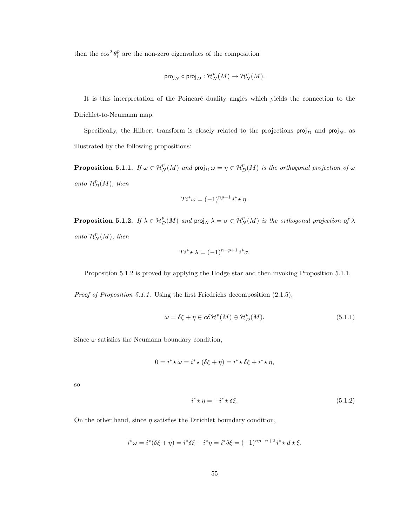then the  $\cos^2 \theta_i^p$  are the non-zero eigenvalues of the composition

$$
\text{proj}_N \circ \text{proj}_D: \mathcal{H}^p_N(M) \to \mathcal{H}^p_N(M).
$$

It is this interpretation of the Poincaré duality angles which yields the connection to the Dirichlet-to-Neumann map.

Specifically, the Hilbert transform is closely related to the projections  $\text{proj}_D$  and  $\text{proj}_{N}$ , as illustrated by the following propositions:

**Proposition 5.1.1.** If  $\omega \in H^p_N(M)$  and  $proj_D \omega = \eta \in H^p_D(M)$  is the orthogonal projection of  $\omega$ onto  $\mathcal{H}_D^p(M)$ , then

$$
Ti^*\omega = (-1)^{np+1} i^* \star \eta.
$$

**Proposition 5.1.2.** If  $\lambda \in H_D^p(M)$  and  $proj_N \lambda = \sigma \in H_N^p(M)$  is the orthogonal projection of  $\lambda$ onto  $\mathcal{H}_N^p(M)$ , then

$$
Ti^* \star \lambda = (-1)^{n+p+1} i^* \sigma.
$$

Proposition 5.1.2 is proved by applying the Hodge star and then invoking Proposition 5.1.1.

Proof of Proposition 5.1.1. Using the first Friedrichs decomposition (2.1.5),

$$
\omega = \delta \xi + \eta \in c\mathcal{E}\mathcal{H}^p(M) \oplus \mathcal{H}_D^p(M). \tag{5.1.1}
$$

Since  $\omega$  satisfies the Neumann boundary condition,

$$
0 = i^* \star \omega = i^* \star (\delta \xi + \eta) = i^* \star \delta \xi + i^* \star \eta,
$$

so

$$
i^* \star \eta = -i^* \star \delta \xi. \tag{5.1.2}
$$

On the other hand, since  $\eta$  satisfies the Dirichlet boundary condition,

$$
i^*\omega = i^*(\delta\xi + \eta) = i^*\delta\xi + i^*\eta = i^*\delta\xi = (-1)^{np+n+2}i^*\star d\star \xi.
$$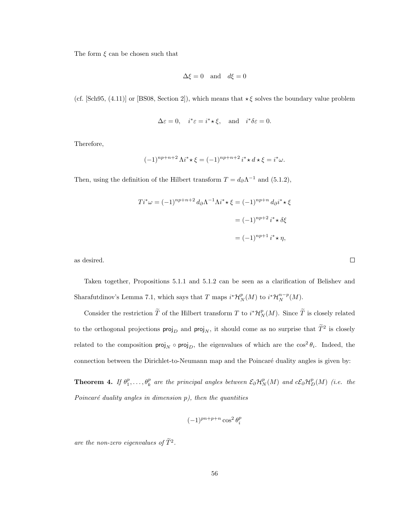The form  $\xi$  can be chosen such that

$$
\Delta \xi = 0 \quad \text{and} \quad d\xi = 0
$$

(cf. [Sch95, (4.11)] or [BS08, Section 2]), which means that  $\star \xi$  solves the boundary value problem

$$
\Delta \varepsilon = 0
$$
,  $i^* \varepsilon = i^* \star \xi$ , and  $i^* \delta \varepsilon = 0$ .

Therefore,

$$
(-1)^{np+n+2} \Lambda i^* \star \xi = (-1)^{np+n+2} i^* \star d \star \xi = i^* \omega.
$$

Then, using the definition of the Hilbert transform  $T = d_{\partial} \Lambda^{-1}$  and (5.1.2),

$$
Ti^*\omega = (-1)^{np+n+2} d_{\partial} \Lambda^{-1} \Lambda i^* \star \xi = (-1)^{np+n} d_{\partial} i^* \star \xi
$$

$$
= (-1)^{np+2} i^* \star \delta \xi
$$

$$
= (-1)^{np+1} i^* \star \eta,
$$

as desired.

Taken together, Propositions 5.1.1 and 5.1.2 can be seen as a clarification of Belishev and Sharafutdinov's Lemma 7.1, which says that T maps  $i^*{\mathcal H}_N^p(M)$  to  $i^*{\mathcal H}_N^{n-p}(M)$ .

Consider the restriction  $\tilde{T}$  of the Hilbert transform T to  $i^*\mathcal{H}_N^p(M)$ . Since  $\tilde{T}$  is closely related to the orthogonal projections  $\text{proj}_D$  and  $\text{proj}_N$ , it should come as no surprise that  $\tilde{T}^2$  is closely related to the composition  $proj_N \circ proj_D$ , the eigenvalues of which are the  $cos^2 \theta_i$ . Indeed, the connection between the Dirichlet-to-Neumann map and the Poincaré duality angles is given by:

**Theorem 4.** If  $\theta_1^p, \ldots, \theta_k^p$  are the principal angles between  $\mathcal{E}_{\partial} \mathcal{H}_N^p(M)$  and  $c\mathcal{E}_{\partial} \mathcal{H}_D^p(M)$  (i.e. the Poincaré duality angles in dimension  $p$ ), then the quantities

$$
(-1)^{pn+p+n}\cos^2\theta_i^p
$$

are the non-zero eigenvalues of  $\tilde{T}^2$ .

 $\Box$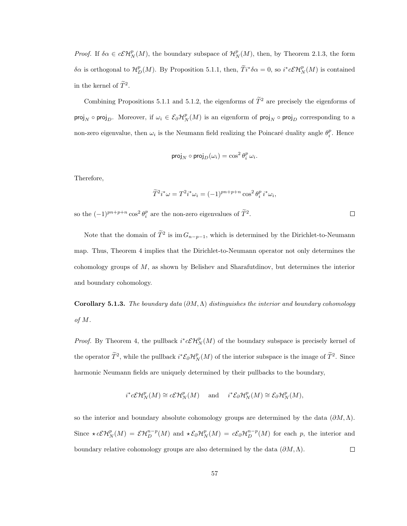*Proof.* If  $\delta \alpha \in c\mathcal{EH}_N^p(M)$ , the boundary subspace of  $\mathcal{H}_N^p(M)$ , then, by Theorem 2.1.3, the form δα is orthogonal to  $\mathcal{H}_D^p(M)$ . By Proposition 5.1.1, then,  $\widetilde{T}i^*\delta\alpha = 0$ , so  $i^*\mathcal{E}\mathcal{H}_N^p(M)$  is contained in the kernel of  $\tilde{T}^2$ .

Combining Propositions 5.1.1 and 5.1.2, the eigenforms of  $\widetilde{T}^2$  are precisely the eigenforms of proj<sub>N</sub> ∘ proj<sub>D</sub>. Moreover, if  $\omega_i \in \mathcal{E}_{\partial} \mathcal{H}_N^p(M)$  is an eigenform of proj<sub>N</sub> ∘ proj<sub>D</sub> corresponding to a non-zero eigenvalue, then  $\omega_i$  is the Neumann field realizing the Poincaré duality angle  $\theta_i^p$ . Hence

$$
\operatorname{proj}_N\circ\operatorname{proj}_D(\omega_i)=\cos^2\theta_i^p\,\omega_i.
$$

Therefore,

$$
\widetilde{T}^2 i^* \omega = T^2 i^* \omega_i = (-1)^{pn+p+n} \cos^2 \theta_i^p i^* \omega_i,
$$

 $\Box$ 

so the  $(-1)^{pn+p+n}\cos^2\theta_i^p$  are the non-zero eigenvalues of  $\tilde{T}^2$ .

Note that the domain of  $\tilde{T}^2$  is  $\text{im } G_{n-p-1}$ , which is determined by the Dirichlet-to-Neumann map. Thus, Theorem 4 implies that the Dirichlet-to-Neumann operator not only determines the cohomology groups of M, as shown by Belishev and Sharafutdinov, but determines the interior and boundary cohomology.

Corollary 5.1.3. The boundary data  $(\partial M, \Lambda)$  distinguishes the interior and boundary cohomology of M.

*Proof.* By Theorem 4, the pullback  $i^*c\mathcal{EH}_N^p(M)$  of the boundary subspace is precisely kernel of the operator  $\tilde{T}^2$ , while the pullback  $i^*\mathcal{E}_\partial \mathcal{H}_N^p(M)$  of the interior subspace is the image of  $\tilde{T}^2$ . Since harmonic Neumann fields are uniquely determined by their pullbacks to the boundary,

$$
i^*c\mathcal{E}\mathcal{H}_N^p(M) \cong c\mathcal{E}\mathcal{H}_N^p(M)
$$
 and  $i^*\mathcal{E}_{\partial}\mathcal{H}_N^p(M) \cong \mathcal{E}_{\partial}\mathcal{H}_N^p(M)$ ,

so the interior and boundary absolute cohomology groups are determined by the data  $(\partial M, \Lambda)$ . Since  $\star c\mathcal{E}\mathcal{H}_N^p(M) = \mathcal{E}\mathcal{H}_D^{n-p}(M)$  and  $\star \mathcal{E}_{\partial}\mathcal{H}_N^p(M) = c\mathcal{E}_{\partial}\mathcal{H}_D^{n-p}(M)$  for each p, the interior and  $\Box$ boundary relative cohomology groups are also determined by the data  $(\partial M, \Lambda)$ .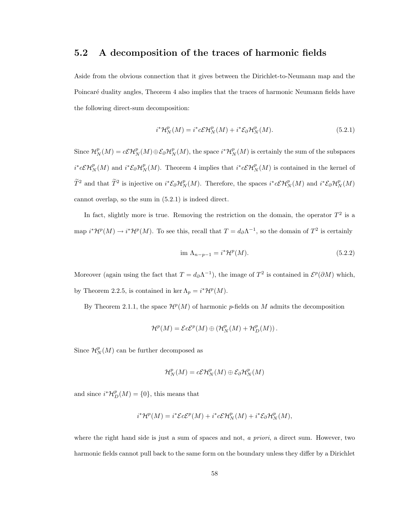### 5.2 A decomposition of the traces of harmonic fields

Aside from the obvious connection that it gives between the Dirichlet-to-Neumann map and the Poincaré duality angles, Theorem 4 also implies that the traces of harmonic Neumann fields have the following direct-sum decomposition:

$$
i^{\ast} \mathcal{H}_N^p(M) = i^{\ast} c \mathcal{E} \mathcal{H}_N^p(M) + i^{\ast} \mathcal{E}_{\partial} \mathcal{H}_N^p(M). \tag{5.2.1}
$$

Since  $\mathcal{H}_N^p(M) = c\mathcal{E}\mathcal{H}_N^p(M) \oplus \mathcal{E}_{\partial} \mathcal{H}_N^p(M)$ , the space  $i^*\mathcal{H}_N^p(M)$  is certainly the sum of the subspaces  $i^*c\mathcal{E}\mathcal{H}_N^p(M)$  and  $i^*\mathcal{E}_\partial\mathcal{H}_N^p(M)$ . Theorem 4 implies that  $i^*c\mathcal{E}\mathcal{H}_N^p(M)$  is contained in the kernel of  $\widetilde{T}^2$  and that  $\widetilde{T}^2$  is injective on  $i^* \mathcal{E}_{\partial} \mathcal{H}_N^p(M)$ . Therefore, the spaces  $i^* c \mathcal{E} \mathcal{H}_N^p(M)$  and  $i^* \mathcal{E}_{\partial} \mathcal{H}_N^p(M)$ cannot overlap, so the sum in (5.2.1) is indeed direct.

In fact, slightly more is true. Removing the restriction on the domain, the operator  $T^2$  is a map  $i^*{\cal H}^p(M) \to i^*{\cal H}^p(M)$ . To see this, recall that  $T=d_\partial\Lambda^{-1}$ , so the domain of  $T^2$  is certainly

$$
\text{im }\Lambda_{n-p-1} = i^* \mathcal{H}^p(M). \tag{5.2.2}
$$

Moreover (again using the fact that  $T = d_{\partial} \Lambda^{-1}$ ), the image of  $T^2$  is contained in  $\mathcal{E}^p(\partial M)$  which, by Theorem 2.2.5, is contained in ker  $\Lambda_p = i^* \mathcal{H}^p(M)$ .

By Theorem 2.1.1, the space  $\mathcal{H}^p(M)$  of harmonic p-fields on M admits the decomposition

$$
\mathcal{H}^p(M)=\mathcal{E}c\mathcal{E}^p(M)\oplus \left(\mathcal{H}^p_N(M)+\mathcal{H}^p_D(M)\right).
$$

Since  $\mathcal{H}_N^p(M)$  can be further decomposed as

$$
\mathcal{H}^p_N(M) = c\mathcal{E}\mathcal{H}^p_N(M) \oplus \mathcal{E}_{\partial} \mathcal{H}^p_N(M)
$$

and since  $i^*{\cal H}_D^p(M) = \{0\}$ , this means that

$$
i^*\mathcal{H}^p(M) = i^*\mathcal{E}c\mathcal{E}^p(M) + i^*\mathcal{E}\mathcal{H}^p_N(M) + i^*\mathcal{E}_\partial\mathcal{H}^p_N(M),
$$

where the right hand side is just a sum of spaces and not, a priori, a direct sum. However, two harmonic fields cannot pull back to the same form on the boundary unless they differ by a Dirichlet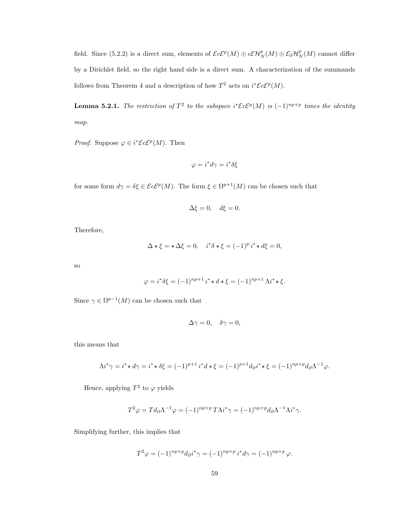field. Since (5.2.2) is a direct sum, elements of  $\mathcal{E}c\mathcal{E}^p(M) \oplus c\mathcal{E}H_N^p(M) \oplus \mathcal{E}_\partial H_N^p(M)$  cannot differ by a Dirichlet field, so the right hand side is a direct sum. A characterization of the summands follows from Theorem 4 and a description of how  $T^2$  acts on  $i^* \mathcal{E} c \mathcal{E}^p(M)$ .

**Lemma 5.2.1.** The restriction of  $T^2$  to the subspace  $i^* \mathcal{E} c \mathcal{E}^p(M)$  is  $(-1)^{np+p}$  times the identity map.

*Proof.* Suppose  $\varphi \in i^* \mathcal{E} c \mathcal{E}^p(M)$ . Then

$$
\varphi = i^*d\gamma = i^*\delta\xi
$$

for some form  $d\gamma = \delta \xi \in \mathcal{E}c\mathcal{E}^p(M)$ . The form  $\xi \in \Omega^{p+1}(M)$  can be chosen such that

$$
\Delta \xi = 0, \quad d\xi = 0.
$$

Therefore,

$$
\Delta \star \xi = \star \Delta \xi = 0, \quad i^* \delta \star \xi = (-1)^p i^* \star d\xi = 0,
$$

so

$$
\varphi = i^* \delta \xi = (-1)^{np+1} i^* \star d \star \xi = (-1)^{np+1} \Lambda i^* \star \xi.
$$

Since  $\gamma \in \Omega^{p-1}(M)$  can be chosen such that

$$
\Delta \gamma = 0, \quad \delta \gamma = 0,
$$

this means that

$$
\Lambda i^* \gamma = i^* \star d\gamma = i^* \star \delta \xi = (-1)^{p+1} i^* d \star \xi = (-1)^{p+1} d_{\partial} i^* \star \xi = (-1)^{np+p} d_{\partial} \Lambda^{-1} \varphi.
$$

Hence, applying  $T^2$  to  $\varphi$  yields

$$
T^2 \varphi = T d_\partial \Lambda^{-1} \varphi = (-1)^{np+p} T \Lambda i^* \gamma = (-1)^{np+p} d_\partial \Lambda^{-1} \Lambda i^* \gamma.
$$

Simplifying further, this implies that

$$
T^{2}\varphi = (-1)^{np+p}d_{\partial}i^{*}\gamma = (-1)^{np+p}i^{*}d\gamma = (-1)^{np+p}\varphi.
$$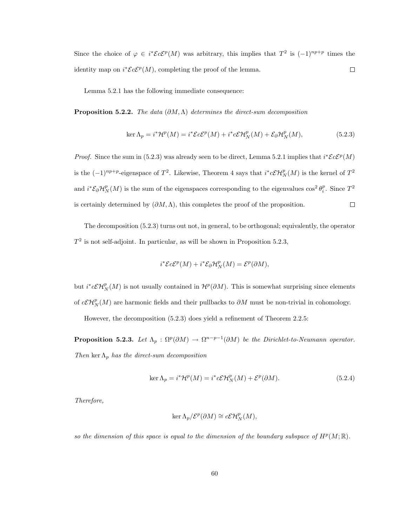Since the choice of  $\varphi \in i^* \mathcal{E} c \mathcal{E}^p(M)$  was arbitrary, this implies that  $T^2$  is  $(-1)^{np+p}$  times the identity map on  $i^* \mathcal{E} c \mathcal{E}^p(M)$ , completing the proof of the lemma.  $\Box$ 

Lemma 5.2.1 has the following immediate consequence:

**Proposition 5.2.2.** The data  $(\partial M, \Lambda)$  determines the direct-sum decomposition

$$
\ker \Lambda_p = i^* \mathcal{H}^p(M) = i^* \mathcal{E}c\mathcal{E}^p(M) + i^* c\mathcal{E} \mathcal{H}_N^p(M) + \mathcal{E}_{\partial} \mathcal{H}_N^p(M),
$$
(5.2.3)

*Proof.* Since the sum in (5.2.3) was already seen to be direct, Lemma 5.2.1 implies that  $i^* \mathcal{E} c \mathcal{E}^p(M)$ is the  $(-1)^{np+p}$ -eigenspace of  $T^2$ . Likewise, Theorem 4 says that  $i^*c\mathcal{CH}_N^p(M)$  is the kernel of  $T^2$ and  $i^* \mathcal{E}_{\partial} \mathcal{H}_N^p(M)$  is the sum of the eigenspaces corresponding to the eigenvalues  $\cos^2 \theta_i^p$ . Since  $T^2$ is certainly determined by  $(\partial M, \Lambda)$ , this completes the proof of the proposition.  $\Box$ 

The decomposition (5.2.3) turns out not, in general, to be orthogonal; equivalently, the operator  $T<sup>2</sup>$  is not self-adjoint. In particular, as will be shown in Proposition 5.2.3,

$$
i^* \mathcal{E}c\mathcal{E}^p(M) + i^* \mathcal{E}_\partial \mathcal{H}_N^p(M) = \mathcal{E}^p(\partial M),
$$

but  $i^*c\mathcal{E}\mathcal{H}_N^p(M)$  is not usually contained in  $\mathcal{H}^p(\partial M)$ . This is somewhat surprising since elements of  $c\mathcal{L}\mathcal{H}_N^p(M)$  are harmonic fields and their pullbacks to  $\partial M$  must be non-trivial in cohomology.

However, the decomposition (5.2.3) does yield a refinement of Theorem 2.2.5:

**Proposition 5.2.3.** Let  $\Lambda_p : \Omega^p(\partial M) \to \Omega^{n-p-1}(\partial M)$  be the Dirichlet-to-Neumann operator. Then ker  $\Lambda_p$  has the direct-sum decomposition

$$
\ker \Lambda_p = i^* \mathcal{H}^p(M) = i^* c \mathcal{E} \mathcal{H}_N^p(M) + \mathcal{E}^p(\partial M). \tag{5.2.4}
$$

Therefore,

$$
\ker \Lambda_p/\mathcal{E}^p(\partial M) \cong c\mathcal{E}\mathcal{H}_N^p(M),
$$

so the dimension of this space is equal to the dimension of the boundary subspace of  $H^p(M;\mathbb{R})$ .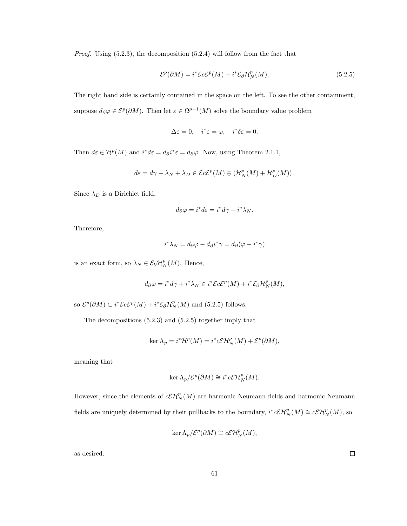*Proof.* Using  $(5.2.3)$ , the decomposition  $(5.2.4)$  will follow from the fact that

$$
\mathcal{E}^p(\partial M) = i^* \mathcal{E} c \mathcal{E}^p(M) + i^* \mathcal{E}_{\partial} \mathcal{H}_N^p(M). \tag{5.2.5}
$$

The right hand side is certainly contained in the space on the left. To see the other containment, suppose  $d_{\partial} \varphi \in \mathcal{E}^p(\partial M)$ . Then let  $\varepsilon \in \Omega^{p-1}(M)$  solve the boundary value problem

$$
\Delta \varepsilon = 0, \quad i^* \varepsilon = \varphi, \quad i^* \delta \varepsilon = 0.
$$

Then  $d\varepsilon \in H^p(M)$  and  $i^*d\varepsilon = d_\partial i^* \varepsilon = d_\partial \varphi$ . Now, using Theorem 2.1.1,

$$
d\varepsilon = d\gamma + \lambda_N + \lambda_D \in \mathcal{E}c\mathcal{E}^p(M) \oplus \left(\mathcal{H}_N^p(M) + \mathcal{H}_D^p(M)\right).
$$

Since  $\lambda_D$  is a Dirichlet field,

$$
d_{\partial}\varphi = i^*d\varepsilon = i^*d\gamma + i^*\lambda_N.
$$

Therefore,

$$
i^*\lambda_N = d_{\partial}\varphi - d_{\partial}i^*\gamma = d_{\partial}(\varphi - i^*\gamma)
$$

is an exact form, so  $\lambda_N \in \mathcal{E}_{\partial} \mathcal{H}_N^p(M)$ . Hence,

$$
d_{\partial}\varphi = i^*d\gamma + i^*\lambda_N \in i^*\mathcal{E}c\mathcal{E}^p(M) + i^*\mathcal{E}_{\partial}\mathcal{H}_N^p(M),
$$

so  $\mathcal{E}^p(\partial M) \subset i^* \mathcal{E} c \mathcal{E}^p(M) + i^* \mathcal{E}_{\partial} \mathcal{H}_N^p(M)$  and (5.2.5) follows.

The decompositions (5.2.3) and (5.2.5) together imply that

$$
\ker \Lambda_p = i^* \mathcal{H}^p(M) = i^* c \mathcal{E} \mathcal{H}_N^p(M) + \mathcal{E}^p(\partial M),
$$

meaning that

$$
\ker \Lambda_p/\mathcal{E}^p(\partial M) \cong i^*c\mathcal{E}\mathcal{H}_N^p(M).
$$

However, since the elements of  $c\mathcal{EH}_N^p(M)$  are harmonic Neumann fields and harmonic Neumann fields are uniquely determined by their pullbacks to the boundary,  $i^*c\mathcal{EH}_N^p(M) \cong c\mathcal{EH}_N^p(M)$ , so

$$
\ker \Lambda_p/\mathcal{E}^p(\partial M) \cong c\mathcal{E}\mathcal{H}_N^p(M),
$$

as desired.

 $\Box$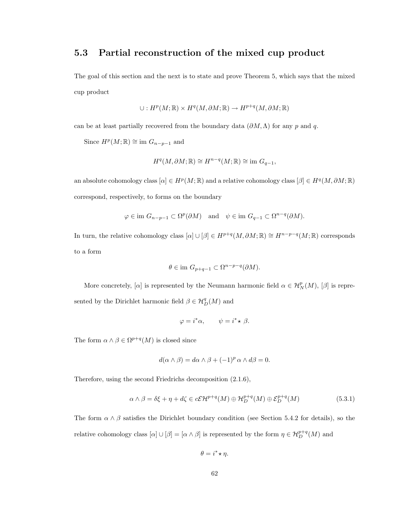### 5.3 Partial reconstruction of the mixed cup product

The goal of this section and the next is to state and prove Theorem 5, which says that the mixed cup product

$$
\cup: H^p(M; \mathbb{R}) \times H^q(M, \partial M; \mathbb{R}) \to H^{p+q}(M, \partial M; \mathbb{R})
$$

can be at least partially recovered from the boundary data  $(\partial M, \Lambda)$  for any p and q.

Since  $H^p(M; \mathbb{R}) \cong \text{im } G_{n-p-1}$  and

$$
H^{q}(M,\partial M;\mathbb{R}) \cong H^{n-q}(M;\mathbb{R}) \cong \text{im } G_{q-1},
$$

an absolute cohomology class  $[\alpha] \in H^p(M;\mathbb{R})$  and a relative cohomology class  $[\beta] \in H^q(M, \partial M; \mathbb{R})$ correspond, respectively, to forms on the boundary

$$
\varphi \in \text{im } G_{n-p-1} \subset \Omega^p(\partial M)
$$
 and  $\psi \in \text{im } G_{q-1} \subset \Omega^{n-q}(\partial M)$ .

In turn, the relative cohomology class  $[\alpha] \cup [\beta] \in H^{p+q}(M, \partial M; \mathbb{R}) \cong H^{n-p-q}(M; \mathbb{R})$  corresponds to a form

$$
\theta \in \text{im } G_{p+q-1} \subset \Omega^{n-p-q}(\partial M).
$$

More concretely,  $[\alpha]$  is represented by the Neumann harmonic field  $\alpha \in \mathcal{H}_N^p(M)$ ,  $[\beta]$  is represented by the Dirichlet harmonic field  $\beta \in \mathcal{H}_{D}^{q}(M)$  and

$$
\varphi = i^* \alpha, \qquad \psi = i^* \star \beta.
$$

The form  $\alpha \wedge \beta \in \Omega^{p+q}(M)$  is closed since

$$
d(\alpha \wedge \beta) = d\alpha \wedge \beta + (-1)^p \alpha \wedge d\beta = 0.
$$

Therefore, using the second Friedrichs decomposition (2.1.6),

$$
\alpha \wedge \beta = \delta \xi + \eta + d\zeta \in c\mathcal{E}\mathcal{H}^{p+q}(M) \oplus \mathcal{H}_D^{p+q}(M) \oplus \mathcal{E}_D^{p+q}(M) \tag{5.3.1}
$$

The form  $\alpha \wedge \beta$  satisfies the Dirichlet boundary condition (see Section 5.4.2 for details), so the relative cohomology class  $[\alpha] \cup [\beta] = [\alpha \wedge \beta]$  is represented by the form  $\eta \in \mathcal{H}_{D}^{p+q}(M)$  and

$$
\theta = i^* \star \eta.
$$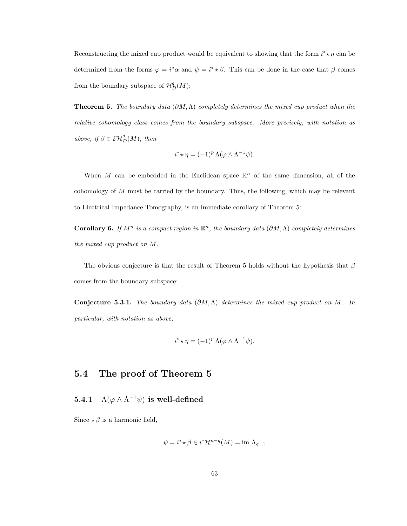Reconstructing the mixed cup product would be equivalent to showing that the form  $i^* \star \eta$  can be determined from the forms  $\varphi = i^* \alpha$  and  $\psi = i^* \star \beta$ . This can be done in the case that  $\beta$  comes from the boundary subspace of  $\mathcal{H}_D^q(M)$ :

**Theorem 5.** The boundary data  $(\partial M, \Lambda)$  completely determines the mixed cup product when the relative cohomology class comes from the boundary subspace. More precisely, with notation as above, if  $\beta \in \mathcal{EH}_D^q(M)$ , then

$$
i^* \star \eta = (-1)^p \Lambda(\varphi \wedge \Lambda^{-1} \psi).
$$

When M can be embedded in the Euclidean space  $\mathbb{R}^n$  of the same dimension, all of the cohomology of M must be carried by the boundary. Thus, the following, which may be relevant to Electrical Impedance Tomography, is an immediate corollary of Theorem 5:

**Corollary 6.** If  $M^n$  is a compact region in  $\mathbb{R}^n$ , the boundary data  $(\partial M, \Lambda)$  completely determines the mixed cup product on M.

The obvious conjecture is that the result of Theorem 5 holds without the hypothesis that  $\beta$ comes from the boundary subspace:

Conjecture 5.3.1. The boundary data  $(\partial M, \Lambda)$  determines the mixed cup product on M. In particular, with notation as above,

$$
i^* \star \eta = (-1)^p \Lambda(\varphi \wedge \Lambda^{-1} \psi).
$$

### 5.4 The proof of Theorem 5

### **5.4.1**  $\Lambda(\varphi \wedge \Lambda^{-1}\psi)$  is well-defined

Since  $\star \beta$  is a harmonic field,

$$
\psi = i^* \star \beta \in i^* \mathcal{H}^{n-q}(M) = \text{im } \Lambda_{q-1}
$$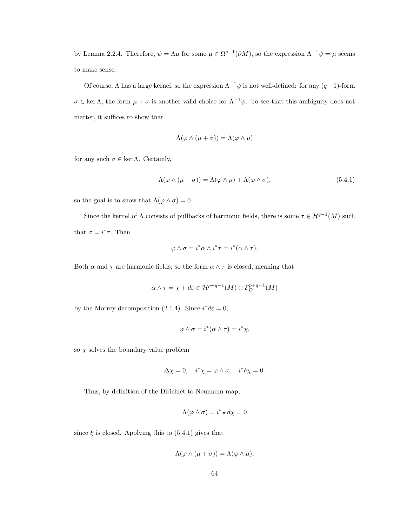by Lemma 2.2.4. Therefore,  $\psi = \Lambda \mu$  for some  $\mu \in \Omega^{q-1}(\partial M)$ , so the expression  $\Lambda^{-1} \psi = \mu$  seems to make sense.

Of course,  $\Lambda$  has a large kernel, so the expression  $\Lambda^{-1}\psi$  is not well-defined: for any  $(q-1)$ -form  $\sigma \in \text{ker }\Lambda$ , the form  $\mu + \sigma$  is another valid choice for  $\Lambda^{-1}\psi$ . To see that this ambiguity does not matter, it suffices to show that

$$
\Lambda(\varphi \wedge (\mu + \sigma)) = \Lambda(\varphi \wedge \mu)
$$

for any such  $\sigma \in \ker \Lambda$ . Certainly,

$$
\Lambda(\varphi \wedge (\mu + \sigma)) = \Lambda(\varphi \wedge \mu) + \Lambda(\varphi \wedge \sigma), \tag{5.4.1}
$$

so the goal is to show that  $\Lambda(\varphi \wedge \sigma) = 0$ .

Since the kernel of  $\Lambda$  consists of pullbacks of harmonic fields, there is some  $\tau \in \mathcal{H}^{q-1}(M)$  such that  $\sigma = i^* \tau$ . Then

$$
\varphi \wedge \sigma = i^* \alpha \wedge i^* \tau = i^* (\alpha \wedge \tau).
$$

Both  $\alpha$  and  $\tau$  are harmonic fields, so the form  $\alpha \wedge \tau$  is closed, meaning that

$$
\alpha \wedge \tau = \chi + d\varepsilon \in \mathcal{H}^{p+q-1}(M) \oplus \mathcal{E}_D^{p+q-1}(M)
$$

by the Morrey decomposition (2.1.4). Since  $i^*d\varepsilon = 0$ ,

$$
\varphi \wedge \sigma = i^*(\alpha \wedge \tau) = i^*\chi,
$$

so  $\chi$  solves the boundary value problem

$$
\Delta \chi = 0, \quad i^* \chi = \varphi \wedge \sigma, \quad i^* \delta \chi = 0.
$$

Thus, by definition of the Dirichlet-to-Neumann map,

$$
\Lambda(\varphi \wedge \sigma) = i^* \star d\chi = 0
$$

since  $\xi$  is closed. Applying this to (5.4.1) gives that

$$
\Lambda(\varphi \wedge (\mu + \sigma)) = \Lambda(\varphi \wedge \mu),
$$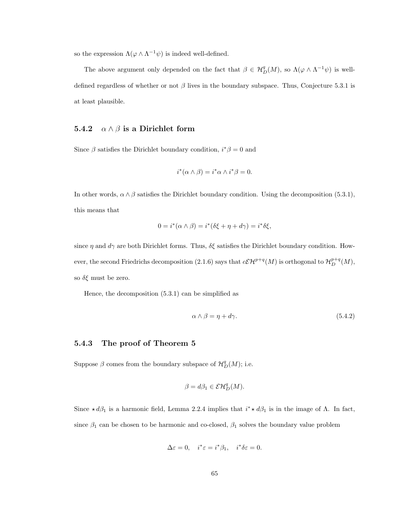so the expression  $\Lambda(\varphi \wedge \Lambda^{-1}\psi)$  is indeed well-defined.

The above argument only depended on the fact that  $\beta \in H_D^q(M)$ , so  $\Lambda(\varphi \wedge \Lambda^{-1}\psi)$  is welldefined regardless of whether or not  $\beta$  lives in the boundary subspace. Thus, Conjecture 5.3.1 is at least plausible.

#### 5.4.2  $\alpha \wedge \beta$  is a Dirichlet form

Since  $\beta$  satisfies the Dirichlet boundary condition,  $i^*\beta = 0$  and

$$
i^*(\alpha \wedge \beta) = i^*\alpha \wedge i^*\beta = 0.
$$

In other words,  $\alpha \wedge \beta$  satisfies the Dirichlet boundary condition. Using the decomposition (5.3.1), this means that

$$
0 = i^*(\alpha \wedge \beta) = i^*(\delta \xi + \eta + d\gamma) = i^*\delta \xi,
$$

since  $\eta$  and  $d\gamma$  are both Dirichlet forms. Thus,  $\delta \xi$  satisfies the Dirichlet boundary condition. However, the second Friedrichs decomposition (2.1.6) says that  $c\mathcal{EH}^{p+q}(M)$  is orthogonal to  $\mathcal{H}^{p+q}_D(M)$ , so  $\delta \xi$  must be zero.

Hence, the decomposition (5.3.1) can be simplified as

$$
\alpha \wedge \beta = \eta + d\gamma. \tag{5.4.2}
$$

#### 5.4.3 The proof of Theorem 5

Suppose  $\beta$  comes from the boundary subspace of  $\mathcal{H}_D^q(M)$ ; i.e.

$$
\beta = d\beta_1 \in \mathcal{E}\mathcal{H}_D^q(M).
$$

Since  $\star d\beta_1$  is a harmonic field, Lemma 2.2.4 implies that  $i^* \star d\beta_1$  is in the image of  $\Lambda$ . In fact, since  $\beta_1$  can be chosen to be harmonic and co-closed,  $\beta_1$  solves the boundary value problem

$$
\Delta \varepsilon = 0, \quad i^* \varepsilon = i^* \beta_1, \quad i^* \delta \varepsilon = 0.
$$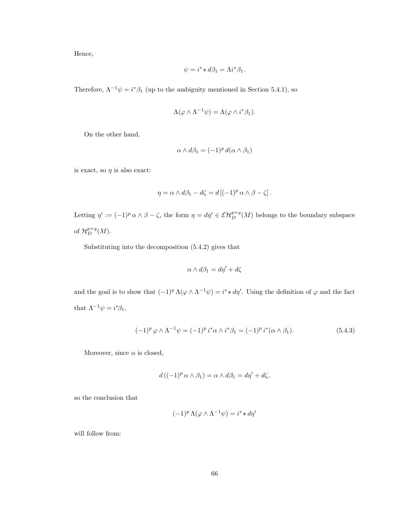Hence,

$$
\psi = i^* \star d\beta_1 = \Lambda i^* \beta_1.
$$

Therefore,  $\Lambda^{-1}\psi = i^*\beta_1$  (up to the ambiguity mentioned in Section 5.4.1), so

$$
\Lambda(\varphi \wedge \Lambda^{-1}\psi) = \Lambda(\varphi \wedge i^*\beta_1).
$$

On the other hand,

$$
\alpha \wedge d\beta_1 = (-1)^p d(\alpha \wedge \beta_1)
$$

is exact, so  $\eta$  is also exact:

$$
\eta = \alpha \wedge d\beta_1 - d\zeta = d\left[(-1)^p \alpha \wedge \beta - \zeta\right].
$$

Letting  $\eta' := (-1)^p \alpha \wedge \beta - \zeta$ , the form  $\eta = d\eta' \in \mathcal{EH}^{p+q}_D(M)$  belongs to the boundary subspace of  $\mathcal{H}^{p+q}_D(M)$ .

Substituting into the decomposition (5.4.2) gives that

$$
\alpha \wedge d\beta_1 = d\eta' + d\zeta
$$

and the goal is to show that  $(-1)^p \Lambda(\varphi \wedge \Lambda^{-1} \psi) = i^* \star d\eta'$ . Using the definition of  $\varphi$  and the fact that  $\Lambda^{-1}\psi = i^*\beta_1$ ,

$$
(-1)^p \varphi \wedge \Lambda^{-1} \psi = (-1)^p i^* \alpha \wedge i^* \beta_1 = (-1)^p i^* (\alpha \wedge \beta_1).
$$
 (5.4.3)

Moreover, since  $\alpha$  is closed,

$$
d\left((-1)^p \alpha \wedge \beta_1\right) = \alpha \wedge d\beta_1 = d\eta' + d\zeta,
$$

so the conclusion that

$$
(-1)^p \Lambda(\varphi \wedge \Lambda^{-1} \psi) = i^* \star d\eta'
$$

will follow from: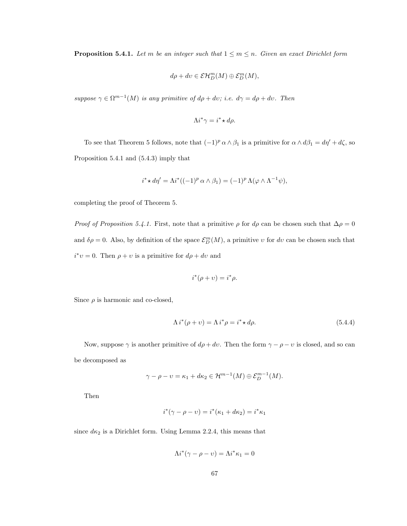**Proposition 5.4.1.** Let m be an integer such that  $1 \le m \le n$ . Given an exact Dirichlet form

$$
d\rho + dv \in \mathcal{E}\mathcal{H}_D^m(M) \oplus \mathcal{E}_D^m(M),
$$

suppose  $\gamma \in \Omega^{m-1}(M)$  is any primitive of  $d\rho + dv$ ; i.e.  $d\gamma = d\rho + dv$ . Then

$$
\Lambda i^* \gamma = i^* \star d\rho.
$$

To see that Theorem 5 follows, note that  $(-1)^p \alpha \wedge \beta_1$  is a primitive for  $\alpha \wedge d\beta_1 = d\eta' + d\zeta$ , so Proposition 5.4.1 and (5.4.3) imply that

$$
i^* \star d\eta' = \Lambda i^* ((-1)^p \alpha \wedge \beta_1) = (-1)^p \Lambda (\varphi \wedge \Lambda^{-1} \psi),
$$

completing the proof of Theorem 5.

*Proof of Proposition 5.4.1.* First, note that a primitive  $\rho$  for  $d\rho$  can be chosen such that  $\Delta \rho = 0$ and  $\delta \rho = 0$ . Also, by definition of the space  $\mathcal{E}_D^m(M)$ , a primitive v for dv can be chosen such that  $i^*v = 0$ . Then  $\rho + v$  is a primitive for  $d\rho + dv$  and

$$
i^*(\rho + v) = i^*\rho.
$$

Since  $\rho$  is harmonic and co-closed,

$$
\Lambda i^*(\rho + v) = \Lambda i^*\rho = i^* \star d\rho. \tag{5.4.4}
$$

Now, suppose  $\gamma$  is another primitive of  $d\rho + dv$ . Then the form  $\gamma - \rho - v$  is closed, and so can be decomposed as

$$
\gamma - \rho - \upsilon = \kappa_1 + d\kappa_2 \in \mathcal{H}^{m-1}(M) \oplus \mathcal{E}_D^{m-1}(M).
$$

Then

$$
i^*(\gamma - \rho - \upsilon) = i^*(\kappa_1 + d\kappa_2) = i^*\kappa_1
$$

since  $d\kappa_2$  is a Dirichlet form. Using Lemma 2.2.4, this means that

$$
\Lambda i^*(\gamma - \rho - v) = \Lambda i^* \kappa_1 = 0
$$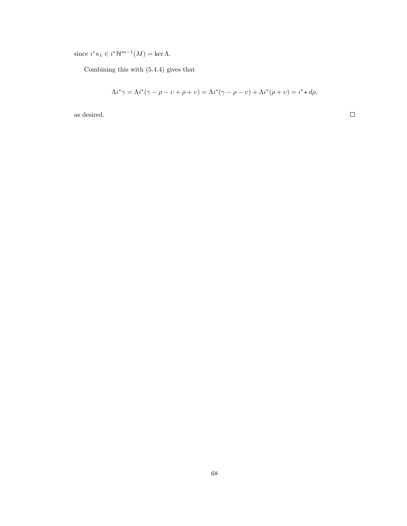since  $i^*\kappa_1 \in i^*\mathcal{H}^{m-1}(M) = \ker \Lambda$ .

Combining this with (5.4.4) gives that

$$
\Lambda i^* \gamma = \Lambda i^* (\gamma - \rho - \upsilon + \rho + \upsilon) = \Lambda i^* (\gamma - \rho - \upsilon) + \Lambda i^* (\rho + \upsilon) = i^* \star d\rho,
$$

as desired.

 $\Box$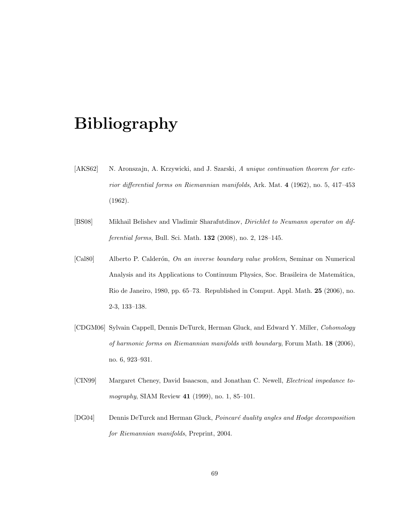## Bibliography

- [AKS62] N. Aronszajn, A. Krzywicki, and J. Szarski, A unique continuation theorem for exterior differential forms on Riemannian manifolds, Ark. Mat. 4 (1962), no. 5, 417–453 (1962).
- [BS08] Mikhail Belishev and Vladimir Sharafutdinov, Dirichlet to Neumann operator on differential forms, Bull. Sci. Math. 132 (2008), no. 2, 128–145.
- [Cal80] Alberto P. Calderón, On an inverse boundary value problem, Seminar on Numerical Analysis and its Applications to Continuum Physics, Soc. Brasileira de Matemática, Rio de Janeiro, 1980, pp. 65–73. Republished in Comput. Appl. Math. 25 (2006), no. 2-3, 133–138.
- [CDGM06] Sylvain Cappell, Dennis DeTurck, Herman Gluck, and Edward Y. Miller, Cohomology of harmonic forms on Riemannian manifolds with boundary, Forum Math. 18 (2006), no. 6, 923–931.
- [CIN99] Margaret Cheney, David Isaacson, and Jonathan C. Newell, Electrical impedance tomography, SIAM Review 41 (1999), no. 1, 85–101.
- [DG04] Dennis DeTurck and Herman Gluck, *Poincaré duality angles and Hodge decomposition* for Riemannian manifolds, Preprint, 2004.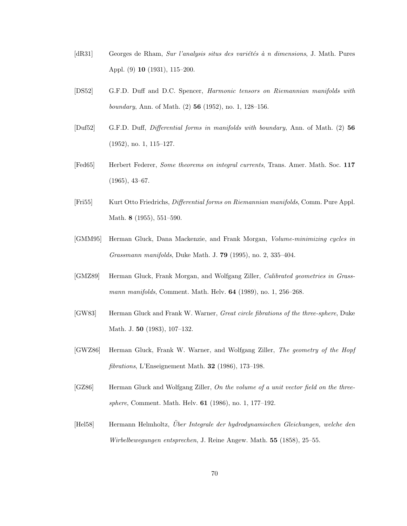- [dR31] Georges de Rham, Sur l'analysis situs des variétés à n dimensions, J. Math. Pures Appl. (9) 10 (1931), 115–200.
- [DS52] G.F.D. Duff and D.C. Spencer, Harmonic tensors on Riemannian manifolds with *boundary*, Ann. of Math.  $(2)$  **56** (1952), no. 1, 128–156.
- [Duf52] G.F.D. Duff, Differential forms in manifolds with boundary, Ann. of Math. (2) 56 (1952), no. 1, 115–127.
- [Fed65] Herbert Federer, Some theorems on integral currents, Trans. Amer. Math. Soc. 117 (1965), 43–67.
- [Fri55] Kurt Otto Friedrichs, Differential forms on Riemannian manifolds, Comm. Pure Appl. Math. 8 (1955), 551–590.
- [GMM95] Herman Gluck, Dana Mackenzie, and Frank Morgan, Volume-minimizing cycles in Grassmann manifolds, Duke Math. J. 79 (1995), no. 2, 335–404.
- [GMZ89] Herman Gluck, Frank Morgan, and Wolfgang Ziller, Calibrated geometries in Grassmann manifolds, Comment. Math. Helv. **64** (1989), no. 1, 256–268.
- [GW83] Herman Gluck and Frank W. Warner, *Great circle fibrations of the three-sphere*, Duke Math. J. 50 (1983), 107–132.
- [GWZ86] Herman Gluck, Frank W. Warner, and Wolfgang Ziller, The geometry of the Hopf fibrations, L'Enseignement Math. 32 (1986), 173–198.
- [GZ86] Herman Gluck and Wolfgang Ziller, On the volume of a unit vector field on the threesphere, Comment. Math. Helv. 61 (1986), no. 1, 177–192.
- [Hel58] Hermann Helmholtz, Über Integrale der hydrodynamischen Gleichungen, welche den Wirbelbewegungen entsprechen, J. Reine Angew. Math. 55 (1858), 25–55.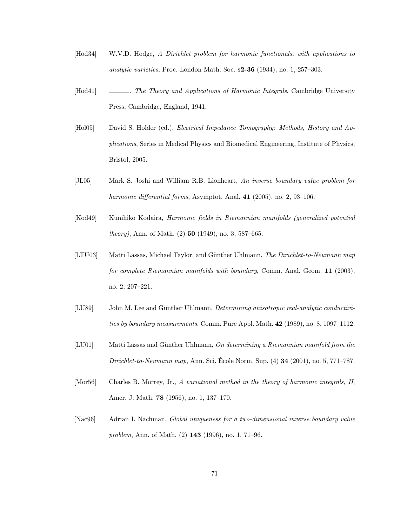- [Hod34] W.V.D. Hodge, A Dirichlet problem for harmonic functionals, with applications to analytic varieties, Proc. London Math. Soc. s2-36 (1934), no. 1, 257–303.
- [Hod41] , The Theory and Applications of Harmonic Integrals, Cambridge University Press, Cambridge, England, 1941.
- [Hol05] David S. Holder (ed.), Electrical Impedance Tomography: Methods, History and Applications, Series in Medical Physics and Biomedical Engineering, Institute of Physics, Bristol, 2005.
- [JL05] Mark S. Joshi and William R.B. Lionheart, An inverse boundary value problem for harmonic differential forms, Asymptot. Anal. 41 (2005), no. 2, 93-106.
- [Kod49] Kunihiko Kodaira, Harmonic fields in Riemannian manifolds (generalized potential theory), Ann. of Math. (2) 50 (1949), no. 3, 587–665.
- [LTU03] Matti Lassas, Michael Taylor, and Günther Uhlmann, The Dirichlet-to-Neumann map for complete Riemannian manifolds with boundary, Comm. Anal. Geom. 11 (2003), no. 2, 207–221.
- [LU89] John M. Lee and Günther Uhlmann, *Determining anisotropic real-analytic conductivi*ties by boundary measurements, Comm. Pure Appl. Math. 42 (1989), no. 8, 1097–1112.
- [LU01] Matti Lassas and Günther Uhlmann, On determining a Riemannian manifold from the  $Dirichlet-to-Neumann$  map, Ann. Sci. École Norm. Sup.  $(4)$  34  $(2001)$ , no. 5, 771–787.
- [Mor56] Charles B. Morrey, Jr., A variational method in the theory of harmonic integrals, II, Amer. J. Math. 78 (1956), no. 1, 137–170.
- [Nac96] Adrian I. Nachman, Global uniqueness for a two-dimensional inverse boundary value problem, Ann. of Math. (2) 143 (1996), no. 1, 71–96.